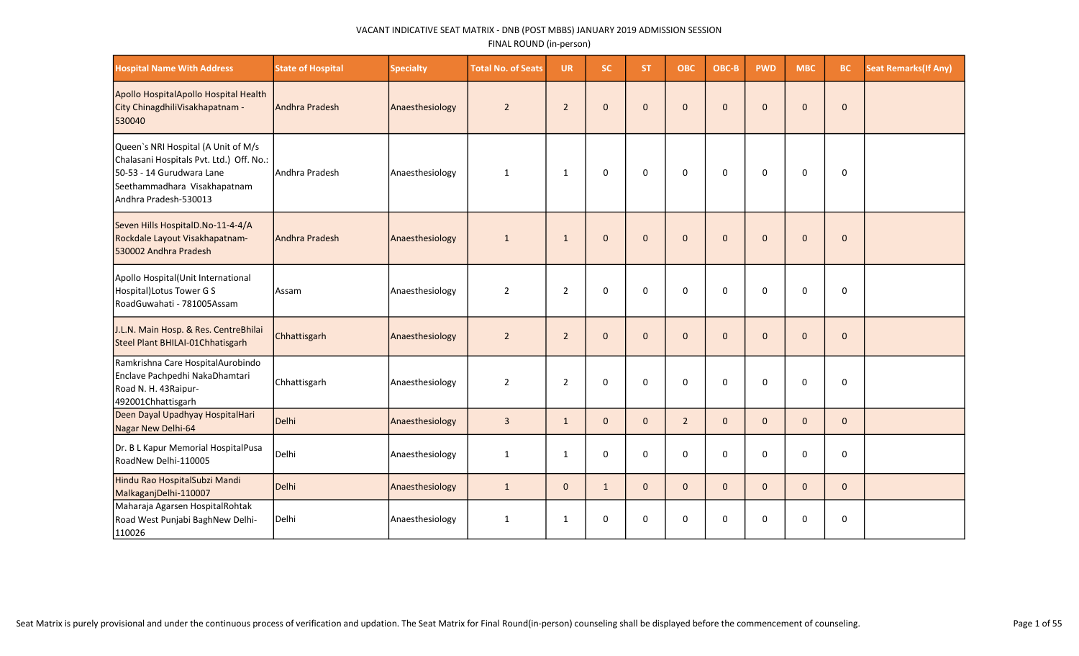| <b>Hospital Name With Address</b>                                                                                                                                     | <b>State of Hospital</b> | <b>Specialty</b> | <b>Total No. of Seats</b> | <b>UR</b>      | <b>SC</b>    | <b>ST</b>    | <b>OBC</b>     | OBC-B        | <b>PWD</b>   | <b>MBC</b>   | <b>BC</b>    | <b>Seat Remarks (If Any)</b> |
|-----------------------------------------------------------------------------------------------------------------------------------------------------------------------|--------------------------|------------------|---------------------------|----------------|--------------|--------------|----------------|--------------|--------------|--------------|--------------|------------------------------|
| Apollo HospitalApollo Hospital Health<br>City ChinagdhiliVisakhapatnam -<br>530040                                                                                    | Andhra Pradesh           | Anaesthesiology  | $\overline{2}$            | $\overline{2}$ | $\mathbf 0$  | $\mathbf{0}$ | $\mathbf{0}$   | $\mathbf{0}$ | $\mathbf 0$  | $\Omega$     | $\mathbf{0}$ |                              |
| Queen's NRI Hospital (A Unit of M/s<br>Chalasani Hospitals Pvt. Ltd.) Off. No.:<br>50-53 - 14 Gurudwara Lane<br>Seethammadhara Visakhapatnam<br>Andhra Pradesh-530013 | Andhra Pradesh           | Anaesthesiology  | 1                         | 1              | 0            | 0            | 0              | 0            | 0            | 0            | 0            |                              |
| Seven Hills HospitalD.No-11-4-4/A<br>Rockdale Layout Visakhapatnam-<br>530002 Andhra Pradesh                                                                          | Andhra Pradesh           | Anaesthesiology  | 1                         | $\mathbf{1}$   | $\mathbf{0}$ | $\mathbf{0}$ | $\mathbf{0}$   | $\mathbf{0}$ | $\mathbf{0}$ | $\Omega$     | $\mathbf{0}$ |                              |
| Apollo Hospital (Unit International<br>Hospital) Lotus Tower G S<br>RoadGuwahati - 781005Assam                                                                        | Assam                    | Anaesthesiology  | $\overline{2}$            | $\overline{2}$ | $\mathbf 0$  | $\mathbf 0$  | $\mathbf 0$    | $\mathbf 0$  | 0            | $\Omega$     | $\mathbf 0$  |                              |
| J.L.N. Main Hosp. & Res. CentreBhilai<br>Steel Plant BHILAI-01Chhatisgarh                                                                                             | Chhattisgarh             | Anaesthesiology  | $\overline{2}$            | $\overline{2}$ | $\mathbf{0}$ | $\mathbf{0}$ | $\mathbf{0}$   | $\mathbf{0}$ | $\mathbf 0$  | $\Omega$     | $\mathbf 0$  |                              |
| Ramkrishna Care HospitalAurobindo<br>Enclave Pachpedhi NakaDhamtari<br>Road N. H. 43Raipur-<br>492001Chhattisgarh                                                     | Chhattisgarh             | Anaesthesiology  | $\overline{2}$            | $\overline{2}$ | $\mathbf 0$  | $\mathbf 0$  | 0              | $\mathbf 0$  | 0            | $\Omega$     | 0            |                              |
| Deen Dayal Upadhyay HospitalHari<br>Nagar New Delhi-64                                                                                                                | Delhi                    | Anaesthesiology  | $\overline{3}$            | $\mathbf{1}$   | $\mathbf{0}$ | $\mathbf{0}$ | $\overline{2}$ | $\Omega$     | $\Omega$     | $\Omega$     | $\mathbf{0}$ |                              |
| Dr. B L Kapur Memorial HospitalPusa<br>RoadNew Delhi-110005                                                                                                           | Delhi                    | Anaesthesiology  | 1                         | 1              | $\mathbf 0$  | $\mathbf 0$  | $\mathbf 0$    | $\mathbf 0$  | 0            | 0            | $\mathbf 0$  |                              |
| Hindu Rao HospitalSubzi Mandi<br>MalkaganjDelhi-110007                                                                                                                | Delhi                    | Anaesthesiology  | $\mathbf{1}$              | $\mathbf{0}$   | $\mathbf{1}$ | $\mathbf{0}$ | $\mathbf 0$    | $\mathbf{0}$ | $\mathbf{0}$ | $\mathbf{0}$ | $\mathbf{0}$ |                              |
| Maharaja Agarsen HospitalRohtak<br>Road West Punjabi BaghNew Delhi-<br>110026                                                                                         | <b>Delhi</b>             | Anaesthesiology  | $\mathbf{1}$              | 1              | $\mathbf 0$  | 0            | 0              | $\mathbf 0$  | 0            | 0            | 0            |                              |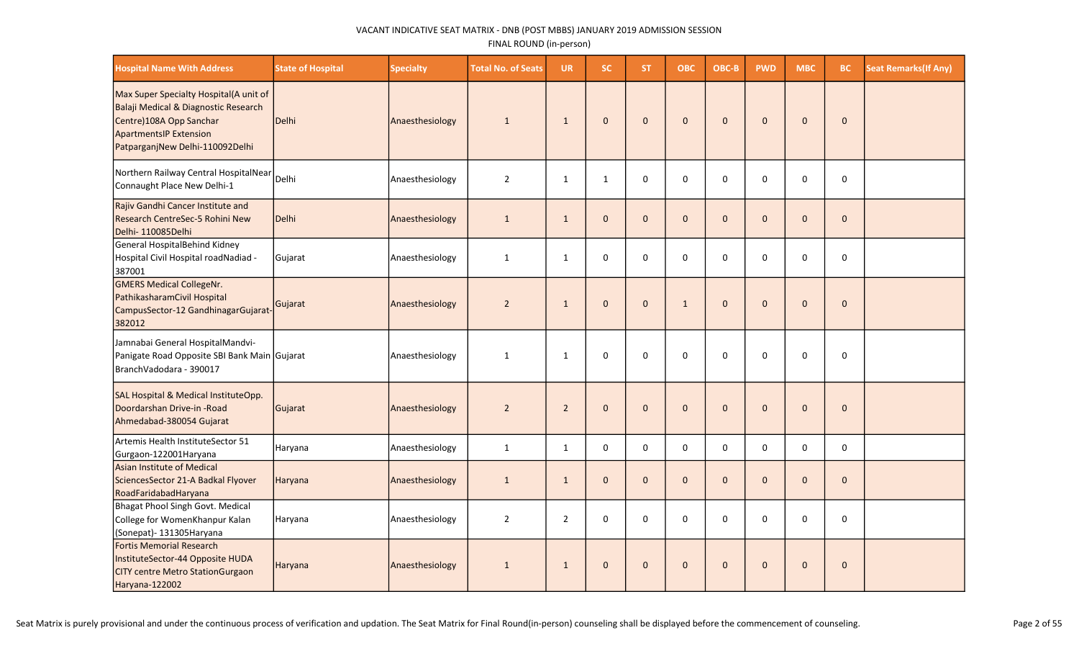| <b>Hospital Name With Address</b>                                                                                                                                             | <b>State of Hospital</b> | <b>Specialty</b> | <b>Total No. of Seats</b> | <b>UR</b>      | SC.          | ST.          | <b>OBC</b>   | OBC-B        | <b>PWD</b>   | <b>MBC</b>   | <b>BC</b>    | <b>Seat Remarks (If Any)</b> |
|-------------------------------------------------------------------------------------------------------------------------------------------------------------------------------|--------------------------|------------------|---------------------------|----------------|--------------|--------------|--------------|--------------|--------------|--------------|--------------|------------------------------|
| Max Super Specialty Hospital(A unit of<br>Balaji Medical & Diagnostic Research<br>Centre)108A Opp Sanchar<br><b>ApartmentsIP Extension</b><br>PatparganjNew Delhi-110092Delhi | Delhi                    | Anaesthesiology  | $\mathbf{1}$              | $\mathbf{1}$   | $\mathbf 0$  | $\Omega$     | $\mathbf 0$  | $\Omega$     | $\Omega$     | $\Omega$     | $\Omega$     |                              |
| Northern Railway Central HospitalNear<br>Connaught Place New Delhi-1                                                                                                          | Delhi                    | Anaesthesiology  | $\overline{2}$            | $\mathbf{1}$   | $\mathbf 1$  | $\Omega$     | $\mathbf 0$  | $\Omega$     | 0            | $\Omega$     | $\pmb{0}$    |                              |
| Rajiv Gandhi Cancer Institute and<br>Research CentreSec-5 Rohini New<br>Delhi-110085Delhi                                                                                     | Delhi                    | Anaesthesiology  | $\mathbf{1}$              | $\mathbf{1}$   | $\mathbf{0}$ | $\mathbf{0}$ | $\mathbf{0}$ | $\mathbf{0}$ | $\mathbf{0}$ | $\mathbf 0$  | $\mathbf{0}$ |                              |
| General HospitalBehind Kidney<br>Hospital Civil Hospital roadNadiad -<br>387001                                                                                               | Gujarat                  | Anaesthesiology  | $\mathbf{1}$              | $\mathbf{1}$   | 0            | $\Omega$     | $\Omega$     | $\Omega$     | $\Omega$     | $\Omega$     | 0            |                              |
| <b>GMERS Medical CollegeNr.</b><br>PathikasharamCivil Hospital<br>CampusSector-12 GandhinagarGujarat-<br>382012                                                               | Gujarat                  | Anaesthesiology  | $\overline{2}$            | $\mathbf{1}$   | $\pmb{0}$    | $\mathbf{0}$ | $\mathbf{1}$ | $\Omega$     | $\mathbf{0}$ | $\mathbf 0$  | $\pmb{0}$    |                              |
| Jamnabai General HospitalMandvi-<br>Panigate Road Opposite SBI Bank Main Gujarat<br>BranchVadodara - 390017                                                                   |                          | Anaesthesiology  | $\mathbf{1}$              | $\mathbf{1}$   | $\mathbf 0$  | $\Omega$     | $\Omega$     | $\Omega$     | $\Omega$     | 0            | $\mathbf 0$  |                              |
| SAL Hospital & Medical InstituteOpp.<br>Doordarshan Drive-in -Road<br>Ahmedabad-380054 Gujarat                                                                                | Gujarat                  | Anaesthesiology  | $\overline{2}$            | $\overline{2}$ | $\mathbf 0$  | $\mathbf{0}$ | $\mathbf{0}$ | $\Omega$     | $\mathbf{0}$ | $\mathbf{0}$ | $\mathbf{0}$ |                              |
| Artemis Health InstituteSector 51<br>Gurgaon-122001 Haryana                                                                                                                   | Haryana                  | Anaesthesiology  | $\mathbf{1}$              | $\mathbf{1}$   | 0            | 0            | $\mathbf 0$  | 0            | $\mathbf 0$  | 0            | $\mathbf 0$  |                              |
| Asian Institute of Medical<br>SciencesSector 21-A Badkal Flyover<br>RoadFaridabadHaryana                                                                                      | <b>Haryana</b>           | Anaesthesiology  | $\mathbf{1}$              | $\mathbf{1}$   | $\mathbf 0$  | $\Omega$     | $\Omega$     | $\Omega$     | $\Omega$     | $\Omega$     | $\mathbf{0}$ |                              |
| Bhagat Phool Singh Govt. Medical<br>College for WomenKhanpur Kalan<br>(Sonepat)- 131305Haryana                                                                                | Haryana                  | Anaesthesiology  | $\overline{2}$            | $\overline{2}$ | 0            | 0            | $\mathbf 0$  | 0            | $\mathbf 0$  | 0            | 0            |                              |
| <b>Fortis Memorial Research</b><br>InstituteSector-44 Opposite HUDA<br><b>CITY centre Metro StationGurgaon</b><br>Haryana-122002                                              | Haryana                  | Anaesthesiology  | $\mathbf{1}$              | $\mathbf{1}$   | $\mathbf{0}$ | $\Omega$     | $\mathbf{0}$ | $\Omega$     | $\Omega$     | $\Omega$     | $\mathbf{0}$ |                              |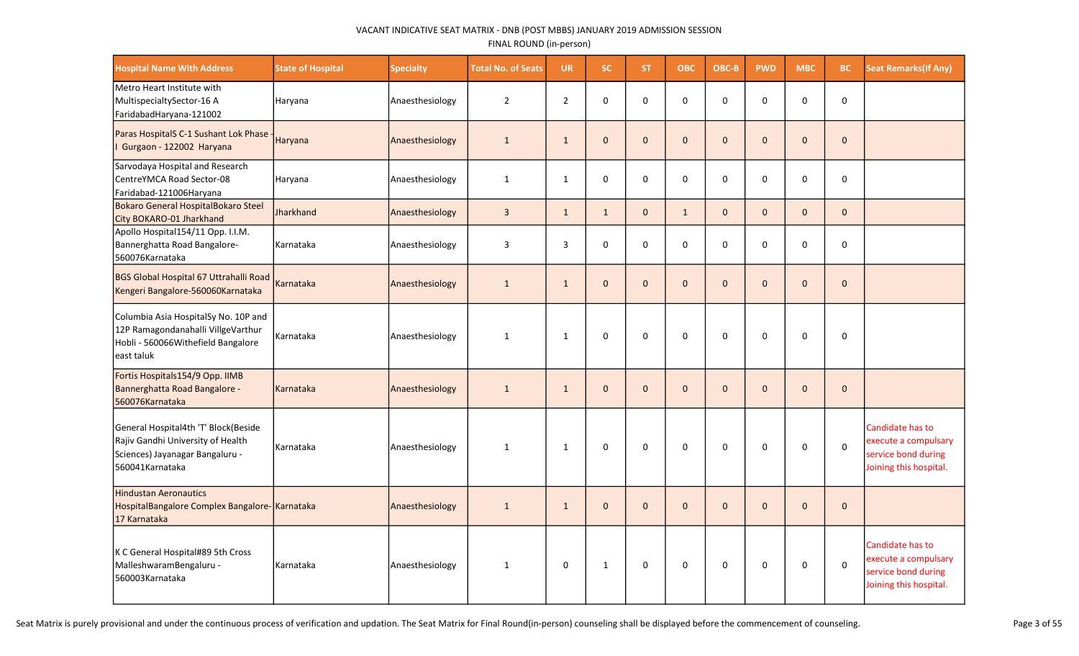| <b>Hospital Name With Address</b>                                                                                               | <b>State of Hospital</b> | <b>Specialty</b> | <b>Total No. of Seats</b> | <b>UR</b>      | SC.          | ST.          | <b>OBC</b>   | OBC-B        | <b>PWD</b>   | <b>MBC</b>   | <b>BC</b>    | <b>Seat Remarks (If Any)</b>                                                              |
|---------------------------------------------------------------------------------------------------------------------------------|--------------------------|------------------|---------------------------|----------------|--------------|--------------|--------------|--------------|--------------|--------------|--------------|-------------------------------------------------------------------------------------------|
| Metro Heart Institute with<br>MultispecialtySector-16 A<br>FaridabadHaryana-121002                                              | Haryana                  | Anaesthesiology  | $\overline{2}$            | $\overline{2}$ | $\mathbf 0$  | 0            | 0            | $\Omega$     | $\Omega$     | $\Omega$     | 0            |                                                                                           |
| Paras HospitalS C-1 Sushant Lok Phase<br>Gurgaon - 122002 Haryana                                                               | Haryana                  | Anaesthesiology  | $\mathbf{1}$              | $\mathbf{1}$   | $\mathbf 0$  | $\mathbf{0}$ | $\mathbf 0$  | $\mathbf{0}$ | $\pmb{0}$    | $\mathbf{0}$ | $\mathbf 0$  |                                                                                           |
| Sarvodaya Hospital and Research<br>CentreYMCA Road Sector-08<br>Faridabad-121006Haryana                                         | Haryana                  | Anaesthesiology  | $\mathbf{1}$              | $\mathbf{1}$   | $\mathbf 0$  | $\mathbf 0$  | $\mathbf 0$  | 0            | $\mathbf 0$  | 0            | $\mathbf 0$  |                                                                                           |
| Bokaro General HospitalBokaro Steel<br>City BOKARO-01 Jharkhand                                                                 | Jharkhand                | Anaesthesiology  | $\overline{3}$            | $\mathbf{1}$   | $\mathbf{1}$ | $\mathbf{0}$ | $\mathbf 1$  | $\mathbf{0}$ | $\Omega$     | $\Omega$     | $\mathbf 0$  |                                                                                           |
| Apollo Hospital154/11 Opp. I.I.M.<br>Bannerghatta Road Bangalore-<br>560076Karnataka                                            | Karnataka                | Anaesthesiology  | $\overline{3}$            | 3              | 0            | 0            | 0            | $\Omega$     | $\pmb{0}$    | 0            | $\mathsf 0$  |                                                                                           |
| BGS Global Hospital 67 Uttrahalli Road<br>Kengeri Bangalore-560060Karnataka                                                     | Karnataka                | Anaesthesiology  | $\mathbf{1}$              | $\mathbf{1}$   | $\mathbf{0}$ | $\mathbf{0}$ | $\mathbf{0}$ | $\Omega$     | $\Omega$     | $\Omega$     | $\Omega$     |                                                                                           |
| Columbia Asia HospitalSy No. 10P and<br>12P Ramagondanahalli VillgeVarthur<br>Hobli - 560066Withefield Bangalore<br>east taluk  | Karnataka                | Anaesthesiology  | $\mathbf{1}$              | $\mathbf{1}$   | $\Omega$     | $\Omega$     | $\mathbf 0$  | $\Omega$     | $\Omega$     | $\Omega$     | $\mathbf 0$  |                                                                                           |
| Fortis Hospitals154/9 Opp. IIMB<br>Bannerghatta Road Bangalore -<br>560076Karnataka                                             | Karnataka                | Anaesthesiology  | $\mathbf{1}$              | $\mathbf{1}$   | $\mathbf{0}$ | $\mathbf{0}$ | $\mathbf{0}$ | $\mathbf{0}$ | $\mathbf{0}$ | $\Omega$     | $\mathbf{0}$ |                                                                                           |
| General Hospital4th 'T' Block(Beside<br>Rajiv Gandhi University of Health<br>Sciences) Jayanagar Bangaluru -<br>560041Karnataka | l Karnataka              | Anaesthesiology  | $\mathbf{1}$              | $\mathbf{1}$   | 0            | 0            | $\mathsf 0$  | 0            | 0            | 0            | $\pmb{0}$    | Candidate has to<br>execute a compulsary<br>service bond during<br>Joining this hospital. |
| <b>Hindustan Aeronautics</b><br>HospitalBangalore Complex Bangalore- Karnataka<br>17 Karnataka                                  |                          | Anaesthesiology  | $\mathbf{1}$              | $\mathbf{1}$   | $\mathbf 0$  | $\mathbf{0}$ | $\mathbf 0$  | $\mathbf{0}$ | $\mathbf 0$  | $\Omega$     | $\mathbf 0$  |                                                                                           |
| K C General Hospital#89 5th Cross<br>MalleshwaramBengaluru -<br>560003Karnataka                                                 | Karnataka                | Anaesthesiology  | $\mathbf{1}$              | 0              | $\mathbf{1}$ | 0            | 0            | 0            | 0            | 0            | $\pmb{0}$    | Candidate has to<br>execute a compulsary<br>service bond during<br>Joining this hospital. |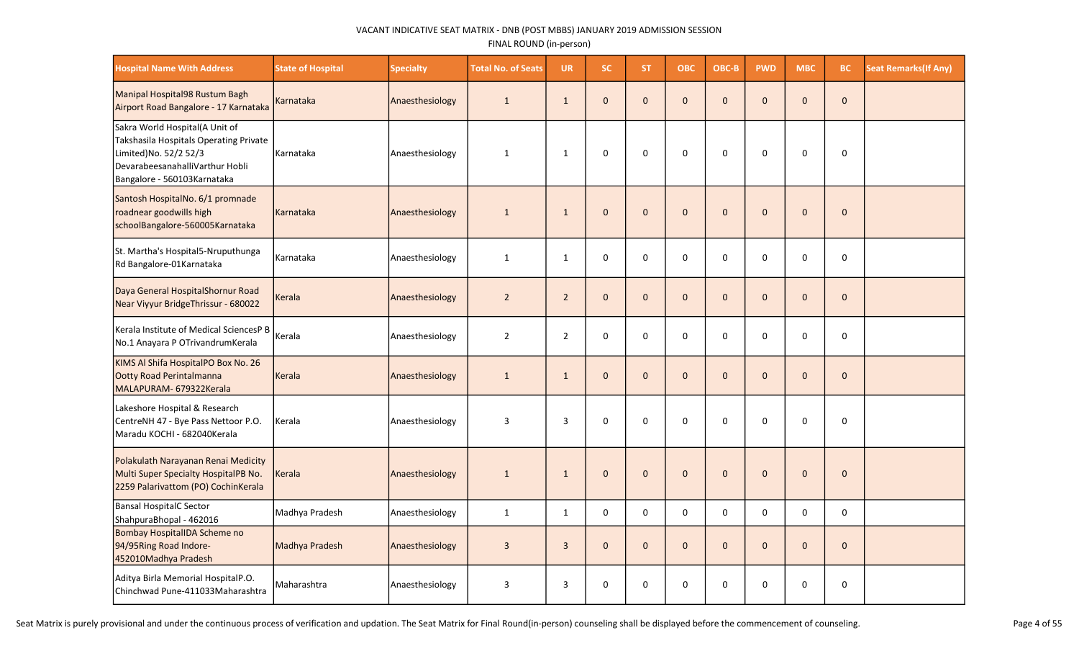| <b>Hospital Name With Address</b>                                                                                                                                    | <b>State of Hospital</b> | <b>Specialty</b> | <b>Total No. of Seats</b> | <b>UR</b>      | SC.          | ST.          | <b>OBC</b>  | OBC-B        | <b>PWD</b>   | <b>MBC</b>   | BC.          | <b>Seat Remarks(If Any)</b> |
|----------------------------------------------------------------------------------------------------------------------------------------------------------------------|--------------------------|------------------|---------------------------|----------------|--------------|--------------|-------------|--------------|--------------|--------------|--------------|-----------------------------|
| Manipal Hospital98 Rustum Bagh<br>Airport Road Bangalore - 17 Karnataka                                                                                              | Karnataka                | Anaesthesiology  | $\mathbf{1}$              | $\mathbf{1}$   | $\mathbf{0}$ | $\mathbf{0}$ | $\mathbf 0$ | $\mathbf{0}$ | $\mathbf{0}$ | $\Omega$     | $\mathbf 0$  |                             |
| Sakra World Hospital(A Unit of<br>Takshasila Hospitals Operating Private<br>Limited) No. 52/2 52/3<br>DevarabeesanahalliVarthur Hobli<br>Bangalore - 560103Karnataka | Karnataka                | Anaesthesiology  | $\mathbf{1}$              | $\mathbf{1}$   | $\mathbf 0$  | $\mathbf 0$  | $\pmb{0}$   | $\mathbf 0$  | $\mathbf 0$  | $\mathbf 0$  | $\mathsf 0$  |                             |
| Santosh HospitalNo. 6/1 promnade<br>roadnear goodwills high<br>schoolBangalore-560005Karnataka                                                                       | Karnataka                | Anaesthesiology  | $\mathbf 1$               | $\mathbf{1}$   | $\mathbf 0$  | $\mathbf{0}$ | $\pmb{0}$   | $\mathbf{0}$ | $\mathbf{0}$ | $\mathbf{0}$ | $\mathbf 0$  |                             |
| St. Martha's Hospital5-Nruputhunga<br>Rd Bangalore-01Karnataka                                                                                                       | Karnataka                | Anaesthesiology  | $\mathbf{1}$              | $\mathbf{1}$   | 0            | 0            | $\pmb{0}$   | 0            | $\pmb{0}$    | $\mathbf 0$  | $\mathsf 0$  |                             |
| Daya General HospitalShornur Road<br>Near Viyyur BridgeThrissur - 680022                                                                                             | Kerala                   | Anaesthesiology  | $\overline{2}$            | $2^{\circ}$    | $\mathbf 0$  | $\mathbf{0}$ | $\pmb{0}$   | $\mathbf 0$  | $\mathbf{0}$ | $\mathbf{0}$ | $\mathbf 0$  |                             |
| Kerala Institute of Medical SciencesP B<br>No.1 Anayara P OTrivandrumKerala                                                                                          | Kerala                   | Anaesthesiology  | $\overline{2}$            | $\overline{2}$ | 0            | $\mathbf 0$  | $\pmb{0}$   | $\mathbf 0$  | $\mathbf 0$  | 0            | $\mathsf 0$  |                             |
| KIMS Al Shifa HospitalPO Box No. 26<br>Ootty Road Perintalmanna<br>MALAPURAM- 679322Kerala                                                                           | Kerala                   | Anaesthesiology  | $\mathbf{1}$              | $\mathbf{1}$   | $\mathbf 0$  | $\mathbf{0}$ | $\pmb{0}$   | $\mathbf{0}$ | $\mathbf 0$  | $\mathbf{0}$ | $\mathbf 0$  |                             |
| Lakeshore Hospital & Research<br>CentreNH 47 - Bye Pass Nettoor P.O.<br>Maradu KOCHI - 682040Kerala                                                                  | Kerala                   | Anaesthesiology  | $\overline{3}$            | 3              | $\mathsf 0$  | 0            | $\pmb{0}$   | $\mathbf 0$  | $\mathbf 0$  | 0            | $\mathsf 0$  |                             |
| Polakulath Narayanan Renai Medicity<br>Multi Super Specialty HospitalPB No.<br>2259 Palarivattom (PO) CochinKerala                                                   | Kerala                   | Anaesthesiology  | $\mathbf{1}$              | $\mathbf{1}$   | $\mathbf 0$  | $\mathbf{0}$ | $\pmb{0}$   | $\mathbf{0}$ | $\mathbf{0}$ | $\mathbf{0}$ | $\mathbf{0}$ |                             |
| Bansal HospitalC Sector<br>ShahpuraBhopal - 462016                                                                                                                   | Madhya Pradesh           | Anaesthesiology  | $\mathbf{1}$              | $\mathbf{1}$   | 0            | 0            | $\pmb{0}$   | $\Omega$     | $\pmb{0}$    | $\Omega$     | $\mathsf 0$  |                             |
| Bombay HospitalIDA Scheme no<br>94/95Ring Road Indore-<br>452010Madhya Pradesh                                                                                       | Madhya Pradesh           | Anaesthesiology  | $\overline{3}$            | $\overline{3}$ | $\mathbf 0$  | $\mathbf{0}$ | $\mathbf 0$ | $\mathbf{0}$ | $\pmb{0}$    | $\mathbf{0}$ | $\mathbf 0$  |                             |
| Aditya Birla Memorial HospitalP.O.<br>Chinchwad Pune-411033Maharashtra                                                                                               | Maharashtra              | Anaesthesiology  | 3                         | 3              | 0            | 0            | 0           | $\Omega$     | 0            | $\Omega$     | 0            |                             |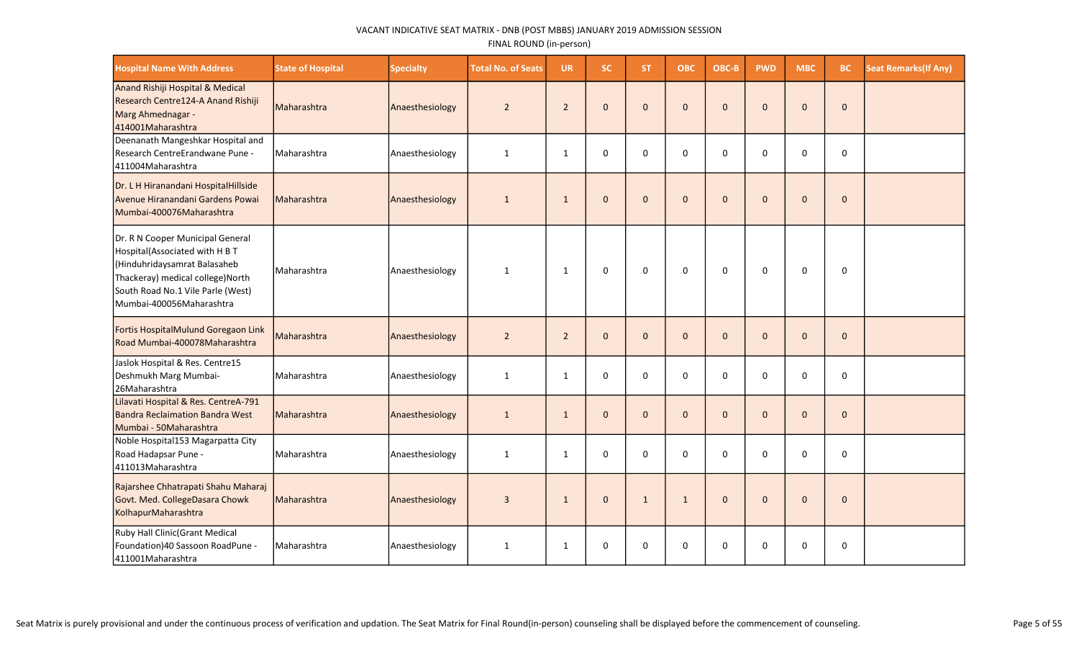| <b>Hospital Name With Address</b>                                                                                                                                                                       | <b>State of Hospital</b> | <b>Specialty</b> | <b>Total No. of Seats</b> | <b>UR</b>      | <b>SC</b>    | <b>ST</b>    | <b>OBC</b>   | OBC-B        | <b>PWD</b>   | <b>MBC</b>   | BC.          | <b>Seat Remarks (If Any)</b> |
|---------------------------------------------------------------------------------------------------------------------------------------------------------------------------------------------------------|--------------------------|------------------|---------------------------|----------------|--------------|--------------|--------------|--------------|--------------|--------------|--------------|------------------------------|
| Anand Rishiji Hospital & Medical<br>Research Centre124-A Anand Rishiji<br>Marg Ahmednagar -<br>414001Maharashtra                                                                                        | Maharashtra              | Anaesthesiology  | $\overline{2}$            | $\overline{2}$ | $\mathbf{0}$ | $\mathbf{0}$ | $\mathbf{0}$ | $\mathbf{0}$ | $\mathbf 0$  | $\mathbf{0}$ | $\mathbf{0}$ |                              |
| Deenanath Mangeshkar Hospital and<br>Research CentreErandwane Pune -<br>411004Maharashtra                                                                                                               | Maharashtra              | Anaesthesiology  | $\mathbf{1}$              | $\mathbf{1}$   | $\mathbf 0$  | $\Omega$     | $\mathbf 0$  | $\Omega$     | $\mathbf 0$  | $\Omega$     | $\mathbf 0$  |                              |
| Dr. L H Hiranandani HospitalHillside<br>Avenue Hiranandani Gardens Powai<br>Mumbai-400076Maharashtra                                                                                                    | Maharashtra              | Anaesthesiology  | 1                         | $\mathbf{1}$   | $\mathbf{0}$ | $\mathbf{0}$ | $\mathbf{0}$ | $\mathbf{0}$ | $\mathbf{0}$ | $\mathbf{0}$ | $\mathbf{0}$ |                              |
| Dr. R N Cooper Municipal General<br>Hospital(Associated with H B T<br>Hinduhridaysamrat Balasaheb<br>Thackeray) medical college) North<br>South Road No.1 Vile Parle (West)<br>Mumbai-400056Maharashtra | Maharashtra              | Anaesthesiology  | $\mathbf{1}$              | $\mathbf{1}$   | $\mathbf 0$  | 0            | 0            | $\mathbf 0$  | 0            | $\mathbf 0$  | $\mathbf 0$  |                              |
| Fortis HospitalMulund Goregaon Link<br>Road Mumbai-400078Maharashtra                                                                                                                                    | Maharashtra              | Anaesthesiology  | $\overline{2}$            | $\overline{2}$ | $\mathbf{0}$ | $\mathbf{0}$ | $\mathbf{0}$ | $\mathbf{0}$ | $\mathbf 0$  | $\Omega$     | $\mathbf{0}$ |                              |
| Jaslok Hospital & Res. Centre15<br>Deshmukh Marg Mumbai-<br>26Maharashtra                                                                                                                               | Maharashtra              | Anaesthesiology  | $\mathbf{1}$              | $\mathbf{1}$   | $\mathbf 0$  | $\mathbf 0$  | $\mathbf 0$  | $\mathbf 0$  | $\mathbf 0$  | $\Omega$     | $\mathbf 0$  |                              |
| Lilavati Hospital & Res. CentreA-791<br>Bandra Reclaimation Bandra West<br>Mumbai - 50Maharashtra                                                                                                       | Maharashtra              | Anaesthesiology  | $\mathbf{1}$              | $\mathbf{1}$   | $\mathbf{0}$ | $\mathbf{0}$ | $\mathbf{0}$ | $\mathbf{0}$ | $\mathbf{0}$ | $\Omega$     | $\mathbf{0}$ |                              |
| Noble Hospital153 Magarpatta City<br>Road Hadapsar Pune -<br>411013Maharashtra                                                                                                                          | Maharashtra              | Anaesthesiology  | $\mathbf{1}$              | 1              | $\mathbf 0$  | $\mathbf 0$  | $\mathbf 0$  | $\Omega$     | 0            | $\Omega$     | 0            |                              |
| Rajarshee Chhatrapati Shahu Maharaj<br>Govt. Med. CollegeDasara Chowk<br>KolhapurMaharashtra                                                                                                            | Maharashtra              | Anaesthesiology  | 3                         | $\mathbf{1}$   | $\mathbf{0}$ | $\mathbf{1}$ | $\mathbf{1}$ | $\mathbf{0}$ | $\mathbf{0}$ | $\Omega$     | $\Omega$     |                              |
| Ruby Hall Clinic (Grant Medical<br>Foundation) 40 Sassoon RoadPune -<br>411001Maharashtra                                                                                                               | Maharashtra              | Anaesthesiology  | $\mathbf{1}$              | $\mathbf{1}$   | $\mathbf 0$  | $\mathbf 0$  | 0            | 0            | 0            | $\Omega$     | 0            |                              |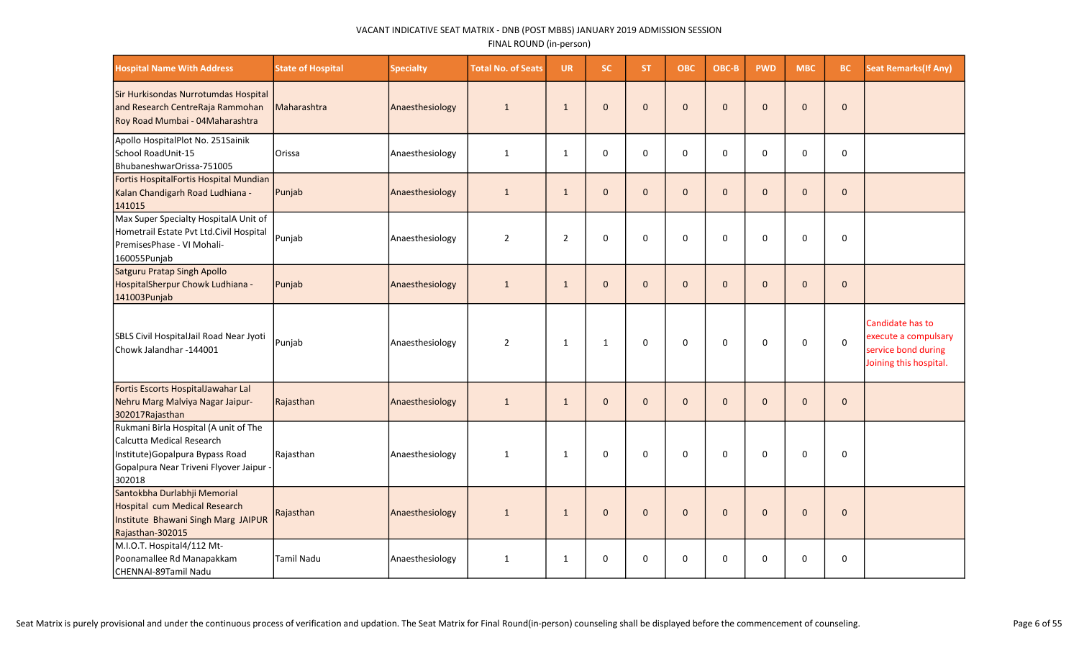| <b>Hospital Name With Address</b>                                                                                                                         | <b>State of Hospital</b> | <b>Specialty</b> | <b>Total No. of Seats</b> | <b>UR</b>      | SC.          | ST.          | <b>OBC</b>   | OBC-B        | <b>PWD</b>   | <b>MBC</b>   | <b>BC</b>    | <b>Seat Remarks (If Any)</b>                                                              |
|-----------------------------------------------------------------------------------------------------------------------------------------------------------|--------------------------|------------------|---------------------------|----------------|--------------|--------------|--------------|--------------|--------------|--------------|--------------|-------------------------------------------------------------------------------------------|
| Sir Hurkisondas Nurrotumdas Hospital<br>and Research CentreRaja Rammohan<br>Roy Road Mumbai - 04Maharashtra                                               | Maharashtra              | Anaesthesiology  | $\mathbf{1}$              | $\mathbf{1}$   | $\mathbf 0$  | $\mathbf{0}$ | $\mathbf 0$  | $\mathbf{0}$ | $\mathbf 0$  | $\mathbf{0}$ | $\mathbf{0}$ |                                                                                           |
| Apollo HospitalPlot No. 251Sainik<br>School RoadUnit-15<br>BhubaneshwarOrissa-751005                                                                      | Orissa                   | Anaesthesiology  | 1                         | 1              | $\mathbf 0$  | $\mathbf 0$  | $\mathbf 0$  | $\mathbf 0$  | $\mathbf 0$  | $\Omega$     | $\mathbf 0$  |                                                                                           |
| Fortis HospitalFortis Hospital Mundian<br>Kalan Chandigarh Road Ludhiana -<br>141015                                                                      | Punjab                   | Anaesthesiology  | $\mathbf{1}$              | $\mathbf{1}$   | $\mathbf 0$  | $\mathbf{0}$ | $\mathbf 0$  | $\mathbf{0}$ | $\mathbf 0$  | $\mathbf{0}$ | $\mathbf 0$  |                                                                                           |
| Max Super Specialty HospitalA Unit of<br>Hometrail Estate Pvt Ltd.Civil Hospital<br>PremisesPhase - VI Mohali-<br>160055Punjab                            | Punjab                   | Anaesthesiology  | $\overline{2}$            | $\overline{2}$ | $\mathbf 0$  | $\mathbf 0$  | $\mathbf 0$  | $\Omega$     | 0            | $\Omega$     | $\mathbf 0$  |                                                                                           |
| Satguru Pratap Singh Apollo<br>HospitalSherpur Chowk Ludhiana -<br>141003Punjab                                                                           | Punjab                   | Anaesthesiology  | $\mathbf{1}$              | $\mathbf{1}$   | $\mathbf{0}$ | $\mathbf{0}$ | $\mathbf{0}$ | $\mathbf{0}$ | $\mathbf{0}$ | $\Omega$     | $\mathbf{0}$ |                                                                                           |
| SBLS Civil HospitalJail Road Near Jyoti<br>lChowk Jalandhar -144001                                                                                       | Punjab                   | Anaesthesiology  | $\overline{2}$            | $\mathbf{1}$   | $\mathbf{1}$ | $\mathbf 0$  | 0            | $\mathbf 0$  | $\mathbf 0$  | $\mathbf 0$  | $\mathbf 0$  | Candidate has to<br>execute a compulsary<br>service bond during<br>Joining this hospital. |
| Fortis Escorts HospitalJawahar Lal<br>Nehru Marg Malviya Nagar Jaipur-<br>302017Rajasthan                                                                 | Rajasthan                | Anaesthesiology  | $\mathbf{1}$              | $\mathbf{1}$   | $\mathbf{0}$ | $\mathbf{0}$ | $\mathbf 0$  | $\mathbf{0}$ | $\mathbf 0$  | $\mathbf{0}$ | $\mathbf 0$  |                                                                                           |
| Rukmani Birla Hospital (A unit of The<br>Calcutta Medical Research<br>Institute) Gopalpura Bypass Road<br>Gopalpura Near Triveni Flyover Jaipur<br>302018 | Rajasthan                | Anaesthesiology  | 1                         | 1              | $\mathbf{0}$ | 0            | $\mathbf 0$  | $\mathbf 0$  | $\Omega$     | $\Omega$     | $\Omega$     |                                                                                           |
| Santokbha Durlabhji Memorial<br>Hospital cum Medical Research<br>Institute Bhawani Singh Marg JAIPUR<br>Rajasthan-302015                                  | Rajasthan                | Anaesthesiology  | $\mathbf{1}$              | $\mathbf{1}$   | $\mathbf 0$  | $\mathbf{0}$ | $\mathbf 0$  | $\mathbf{0}$ | $\pmb{0}$    | $\mathbf{0}$ | $\mathbf{0}$ |                                                                                           |
| M.I.O.T. Hospital4/112 Mt-<br>Poonamallee Rd Manapakkam<br>CHENNAI-89Tamil Nadu                                                                           | Tamil Nadu               | Anaesthesiology  | $\mathbf{1}$              | 1              | $\mathbf 0$  | 0            | 0            | $\mathbf 0$  | 0            | $\Omega$     | $\mathbf 0$  |                                                                                           |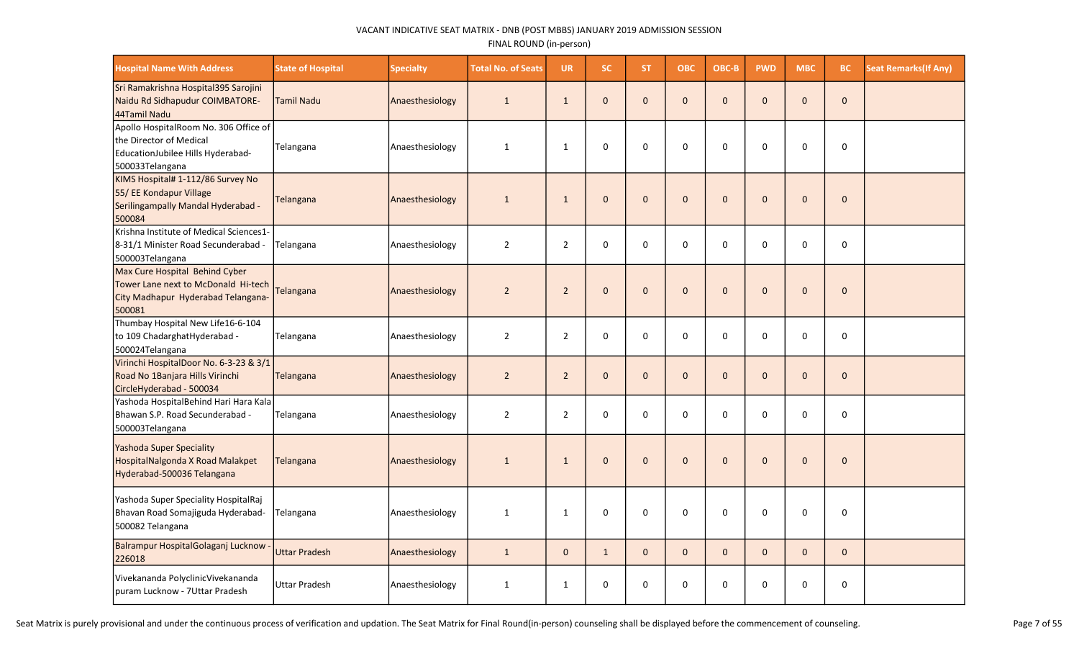| <b>Hospital Name With Address</b>                                                                                        | <b>State of Hospital</b> | <b>Specialty</b> | <b>Total No. of Seats</b> | <b>UR</b>      | SC.          | ST.          | <b>OBC</b>   | OBC-B        | <b>PWD</b>   | <b>MBC</b>   | BC.          | <b>Seat Remarks (If Any)</b> |
|--------------------------------------------------------------------------------------------------------------------------|--------------------------|------------------|---------------------------|----------------|--------------|--------------|--------------|--------------|--------------|--------------|--------------|------------------------------|
| Sri Ramakrishna Hospital395 Sarojini<br>Naidu Rd Sidhapudur COIMBATORE-<br>44Tamil Nadu                                  | Tamil Nadu               | Anaesthesiology  | $\mathbf{1}$              | $\mathbf{1}$   | $\mathbf 0$  | $\mathbf{0}$ | $\mathbf 0$  | $\Omega$     | $\mathbf{0}$ | $\mathbf{0}$ | $\mathbf 0$  |                              |
| Apollo HospitalRoom No. 306 Office of<br>the Director of Medical<br>EducationJubilee Hills Hyderabad-<br>500033Telangana | Telangana                | Anaesthesiology  | $\mathbf{1}$              | $\mathbf{1}$   | $\mathbf 0$  | $\Omega$     | $\Omega$     | $\Omega$     | 0            | 0            | $\mathbf 0$  |                              |
| KIMS Hospital# 1-112/86 Survey No<br>55/ EE Kondapur Village<br>Serilingampally Mandal Hyderabad -<br>500084             | <b>Telangana</b>         | Anaesthesiology  | $\mathbf{1}$              | $\mathbf{1}$   | $\mathbf 0$  | $\mathbf{0}$ | $\mathbf{0}$ | $\Omega$     | $\mathbf{0}$ | $\mathbf 0$  | $\mathbf 0$  |                              |
| Krishna Institute of Medical Sciences1-<br>8-31/1 Minister Road Secunderabad -<br>500003Telangana                        | Telangana                | Anaesthesiology  | $\overline{2}$            | $\overline{2}$ | $\mathbf 0$  | $\mathbf 0$  | $\mathbf 0$  | 0            | $\mathbf 0$  | 0            | $\mathbf 0$  |                              |
| Max Cure Hospital Behind Cyber<br>Tower Lane next to McDonald Hi-tech<br>City Madhapur Hyderabad Telangana-<br>500081    | Telangana                | Anaesthesiology  | $\overline{2}$            | $\overline{2}$ | $\mathbf 0$  | $\mathbf{0}$ | $\mathbf 0$  | $\mathbf 0$  | $\mathbf{0}$ | $\mathbf{0}$ | $\mathbf{0}$ |                              |
| Thumbay Hospital New Life16-6-104<br>to 109 ChadarghatHyderabad -<br>500024Telangana                                     | Telangana                | Anaesthesiology  | $\overline{2}$            | $\overline{2}$ | $\pmb{0}$    | $\mathbf 0$  | $\pmb{0}$    | $\Omega$     | $\pmb{0}$    | 0            | $\pmb{0}$    |                              |
| Virinchi HospitalDoor No. 6-3-23 & 3/1<br>Road No 1Banjara Hills Virinchi<br>CircleHyderabad - 500034                    | Telangana                | Anaesthesiology  | $\overline{2}$            | $\overline{2}$ | $\mathbf 0$  | $\mathbf{0}$ | $\mathbf 0$  | $\mathbf{0}$ | $\mathbf 0$  | $\mathbf 0$  | $\mathbf 0$  |                              |
| Yashoda HospitalBehind Hari Hara Kala<br>Bhawan S.P. Road Secunderabad -<br>500003Telangana                              | Telangana                | Anaesthesiology  | $\overline{2}$            | $\overline{2}$ | 0            | $\Omega$     | $\pmb{0}$    | $\Omega$     | $\pmb{0}$    | $\Omega$     | $\pmb{0}$    |                              |
| <b>Yashoda Super Speciality</b><br>HospitalNalgonda X Road Malakpet<br>Hyderabad-500036 Telangana                        | Telangana                | Anaesthesiology  | $\mathbf{1}$              | $\mathbf{1}$   | $\pmb{0}$    | $\mathbf{0}$ | $\mathbf{0}$ | $\Omega$     | $\mathbf{0}$ | $\mathbf{0}$ | $\mathbf{0}$ |                              |
| Yashoda Super Speciality HospitalRaj<br>Bhavan Road Somajiguda Hyderabad-<br>500082 Telangana                            | Telangana                | Anaesthesiology  | $\mathbf{1}$              | $\mathbf{1}$   | 0            | 0            | 0            | $\Omega$     | $\mathbf 0$  | $\mathbf 0$  | 0            |                              |
| Balrampur HospitalGolaganj Lucknow<br>226018                                                                             | <b>Uttar Pradesh</b>     | Anaesthesiology  | $\mathbf{1}$              | $\mathbf{0}$   | $\mathbf{1}$ | $\mathbf{0}$ | $\mathbf 0$  | $\mathbf{0}$ | $\mathbf{0}$ | $\mathbf{0}$ | $\mathbf 0$  |                              |
| Vivekananda PolyclinicVivekananda<br>puram Lucknow - 7Uttar Pradesh                                                      | Uttar Pradesh            | Anaesthesiology  | 1                         | $\mathbf{1}$   | 0            | 0            | 0            | $\Omega$     | 0            | 0            | 0            |                              |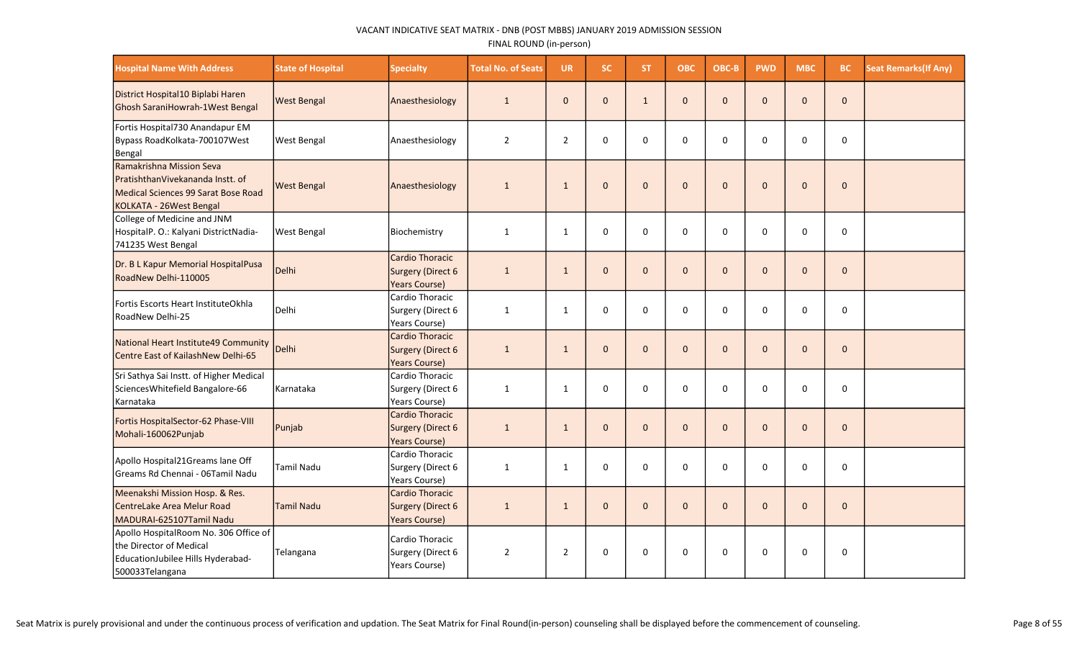| <b>Hospital Name With Address</b>                                                                                              | <b>State of Hospital</b> | <b>Specialty</b>                                                    | <b>Total No. of Seats</b> | <b>UR</b>      | <b>SC</b>    | <b>ST</b>    | <b>OBC</b>   | OBC-B        | <b>PWD</b>   | <b>MBC</b> | <b>BC</b>    | <b>Seat Remarks(If Any)</b> |
|--------------------------------------------------------------------------------------------------------------------------------|--------------------------|---------------------------------------------------------------------|---------------------------|----------------|--------------|--------------|--------------|--------------|--------------|------------|--------------|-----------------------------|
| District Hospital10 Biplabi Haren<br>Ghosh SaraniHowrah-1West Bengal                                                           | <b>West Bengal</b>       | Anaesthesiology                                                     | $\mathbf{1}$              | $\mathbf{0}$   | $\mathbf{0}$ | $\mathbf{1}$ | $\pmb{0}$    | $\Omega$     | $\mathbf{0}$ | $\Omega$   | $\mathbf 0$  |                             |
| Fortis Hospital730 Anandapur EM<br>Bypass RoadKolkata-700107West<br>Bengal                                                     | West Bengal              | Anaesthesiology                                                     | $\overline{2}$            | $\overline{2}$ | $\mathbf 0$  | $\Omega$     | $\mathbf 0$  | $\Omega$     | $\Omega$     | $\Omega$   | $\mathbf 0$  |                             |
| Ramakrishna Mission Seva<br>PratishthanVivekananda Instt. of<br>Medical Sciences 99 Sarat Bose Road<br>KOLKATA - 26West Bengal | <b>West Bengal</b>       | Anaesthesiology                                                     | $\mathbf{1}$              | $\mathbf{1}$   | $\mathbf{0}$ | $\mathbf{0}$ | $\mathbf 0$  | $\Omega$     | $\Omega$     | $\Omega$   | $\mathbf{0}$ |                             |
| College of Medicine and JNM<br>HospitalP. O.: Kalyani DistrictNadia-<br>741235 West Bengal                                     | <b>West Bengal</b>       | Biochemistry                                                        | $\mathbf{1}$              | $\mathbf{1}$   | $\mathbf 0$  | $\Omega$     | 0            | $\Omega$     | $\Omega$     | $\Omega$   | 0            |                             |
| Dr. B L Kapur Memorial HospitalPusa<br>RoadNew Delhi-110005                                                                    | Delhi                    | <b>Cardio Thoracic</b><br>Surgery (Direct 6<br><b>Years Course)</b> | $\mathbf{1}$              | $\mathbf{1}$   | $\mathbf{0}$ | $\mathbf{0}$ | $\mathbf{0}$ | $\mathbf{0}$ | $\Omega$     | $\Omega$   | $\mathbf{0}$ |                             |
| Fortis Escorts Heart InstituteOkhla<br>RoadNew Delhi-25                                                                        | Delhi                    | Cardio Thoracic<br>Surgery (Direct 6<br>Years Course)               | $\mathbf{1}$              | $\mathbf{1}$   | $\mathbf 0$  | $\Omega$     | $\mathbf 0$  | $\Omega$     | $\Omega$     | $\Omega$   | 0            |                             |
| National Heart Institute49 Community<br>Centre East of KailashNew Delhi-65                                                     | Delhi                    | <b>Cardio Thoracic</b><br>Surgery (Direct 6<br><b>Years Course)</b> | $\mathbf{1}$              | $\mathbf{1}$   | $\mathbf{0}$ | $\Omega$     | $\mathbf{0}$ | $\Omega$     | $\mathbf{0}$ | $\Omega$   | $\mathbf{0}$ |                             |
| Sri Sathya Sai Instt. of Higher Medical<br>Sciences Whitefield Bangalore-66<br>Karnataka                                       | Karnataka                | Cardio Thoracic<br>Surgery (Direct 6<br>Years Course)               | $\mathbf{1}$              | $\mathbf{1}$   | $\mathbf 0$  | $\Omega$     | $\mathbf 0$  | $\Omega$     | 0            | $\Omega$   | $\mathbf 0$  |                             |
| Fortis HospitalSector-62 Phase-VIII<br>Mohali-160062Punjab                                                                     | Punjab                   | <b>Cardio Thoracic</b><br>Surgery (Direct 6<br><b>Years Course)</b> | $\mathbf{1}$              | $\mathbf{1}$   | $\mathbf{0}$ | $\mathbf{0}$ | $\mathbf{0}$ | $\mathbf{0}$ | $\Omega$     | $\Omega$   | $\Omega$     |                             |
| Apollo Hospital21Greams lane Off<br>Greams Rd Chennai - 06Tamil Nadu                                                           | <b>Tamil Nadu</b>        | Cardio Thoracic<br>Surgery (Direct 6<br>Years Course)               | $\mathbf{1}$              | $\mathbf{1}$   | $\Omega$     | $\Omega$     | $\Omega$     | $\Omega$     | $\Omega$     | $\Omega$   | $\mathbf 0$  |                             |
| Meenakshi Mission Hosp. & Res.<br>CentreLake Area Melur Road<br>MADURAI-625107Tamil Nadu                                       | <b>Tamil Nadu</b>        | <b>Cardio Thoracic</b><br>Surgery (Direct 6<br><b>Years Course)</b> | $\mathbf{1}$              | $\mathbf{1}$   | $\mathbf{0}$ | $\Omega$     | $\mathbf 0$  | $\Omega$     | $\Omega$     | $\Omega$   | $\mathbf{0}$ |                             |
| Apollo HospitalRoom No. 306 Office of<br>the Director of Medical<br>EducationJubilee Hills Hyderabad-<br>500033Telangana       | Telangana                | Cardio Thoracic<br>Surgery (Direct 6<br>Years Course)               | $\overline{2}$            | $\overline{2}$ | $\mathbf 0$  | 0            | $\mathbf 0$  | $\mathbf 0$  | 0            | $\Omega$   | $\mathbf 0$  |                             |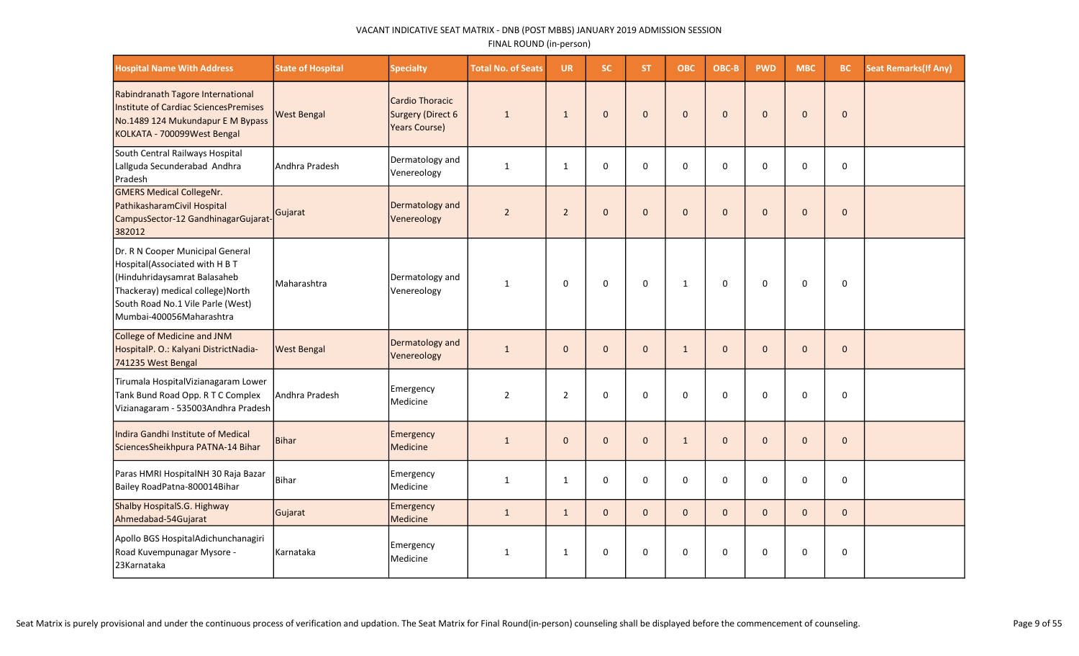| <b>Hospital Name With Address</b>                                                                                                                                                                      | <b>State of Hospital</b> | <b>Specialty</b>                                             | <b>Total No. of Seats</b> | <b>UR</b>      | <b>SC</b>    | ST.          | <b>OBC</b>   | OBC-B        | <b>PWD</b>   | <b>MBC</b> | <b>BC</b>    | <b>Seat Remarks (If Any)</b> |
|--------------------------------------------------------------------------------------------------------------------------------------------------------------------------------------------------------|--------------------------|--------------------------------------------------------------|---------------------------|----------------|--------------|--------------|--------------|--------------|--------------|------------|--------------|------------------------------|
| Rabindranath Tagore International<br>Institute of Cardiac SciencesPremises<br>No.1489 124 Mukundapur E M Bypass<br>KOLKATA - 700099West Bengal                                                         | <b>West Bengal</b>       | Cardio Thoracic<br>Surgery (Direct 6<br><b>Years Course)</b> | $\mathbf{1}$              | $\mathbf{1}$   | $\mathbf 0$  | $\mathbf{0}$ | $\pmb{0}$    | $\Omega$     | $\bf 0$      | $\Omega$   | $\mathbf 0$  |                              |
| South Central Railways Hospital<br>Lallguda Secunderabad Andhra<br>Pradesh                                                                                                                             | Andhra Pradesh           | Dermatology and<br>Venereology                               | $\mathbf{1}$              | $\mathbf{1}$   | $\mathbf 0$  | $\Omega$     | $\mathbf 0$  | $\Omega$     | 0            | $\Omega$   | $\mathbf 0$  |                              |
| <b>GMERS Medical CollegeNr.</b><br>PathikasharamCivil Hospital<br>CampusSector-12 GandhinagarGujarat-<br>382012                                                                                        | Gujarat                  | Dermatology and<br>Venereology                               | $\mathbf 2$               | $\overline{2}$ | $\mathbf 0$  | $\mathbf{0}$ | $\mathbf 0$  | $\mathbf{0}$ | $\mathbf 0$  | $\Omega$   | $\mathbf 0$  |                              |
| Dr. R N Cooper Municipal General<br>Hospital(Associated with H B T<br>Hinduhridaysamrat Balasaheb<br>Thackeray) medical college)North<br>South Road No.1 Vile Parle (West)<br>Mumbai-400056Maharashtra | Maharashtra              | Dermatology and<br>Venereology                               | 1                         | $\mathbf 0$    | $\mathbf 0$  | $\mathbf 0$  | $\mathbf{1}$ | $\mathbf 0$  | $\Omega$     | $\Omega$   | $\mathbf 0$  |                              |
| College of Medicine and JNM<br>HospitalP. O.: Kalyani DistrictNadia-<br>741235 West Bengal                                                                                                             | <b>West Bengal</b>       | Dermatology and<br>Venereology                               | $\mathbf{1}$              | $\mathbf{0}$   | $\mathbf{0}$ | $\mathbf{0}$ | $\mathbf{1}$ | $\mathbf{0}$ | $\mathbf{0}$ | $\Omega$   | $\mathbf{0}$ |                              |
| Tirumala HospitalVizianagaram Lower<br>Tank Bund Road Opp. R T C Complex<br>Vizianagaram - 535003Andhra Pradesh                                                                                        | Andhra Pradesh           | <b>Emergency</b><br>Medicine                                 | $\overline{2}$            | $\overline{2}$ | $\mathbf 0$  | $\mathbf{0}$ | $\mathbf 0$  | $\Omega$     | $\Omega$     | $\Omega$   | $\mathbf 0$  |                              |
| Indira Gandhi Institute of Medical<br>SciencesSheikhpura PATNA-14 Bihar                                                                                                                                | <b>Bihar</b>             | <b>Emergency</b><br>Medicine                                 | $\mathbf{1}$              | $\mathbf{0}$   | $\mathbf{0}$ | $\mathbf{0}$ | $\mathbf{1}$ | $\mathbf{0}$ | $\mathbf{0}$ | $\Omega$   | $\mathbf{0}$ |                              |
| Paras HMRI HospitalNH 30 Raja Bazar<br>Bailey RoadPatna-800014Bihar                                                                                                                                    | Bihar                    | Emergency<br>Medicine                                        | $\mathbf{1}$              | $\mathbf{1}$   | $\mathbf 0$  | $\Omega$     | $\mathbf 0$  | $\Omega$     | 0            | $\Omega$   | $\mathbf 0$  |                              |
| Shalby HospitalS.G. Highway<br>Ahmedabad-54Gujarat                                                                                                                                                     | Gujarat                  | Emergency<br>Medicine                                        | $\mathbf{1}$              | $\mathbf{1}$   | $\mathbf{0}$ | $\Omega$     | $\mathbf{0}$ | $\Omega$     | $\Omega$     | $\Omega$   | $\mathbf{0}$ |                              |
| Apollo BGS HospitalAdichunchanagiri<br>Road Kuvempunagar Mysore -<br>23Karnataka                                                                                                                       | Karnataka                | Emergency<br>Medicine                                        | $\mathbf{1}$              | $\mathbf{1}$   | $\Omega$     | $\Omega$     | $\Omega$     | $\Omega$     | $\Omega$     | $\Omega$   | $\pmb{0}$    |                              |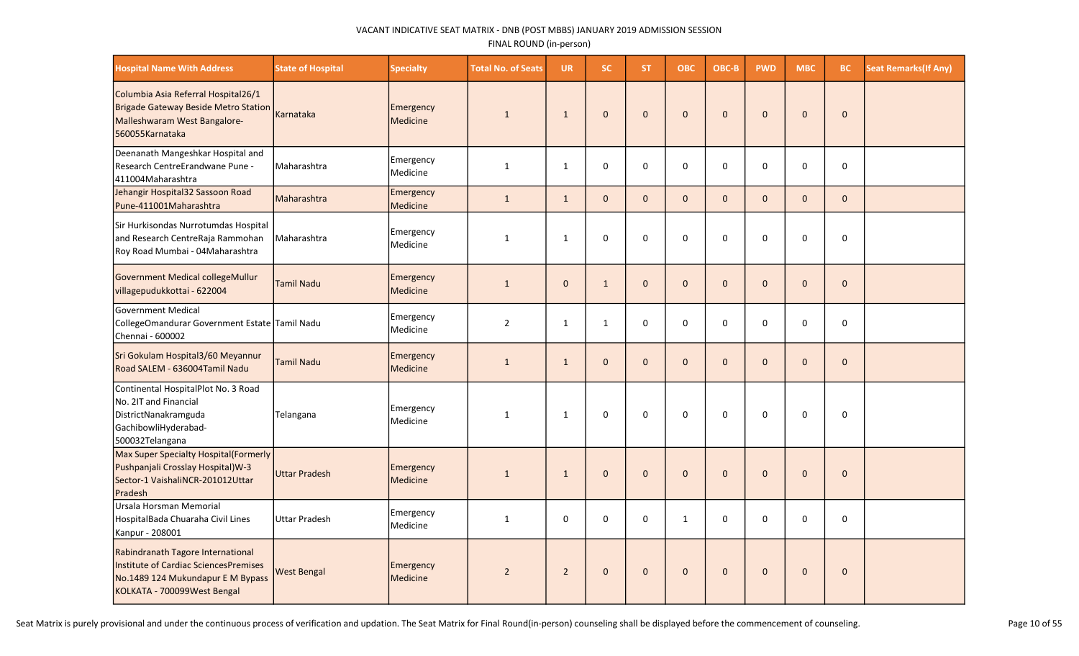| <b>Hospital Name With Address</b>                                                                                                              | <b>State of Hospital</b> | <b>Specialty</b>             | <b>Total No. of Seats</b> | <b>UR</b>      | <b>SC</b>    | ST.          | <b>OBC</b>   | OBC-B        | <b>PWD</b>   | <b>MBC</b>   | <b>BC</b>    | <b>Seat Remarks (If Any)</b> |
|------------------------------------------------------------------------------------------------------------------------------------------------|--------------------------|------------------------------|---------------------------|----------------|--------------|--------------|--------------|--------------|--------------|--------------|--------------|------------------------------|
| Columbia Asia Referral Hospital26/1<br>Brigade Gateway Beside Metro Station<br>Malleshwaram West Bangalore-<br>560055Karnataka                 | Karnataka                | Emergency<br>Medicine        | $\mathbf{1}$              | $\mathbf{1}$   | $\mathbf{0}$ | $\mathbf{0}$ | $\mathbf 0$  | $\mathbf{0}$ | $\mathbf{0}$ | $\mathbf{0}$ | $\mathbf{0}$ |                              |
| Deenanath Mangeshkar Hospital and<br>Research CentreErandwane Pune -<br>411004Maharashtra                                                      | Maharashtra              | Emergency<br>Medicine        | $\mathbf{1}$              | 1              | $\mathbf 0$  | $\Omega$     | $\mathbf 0$  | $\Omega$     | 0            | 0            | $\mathbf 0$  |                              |
| Jehangir Hospital32 Sassoon Road<br>Pune-411001Maharashtra                                                                                     | Maharashtra              | Emergency<br>Medicine        | $\mathbf{1}$              | $\mathbf{1}$   | $\mathbf{0}$ | $\mathbf{0}$ | $\mathbf 0$  | $\mathbf{0}$ | $\mathbf{0}$ | $\mathbf{0}$ | $\mathbf 0$  |                              |
| Sir Hurkisondas Nurrotumdas Hospital<br>and Research CentreRaja Rammohan<br>Roy Road Mumbai - 04Maharashtra                                    | Maharashtra              | Emergency<br>Medicine        | $\mathbf 1$               | $\mathbf{1}$   | $\Omega$     | $\mathbf 0$  | 0            | $\mathbf 0$  | 0            | 0            | 0            |                              |
| Government Medical collegeMullur<br>villagepudukkottai - 622004                                                                                | <b>Tamil Nadu</b>        | Emergency<br>Medicine        | $\mathbf{1}$              | $\mathbf 0$    | $\mathbf{1}$ | $\mathbf{0}$ | $\mathbf 0$  | $\Omega$     | $\mathbf{0}$ | $\mathbf{0}$ | $\mathbf 0$  |                              |
| Government Medical<br>CollegeOmandurar Government Estate Tamil Nadu<br>Chennai - 600002                                                        |                          | Emergency<br>Medicine        | $\overline{2}$            | 1              | 1            | 0            | 0            | $\Omega$     | $\mathbf 0$  | 0            | $\pmb{0}$    |                              |
| Sri Gokulam Hospital3/60 Meyannur<br>Road SALEM - 636004Tamil Nadu                                                                             | <b>Tamil Nadu</b>        | Emergency<br>Medicine        | $\mathbf 1$               | $\mathbf{1}$   | $\pmb{0}$    | $\mathbf{0}$ | $\pmb{0}$    | $\mathbf{0}$ | $\mathbf{0}$ | $\mathbf{0}$ | $\pmb{0}$    |                              |
| Continental HospitalPlot No. 3 Road<br>No. 2IT and Financial<br>DistrictNanakramguda<br>GachibowliHyderabad-<br>500032Telangana                | Telangana                | Emergency<br>Medicine        | $\mathbf{1}$              | 1              | 0            | 0            | 0            | $\mathbf 0$  | 0            | 0            | $\mathbf 0$  |                              |
| Max Super Specialty Hospital(Formerly<br>Pushpanjali Crosslay Hospital)W-3<br>Sector-1 VaishaliNCR-201012Uttar<br>Pradesh                      | Uttar Pradesh            | Emergency<br>Medicine        | $\mathbf{1}$              | $\mathbf{1}$   | $\mathbf{0}$ | $\mathbf{0}$ | $\mathbf 0$  | $\mathbf{0}$ | $\mathbf{0}$ | $\mathbf{0}$ | $\mathbf 0$  |                              |
| Ursala Horsman Memorial<br>HospitalBada Chuaraha Civil Lines<br>Kanpur - 208001                                                                | Uttar Pradesh            | Emergency<br>Medicine        | $\mathbf{1}$              | $\Omega$       | $\Omega$     | $\Omega$     | $\mathbf{1}$ | $\Omega$     | $\Omega$     | $\Omega$     | 0            |                              |
| Rabindranath Tagore International<br>Institute of Cardiac SciencesPremises<br>No.1489 124 Mukundapur E M Bypass<br>KOLKATA - 700099West Bengal | <b>West Bengal</b>       | Emergency<br><b>Medicine</b> | $\overline{2}$            | $\overline{2}$ | $\pmb{0}$    | $\mathbf{0}$ | $\bf 0$      | $\mathbf{0}$ | $\mathbf 0$  | $\mathbf{0}$ | $\mathbf 0$  |                              |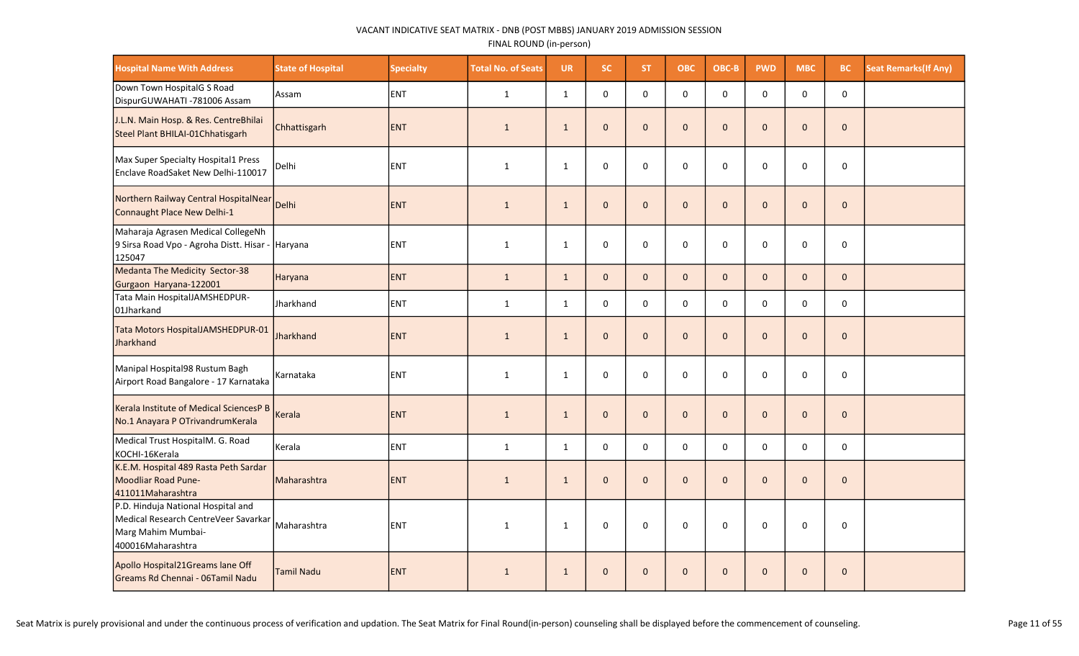| <b>Hospital Name With Address</b>                                                                                     | <b>State of Hospital</b> | <b>Specialty</b> | <b>Total No. of Seats</b> | <b>UR</b>    | <b>SC</b>    | <b>ST</b>    | ОВС          | OBC-B        | <b>PWD</b>   | <b>MBC</b>   | <b>BC</b>    | <b>Seat Remarks (If Any)</b> |
|-----------------------------------------------------------------------------------------------------------------------|--------------------------|------------------|---------------------------|--------------|--------------|--------------|--------------|--------------|--------------|--------------|--------------|------------------------------|
| Down Town HospitalG S Road<br>DispurGUWAHATI -781006 Assam                                                            | Assam                    | ENT              | $\mathbf{1}$              | $\mathbf{1}$ | $\mathbf 0$  | $\mathbf 0$  | 0            | $\mathbf 0$  | 0            | $\mathbf 0$  | 0            |                              |
| J.L.N. Main Hosp. & Res. CentreBhilai<br>Steel Plant BHILAI-01Chhatisgarh                                             | Chhattisgarh             | <b>ENT</b>       | $\mathbf{1}$              | $\mathbf{1}$ | $\mathbf{0}$ | $\mathbf{0}$ | $\mathbf 0$  | $\mathbf{0}$ | $\mathbf{0}$ | $\mathbf{0}$ | $\mathbf{0}$ |                              |
| Max Super Specialty Hospital1 Press<br>Enclave RoadSaket New Delhi-110017                                             | Delhi                    | <b>ENT</b>       | $\mathbf{1}$              | $\mathbf{1}$ | $\mathbf 0$  | $\mathbf 0$  | $\mathsf{O}$ | $\mathbf 0$  | $\mathbf 0$  | $\Omega$     | $\mathbf 0$  |                              |
| Northern Railway Central HospitalNear<br>Connaught Place New Delhi-1                                                  | Delhi                    | <b>ENT</b>       | $\mathbf{1}$              | $\mathbf{1}$ | $\mathbf{0}$ | $\mathbf{0}$ | $\mathbf{0}$ | $\mathbf{0}$ | $\mathbf{0}$ | $\mathbf{0}$ | $\mathbf{0}$ |                              |
| Maharaja Agrasen Medical CollegeNh<br>9 Sirsa Road Vpo - Agroha Distt. Hisar -<br>125047                              | Haryana                  | ENT              | $\mathbf{1}$              | $\mathbf{1}$ | $\mathbf 0$  | $\mathbf 0$  | $\mathsf{O}$ | $\mathbf 0$  | $\mathbf 0$  | $\Omega$     | $\mathbf 0$  |                              |
| Medanta The Medicity Sector-38<br>Gurgaon Haryana-122001                                                              | Haryana                  | <b>ENT</b>       | $\mathbf{1}$              | $\mathbf{1}$ | $\mathbf{0}$ | $\mathbf{0}$ | $\mathbf{0}$ | $\mathbf{0}$ | $\mathbf{0}$ | $\mathbf{0}$ | $\mathbf{0}$ |                              |
| Tata Main HospitalJAMSHEDPUR-<br>01Jharkand                                                                           | Jharkhand                | ENT              | $\mathbf{1}$              | $\mathbf{1}$ | $\mathsf 0$  | $\mathbf 0$  | $\mathsf{O}$ | $\mathbf 0$  | $\mathsf{o}$ | $\Omega$     | $\mathbf 0$  |                              |
| Tata Motors HospitalJAMSHEDPUR-01<br>Jharkhand                                                                        | Jharkhand                | <b>ENT</b>       | $\mathbf{1}$              | $\mathbf{1}$ | $\mathbf{0}$ | $\mathbf{0}$ | $\mathbf 0$  | $\mathbf{0}$ | $\mathbf{0}$ | $\mathbf{0}$ | $\mathbf{0}$ |                              |
| Manipal Hospital98 Rustum Bagh<br>Airport Road Bangalore - 17 Karnataka                                               | Karnataka                | ENT              | $\mathbf{1}$              | $\mathbf{1}$ | $\mathsf 0$  | $\mathbf 0$  | 0            | 0            | 0            | $\Omega$     | $\pmb{0}$    |                              |
| Kerala Institute of Medical SciencesP B<br>No.1 Anayara P OTrivandrumKerala                                           | Kerala                   | <b>ENT</b>       | $\mathbf{1}$              | $\mathbf{1}$ | $\mathbf 0$  | $\mathbf{0}$ | $\mathbf 0$  | $\mathbf{0}$ | $\mathbf{0}$ | $\mathbf{0}$ | $\mathbf{0}$ |                              |
| Medical Trust HospitalM. G. Road<br>KOCHI-16Kerala                                                                    | Kerala                   | ENT              | $\mathbf{1}$              | $\mathbf{1}$ | $\mathbf 0$  | $\mathbf 0$  | $\mathsf{O}$ | $\mathbf 0$  | $\mathsf{o}$ | $\Omega$     | $\mathsf 0$  |                              |
| K.E.M. Hospital 489 Rasta Peth Sardar<br>Moodliar Road Pune-<br>411011Maharashtra                                     | Maharashtra              | <b>ENT</b>       | $\mathbf{1}$              | $\mathbf{1}$ | $\mathbf{0}$ | $\mathbf{0}$ | $\mathbf{0}$ | $\mathbf{0}$ | $\mathbf{0}$ | $\Omega$     | $\mathbf{0}$ |                              |
| P.D. Hinduja National Hospital and<br>Medical Research CentreVeer Savarkar<br>Marg Mahim Mumbai-<br>400016Maharashtra | Maharashtra              | ENT              | $\mathbf{1}$              | $\mathbf{1}$ | $\mathbf 0$  | $\mathbf 0$  | $\mathbf 0$  | $\mathbf 0$  | $\mathbf 0$  | $\mathbf 0$  | $\mathbf 0$  |                              |
| Apollo Hospital21Greams lane Off<br>Greams Rd Chennai - 06Tamil Nadu                                                  | <b>Tamil Nadu</b>        | <b>ENT</b>       | $\mathbf{1}$              | $\mathbf{1}$ | $\mathbf{0}$ | $\mathbf{0}$ | $\mathbf 0$  | $\mathbf{0}$ | $\mathbf{0}$ | $\mathbf{0}$ | $\mathbf{0}$ |                              |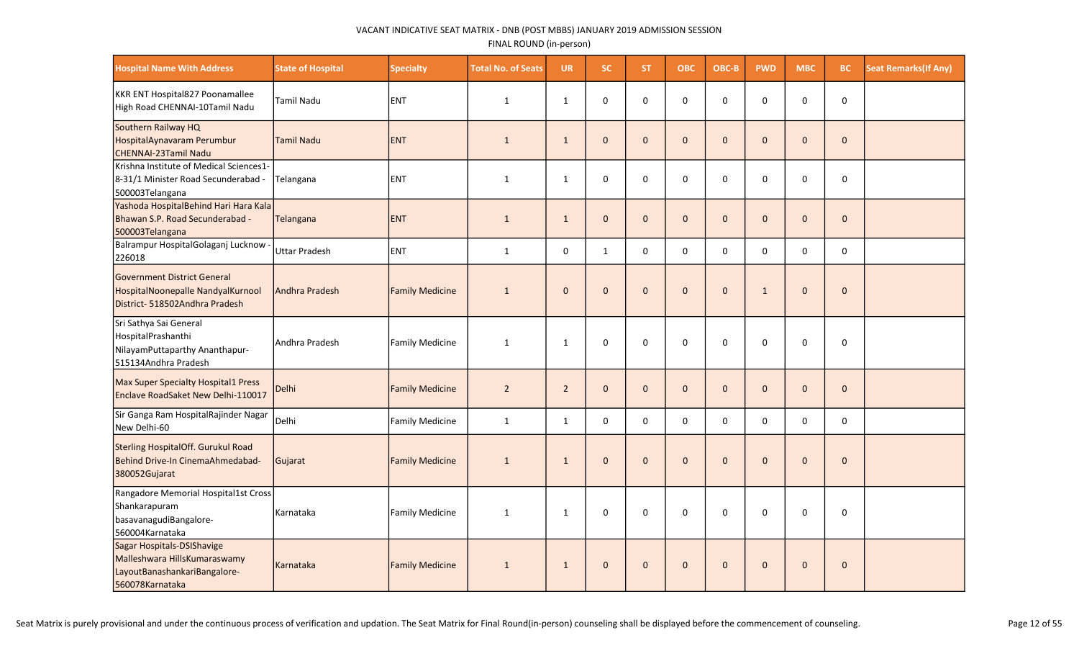| <b>Hospital Name With Address</b>                                                                             | <b>State of Hospital</b> | <b>Specialty</b>       | <b>Total No. of Seats</b> | <b>UR</b>      | SC.          | ST.          | <b>OBC</b>          | OBC-B        | <b>PWD</b>   | <b>MBC</b>   | BC           | <b>Seat Remarks (If Any)</b> |
|---------------------------------------------------------------------------------------------------------------|--------------------------|------------------------|---------------------------|----------------|--------------|--------------|---------------------|--------------|--------------|--------------|--------------|------------------------------|
| KKR ENT Hospital827 Poonamallee<br>High Road CHENNAI-10Tamil Nadu                                             | <b>Tamil Nadu</b>        | ENT                    | $\mathbf{1}$              | 1              | $\Omega$     | $\Omega$     | $\mathbf 0$         | $\Omega$     | $\mathbf 0$  | $\Omega$     | $\pmb{0}$    |                              |
| Southern Railway HQ<br>HospitalAynavaram Perumbur<br>CHENNAI-23Tamil Nadu                                     | Tamil Nadu               | <b>IENT</b>            | $\mathbf{1}$              | $\mathbf{1}$   | $\mathbf{0}$ | $\mathbf{0}$ | $\mathsf{O}\xspace$ | $\mathbf{0}$ | $\mathbf{0}$ | $\mathbf{0}$ | $\mathbf{0}$ |                              |
| Krishna Institute of Medical Sciences1-<br>8-31/1 Minister Road Secunderabad -<br>500003Telangana             | Telangana                | <b>ENT</b>             | $\mathbf{1}$              | $\mathbf{1}$   | 0            | $\Omega$     | 0                   | $\Omega$     | $\Omega$     | $\Omega$     | 0            |                              |
| Yashoda HospitalBehind Hari Hara Kala<br>Bhawan S.P. Road Secunderabad -<br>500003Telangana                   | Telangana                | <b>ENT</b>             | $\mathbf{1}$              | $\mathbf{1}$   | $\mathbf{0}$ | $\mathbf{0}$ | $\mathbf{0}$        | $\Omega$     | $\Omega$     | $\Omega$     | $\mathbf 0$  |                              |
| Balrampur HospitalGolaganj Lucknow -<br>226018                                                                | <b>Uttar Pradesh</b>     | <b>ENT</b>             | $\mathbf{1}$              | $\mathbf 0$    | $\mathbf{1}$ | 0            | $\mathbf 0$         | 0            | $\mathbf 0$  | 0            | $\pmb{0}$    |                              |
| <b>Government District General</b><br>HospitalNoonepalle NandyalKurnool<br>District- 518502Andhra Pradesh     | Andhra Pradesh           | <b>Family Medicine</b> | $\mathbf{1}$              | $\mathbf{0}$   | $\mathbf{0}$ | $\mathbf{0}$ | $\mathbf{0}$        | $\mathbf{0}$ | $\mathbf{1}$ | $\mathbf{0}$ | $\mathbf{0}$ |                              |
| Sri Sathya Sai General<br>HospitalPrashanthi<br>NilayamPuttaparthy Ananthapur-<br>515134Andhra Pradesh        | Andhra Pradesh           | Family Medicine        | 1                         | $\mathbf{1}$   | $\mathbf 0$  | $\Omega$     | $\mathbf 0$         | $\Omega$     | $\Omega$     | $\Omega$     | $\mathbf 0$  |                              |
| Max Super Specialty Hospital1 Press<br>Enclave RoadSaket New Delhi-110017                                     | Delhi                    | <b>Family Medicine</b> | $\overline{2}$            | $\overline{2}$ | $\mathbf 0$  | $\mathbf{0}$ | $\mathsf{O}\xspace$ | $\Omega$     | $\mathbf{0}$ | $\mathbf{0}$ | $\pmb{0}$    |                              |
| Sir Ganga Ram HospitalRajinder Nagar<br>New Delhi-60                                                          | Delhi                    | Family Medicine        | $\mathbf{1}$              | $\mathbf{1}$   | $\Omega$     | $\Omega$     | $\Omega$            | $\Omega$     | $\Omega$     | $\Omega$     | $\Omega$     |                              |
| Sterling HospitalOff. Gurukul Road<br>Behind Drive-In CinemaAhmedabad-<br>380052Gujarat                       | Gujarat                  | <b>Family Medicine</b> | $\mathbf{1}$              | $\mathbf{1}$   | $\mathbf{0}$ | $\Omega$     | $\pmb{0}$           | $\Omega$     | $\Omega$     | $\Omega$     | $\mathbf 0$  |                              |
| Rangadore Memorial Hospital1st Cross<br>Shankarapuram<br>basavanagudiBangalore-<br>560004Karnataka            | Karnataka                | Family Medicine        | $\mathbf{1}$              | $\mathbf{1}$   | $\mathbf 0$  | 0            | $\mathbf 0$         | $\Omega$     | $\mathbf 0$  | 0            | 0            |                              |
| Sagar Hospitals-DSIShavige<br>Malleshwara HillsKumaraswamy<br>LayoutBanashankariBangalore-<br>560078Karnataka | Karnataka                | <b>Family Medicine</b> | $\mathbf{1}$              | $\mathbf{1}$   | $\mathbf 0$  | $\mathbf{0}$ | $\mathbf 0$         | $\Omega$     | $\Omega$     | $\Omega$     | $\mathbf 0$  |                              |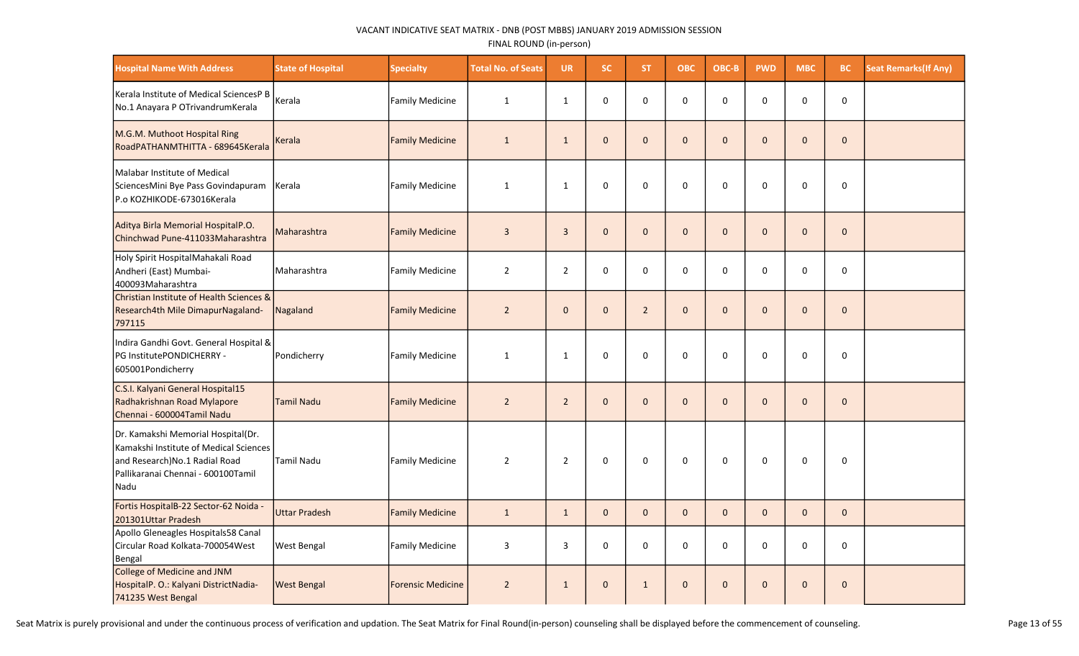| <b>Hospital Name With Address</b>                                                                                                                           | <b>State of Hospital</b> | <b>Specialty</b>         | <b>Total No. of Seats</b> | <b>UR</b>      | <b>SC</b>    | <b>ST</b>      | <b>OBC</b>   | OBC-B        | <b>PWD</b>   | <b>MBC</b>   | BC           | <b>Seat Remarks (If Any)</b> |
|-------------------------------------------------------------------------------------------------------------------------------------------------------------|--------------------------|--------------------------|---------------------------|----------------|--------------|----------------|--------------|--------------|--------------|--------------|--------------|------------------------------|
| Kerala Institute of Medical SciencesP B<br>No.1 Anayara P OTrivandrumKerala                                                                                 | Kerala                   | <b>Family Medicine</b>   | $\mathbf{1}$              | $\mathbf{1}$   | 0            | $\Omega$       | $\mathbf 0$  | $\Omega$     | $\mathbf 0$  | 0            | 0            |                              |
| M.G.M. Muthoot Hospital Ring<br>RoadPATHANMTHITTA - 689645Kerala                                                                                            | Kerala                   | <b>Family Medicine</b>   | $\mathbf{1}$              | $\mathbf{1}$   | $\mathbf{0}$ | $\mathbf{0}$   | $\mathbf 0$  | $\mathbf{0}$ | $\mathbf 0$  | $\mathbf{0}$ | $\mathbf 0$  |                              |
| Malabar Institute of Medical<br>SciencesMini Bye Pass Govindapuram<br>P.o KOZHIKODE-673016Kerala                                                            | Kerala                   | Family Medicine          | $\mathbf{1}$              | $\mathbf{1}$   | 0            | 0              | $\mathbf 0$  | $\mathbf 0$  | $\mathbf 0$  | 0            | 0            |                              |
| Aditya Birla Memorial HospitalP.O.<br>Chinchwad Pune-411033Maharashtra                                                                                      | Maharashtra              | <b>Family Medicine</b>   | $\overline{3}$            | $\overline{3}$ | $\mathbf{0}$ | $\mathbf{0}$   | $\mathbf 0$  | $\mathbf{0}$ | $\mathbf{0}$ | $\mathbf{0}$ | $\mathbf 0$  |                              |
| Holy Spirit HospitalMahakali Road<br>Andheri (East) Mumbai-<br>400093Maharashtra                                                                            | Maharashtra              | <b>Family Medicine</b>   | $\overline{2}$            | $\overline{2}$ | $\mathbf 0$  | $\Omega$       | $\mathbf 0$  | 0            | $\mathbf 0$  | $\mathbf 0$  | $\mathbf 0$  |                              |
| Christian Institute of Health Sciences &<br>Research4th Mile DimapurNagaland-<br>797115                                                                     | Nagaland                 | <b>Family Medicine</b>   | $\overline{2}$            | $\mathbf{0}$   | $\mathbf{0}$ | $\overline{2}$ | $\mathbf 0$  | $\mathbf{0}$ | $\mathbf{0}$ | $\mathbf{0}$ | $\mathbf 0$  |                              |
| Indira Gandhi Govt. General Hospital &<br>PG InstitutePONDICHERRY -<br>605001Pondicherry                                                                    | Pondicherry              | <b>Family Medicine</b>   | 1                         | $\mathbf{1}$   | 0            | $\Omega$       | $\mathbf 0$  | $\mathbf 0$  | $\mathbf 0$  | 0            | 0            |                              |
| C.S.I. Kalyani General Hospital15<br>Radhakrishnan Road Mylapore<br>Chennai - 600004Tamil Nadu                                                              | <b>Tamil Nadu</b>        | <b>Family Medicine</b>   | $\overline{2}$            | $\overline{2}$ | $\mathbf{0}$ | $\Omega$       | $\mathbf 0$  | $\Omega$     | $\mathbf{0}$ | $\Omega$     | $\mathbf{0}$ |                              |
| Dr. Kamakshi Memorial Hospital(Dr.<br>Kamakshi Institute of Medical Sciences<br>and Research)No.1 Radial Road<br>Pallikaranai Chennai - 600100Tamil<br>Nadu | <b>Tamil Nadu</b>        | Family Medicine          | $\overline{2}$            | $\overline{2}$ | 0            | 0              | $\pmb{0}$    | $\Omega$     | 0            | 0            | 0            |                              |
| Fortis HospitalB-22 Sector-62 Noida -<br>201301Uttar Pradesh                                                                                                | <b>Uttar Pradesh</b>     | <b>Family Medicine</b>   | $\mathbf{1}$              | $\mathbf{1}$   | $\mathbf{0}$ | $\mathbf{0}$   | $\mathbf{0}$ | $\mathbf{0}$ | $\mathbf{0}$ | $\mathbf{0}$ | $\pmb{0}$    |                              |
| Apollo Gleneagles Hospitals58 Canal<br>Circular Road Kolkata-700054West<br>Bengal                                                                           | <b>West Bengal</b>       | <b>Family Medicine</b>   | $\mathbf{3}$              | 3              | 0            | $\Omega$       | $\pmb{0}$    | 0            | 0            | $\Omega$     | 0            |                              |
| College of Medicine and JNM<br>HospitalP. O.: Kalyani DistrictNadia-<br>741235 West Bengal                                                                  | <b>West Bengal</b>       | <b>Forensic Medicine</b> | $\overline{2}$            | $\mathbf{1}$   | $\mathbf 0$  | $\mathbf{1}$   | $\mathbf 0$  | $\Omega$     | $\mathbf 0$  | $\Omega$     | $\mathbf{0}$ |                              |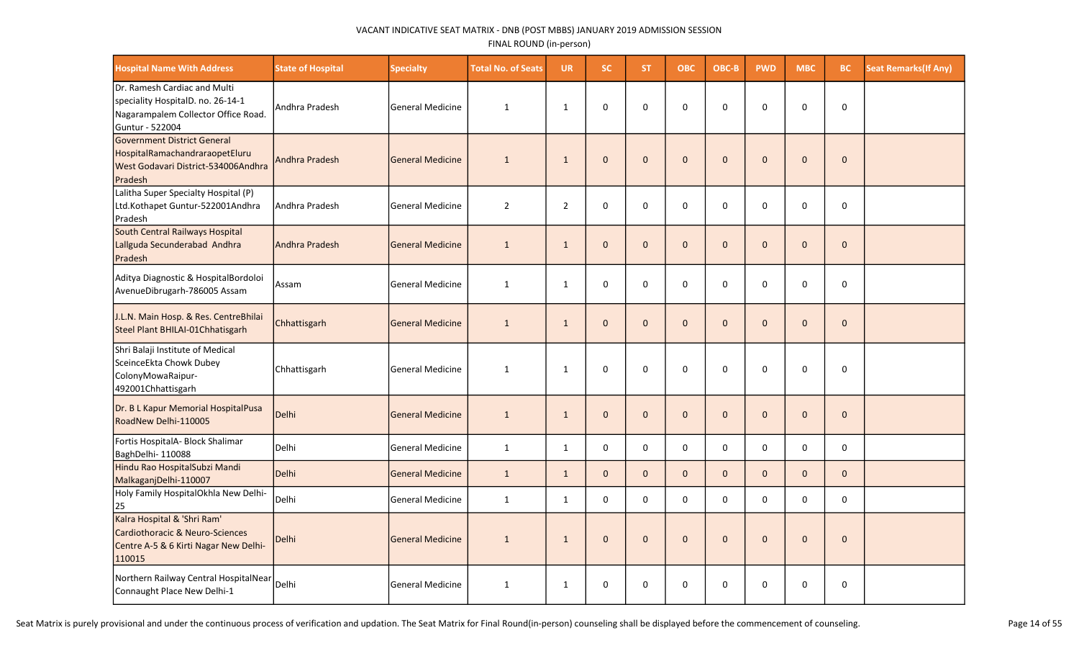| <b>Hospital Name With Address</b>                                                                                             | <b>State of Hospital</b> | <b>Specialty</b>        | <b>Total No. of Seats</b> | <b>UR</b>      | <b>SC</b>    | ST.          | <b>OBC</b>   | OBC-B        | <b>PWD</b>   | <b>MBC</b>   | <b>BC</b>    | <b>Seat Remarks (If Any)</b> |
|-------------------------------------------------------------------------------------------------------------------------------|--------------------------|-------------------------|---------------------------|----------------|--------------|--------------|--------------|--------------|--------------|--------------|--------------|------------------------------|
| IDr. Ramesh Cardiac and Multi<br>speciality HospitalD. no. 26-14-1<br>Nagarampalem Collector Office Road.<br> Guntur - 522004 | Andhra Pradesh           | <b>General Medicine</b> | $\mathbf{1}$              | $\mathbf{1}$   | $\mathbf 0$  | 0            | $\mathbf 0$  | 0            | 0            | $\Omega$     | $\mathbf 0$  |                              |
| Government District General<br>HospitalRamachandraraopetEluru<br>West Godavari District-534006Andhra<br>Pradesh               | <b>Andhra Pradesh</b>    | <b>General Medicine</b> | $\mathbf{1}$              | $\mathbf{1}$   | $\mathbf{0}$ | $\mathbf{0}$ | $\mathbf 0$  | $\Omega$     | $\mathbf 0$  | $\Omega$     | $\mathbf 0$  |                              |
| Lalitha Super Specialty Hospital (P)<br>Ltd.Kothapet Guntur-522001Andhra<br>Pradesh                                           | Andhra Pradesh           | <b>General Medicine</b> | $\overline{2}$            | $\overline{2}$ | 0            | 0            | 0            | 0            | 0            | $\Omega$     | $\mathbf 0$  |                              |
| South Central Railways Hospital<br>Lallguda Secunderabad Andhra<br>Pradesh                                                    | Andhra Pradesh           | <b>General Medicine</b> | $\mathbf{1}$              | $\mathbf{1}$   | $\mathbf{0}$ | $\mathbf{0}$ | $\mathbf{0}$ | $\mathbf{0}$ | $\mathbf{0}$ | $\mathbf{0}$ | $\mathbf 0$  |                              |
| Aditya Diagnostic & HospitalBordoloi<br>AvenueDibrugarh-786005 Assam                                                          | Assam                    | <b>General Medicine</b> | $\mathbf{1}$              | $\mathbf{1}$   | 0            | 0            | $\pmb{0}$    | 0            | 0            | $\Omega$     | 0            |                              |
| J.L.N. Main Hosp. & Res. CentreBhilai<br>Steel Plant BHILAI-01Chhatisgarh                                                     | Chhattisgarh             | <b>General Medicine</b> | $\mathbf{1}$              | $\mathbf{1}$   | $\mathbf{0}$ | $\mathbf{0}$ | $\mathbf{0}$ | $\mathbf{0}$ | $\mathbf{0}$ | $\mathbf{0}$ | $\mathbf{0}$ |                              |
| Shri Balaji Institute of Medical<br>SceinceEkta Chowk Dubey<br>ColonyMowaRaipur-<br>492001Chhattisgarh                        | Chhattisgarh             | <b>General Medicine</b> | $\mathbf{1}$              | $\mathbf{1}$   | $\mathbf 0$  | 0            | $\mathbf 0$  | 0            | $\Omega$     | $\Omega$     | $\Omega$     |                              |
| Dr. B L Kapur Memorial HospitalPusa<br>RoadNew Delhi-110005                                                                   | Delhi                    | <b>General Medicine</b> | $\mathbf{1}$              | $\mathbf{1}$   | $\mathbf{0}$ | $\mathbf{0}$ | $\mathbf 0$  | $\mathbf{0}$ | $\mathbf{0}$ | $\Omega$     | $\Omega$     |                              |
| Fortis HospitalA- Block Shalimar<br>BaghDelhi-110088                                                                          | Delhi                    | <b>General Medicine</b> | $\mathbf{1}$              | $\mathbf{1}$   | $\mathbf 0$  | 0            | $\mathbf 0$  | 0            | 0            | $\mathbf 0$  | 0            |                              |
| Hindu Rao HospitalSubzi Mandi<br>MalkaganjDelhi-110007                                                                        | Delhi                    | <b>General Medicine</b> | 1                         | $\mathbf{1}$   | $\mathbf{0}$ | $\mathbf{0}$ | $\mathbf{0}$ | $\mathbf{0}$ | $\mathbf{0}$ | $\Omega$     | $\mathbf{0}$ |                              |
| Holy Family HospitalOkhla New Delhi-<br>25                                                                                    | Delhi                    | <b>General Medicine</b> | $\mathbf{1}$              | $\mathbf{1}$   | $\mathbf 0$  | 0            | 0            | 0            | $\mathbf 0$  | $\Omega$     | $\mathbf 0$  |                              |
| Kalra Hospital & 'Shri Ram'<br><b>Cardiothoracic &amp; Neuro-Sciences</b><br>Centre A-5 & 6 Kirti Nagar New Delhi-<br>110015  | Delhi                    | <b>General Medicine</b> | $\mathbf{1}$              | $\mathbf{1}$   | $\mathbf{0}$ | $\mathbf{0}$ | $\mathbf 0$  | $\mathbf{0}$ | $\mathbf 0$  | $\mathbf{0}$ | $\mathbf 0$  |                              |
| Northern Railway Central HospitalNear<br>Connaught Place New Delhi-1                                                          | Delhi                    | <b>General Medicine</b> | $\mathbf{1}$              | $\mathbf{1}$   | $\mathbf 0$  | 0            | 0            | 0            | 0            | 0            | 0            |                              |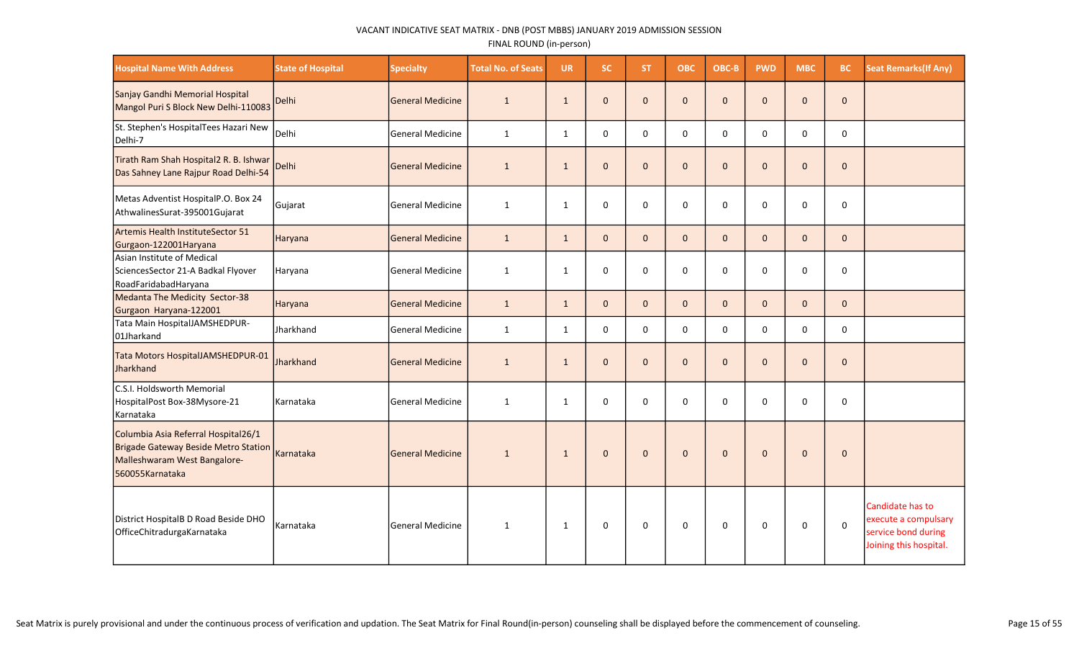| <b>Hospital Name With Address</b>                                                                                              | <b>State of Hospital</b> | <b>Specialty</b>        | <b>Total No. of Seats</b> | <b>UR</b>    | SC.          | ST.          | <b>OBC</b>   | OBC-B        | <b>PWD</b>   | <b>MBC</b>   | <b>BC</b>    | <b>Seat Remarks (If Any)</b>                                                              |
|--------------------------------------------------------------------------------------------------------------------------------|--------------------------|-------------------------|---------------------------|--------------|--------------|--------------|--------------|--------------|--------------|--------------|--------------|-------------------------------------------------------------------------------------------|
| Sanjay Gandhi Memorial Hospital<br>Mangol Puri S Block New Delhi-110083                                                        | Delhi                    | lGeneral Medicine       | 1                         | $\mathbf{1}$ | $\mathbf{0}$ | $\mathbf{0}$ | $\mathbf 0$  | $\mathbf{0}$ | $\mathbf{0}$ | $\Omega$     | $\mathbf{0}$ |                                                                                           |
| St. Stephen's HospitalTees Hazari New<br>Delhi-7                                                                               | Delhi                    | General Medicine        | $\mathbf{1}$              | 1            | $\mathbf{0}$ | $\Omega$     | $\Omega$     | $\Omega$     | $\Omega$     | $\Omega$     | $\Omega$     |                                                                                           |
| Tirath Ram Shah Hospital2 R. B. Ishwar<br>Das Sahney Lane Rajpur Road Delhi-54                                                 | Delhi                    | <b>General Medicine</b> | $\mathbf{1}$              | $\mathbf{1}$ | $\mathbf{0}$ | $\Omega$     | $\mathbf{0}$ | $\Omega$     | $\mathbf{0}$ | $\Omega$     | $\mathbf{0}$ |                                                                                           |
| Metas Adventist HospitalP.O. Box 24<br>AthwalinesSurat-395001Gujarat                                                           | Gujarat                  | General Medicine        | $\mathbf{1}$              | $\mathbf{1}$ | $\mathbf 0$  | $\mathbf 0$  | $\mathbf 0$  | 0            | 0            | $\Omega$     | $\mathbf 0$  |                                                                                           |
| Artemis Health InstituteSector 51<br>Gurgaon-122001Haryana                                                                     | Haryana                  | General Medicine        | $\mathbf{1}$              | $\mathbf{1}$ | $\mathbf{0}$ | $\mathbf{0}$ | $\mathbf{0}$ | $\mathbf{0}$ | $\mathbf{0}$ | $\mathbf{0}$ | $\mathbf{0}$ |                                                                                           |
| Asian Institute of Medical<br>SciencesSector 21-A Badkal Flyover<br>RoadFaridabadHaryana                                       | Haryana                  | lGeneral Medicine       | $\mathbf{1}$              | $\mathbf{1}$ | $\mathbf 0$  | $\mathbf 0$  | $\mathbf 0$  | $\Omega$     | 0            | $\Omega$     | $\mathbf 0$  |                                                                                           |
| Medanta The Medicity Sector-38<br>Gurgaon Haryana-122001                                                                       | Haryana                  | <b>General Medicine</b> | $\mathbf{1}$              | $\mathbf{1}$ | $\mathbf{0}$ | $\mathbf{0}$ | $\mathbf{0}$ | $\mathbf{0}$ | $\mathbf{0}$ | $\Omega$     | $\mathbf{0}$ |                                                                                           |
| Tata Main HospitalJAMSHEDPUR-<br>01Jharkand                                                                                    | Jharkhand                | General Medicine        | $\mathbf{1}$              | 1            | $\mathbf 0$  | 0            | 0            | 0            | 0            | $\Omega$     | $\mathbf 0$  |                                                                                           |
| Tata Motors HospitalJAMSHEDPUR-01<br>Jharkhand                                                                                 | Jharkhand                | General Medicine        | $\mathbf{1}$              | $\mathbf{1}$ | $\mathbf{0}$ | $\mathbf{0}$ | $\mathbf 0$  | $\mathbf{0}$ | $\mathbf{0}$ | $\mathbf{0}$ | $\mathbf 0$  |                                                                                           |
| C.S.I. Holdsworth Memorial<br>HospitalPost Box-38Mysore-21<br> Karnataka                                                       | Karnataka                | lGeneral Medicine       | 1                         | 1            | $\mathbf 0$  | 0            | $\mathbf 0$  | 0            | $\Omega$     | $\Omega$     | $\mathbf 0$  |                                                                                           |
| Columbia Asia Referral Hospital26/1<br>Brigade Gateway Beside Metro Station<br>Malleshwaram West Bangalore-<br>560055Karnataka | <b>Karnataka</b>         | General Medicine        | $\mathbf{1}$              | $\mathbf{1}$ | $\mathbf{0}$ | $\mathbf{0}$ | $\mathbf 0$  | $\mathbf{0}$ | $\mathbf 0$  | $\Omega$     | $\mathbf 0$  |                                                                                           |
| District HospitalB D Road Beside DHO<br>OfficeChitradurgaKarnataka                                                             | Karnataka                | General Medicine        | $\mathbf{1}$              | 1            | $\mathbf 0$  | $\mathbf 0$  | 0            | $\mathbf 0$  | 0            | $\mathbf 0$  | $\mathbf 0$  | Candidate has to<br>execute a compulsary<br>service bond during<br>Joining this hospital. |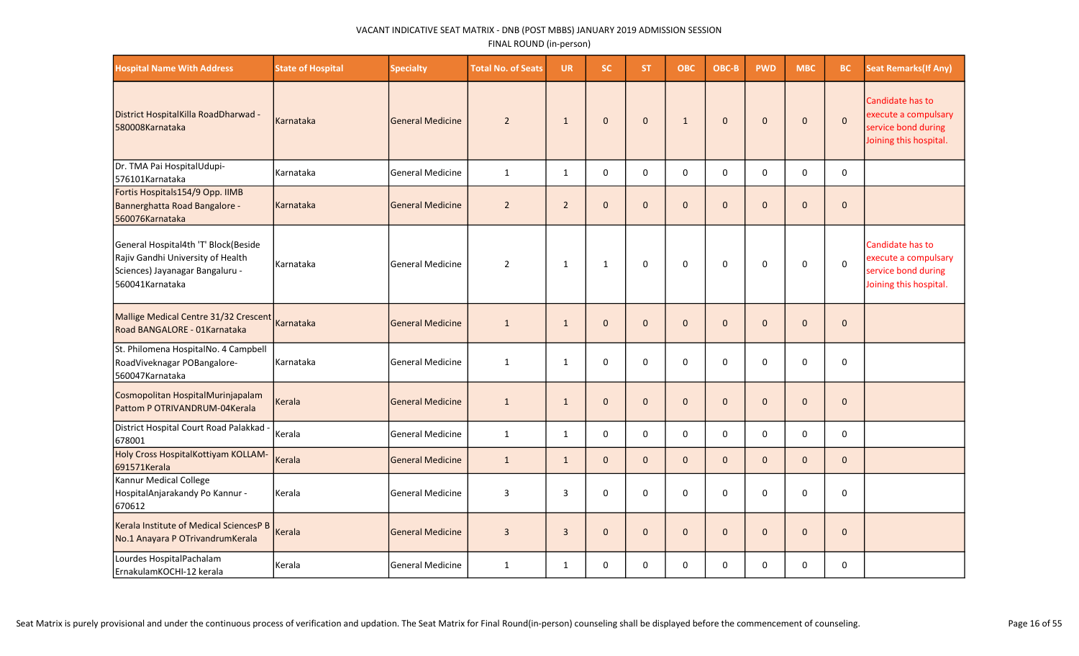| <b>Hospital Name With Address</b>                                                                                               | <b>State of Hospital</b> | <b>Specialty</b>        | <b>Total No. of Seats</b> | <b>UR</b>      | <b>SC</b>    | <b>ST</b>    | <b>OBC</b>   | OBC-B        | <b>PWD</b>   | <b>MBC</b>   | BC           | <b>Seat Remarks (If Any)</b>                                                              |
|---------------------------------------------------------------------------------------------------------------------------------|--------------------------|-------------------------|---------------------------|----------------|--------------|--------------|--------------|--------------|--------------|--------------|--------------|-------------------------------------------------------------------------------------------|
| District HospitalKilla RoadDharwad -<br>580008Karnataka                                                                         | Karnataka                | <b>General Medicine</b> | $\overline{2}$            | $\mathbf{1}$   | $\mathbf{0}$ | $\mathbf{0}$ | $\mathbf{1}$ | $\mathbf{0}$ | $\mathbf{0}$ | $\mathbf{0}$ | $\pmb{0}$    | Candidate has to<br>execute a compulsary<br>service bond during<br>Joining this hospital. |
| Dr. TMA Pai HospitalUdupi-<br>576101 Karnataka                                                                                  | Karnataka                | <b>General Medicine</b> | $\mathbf{1}$              | 1              | 0            | $\mathbf 0$  | 0            | $\mathbf 0$  | 0            | $\mathbf 0$  | 0            |                                                                                           |
| Fortis Hospitals154/9 Opp. IIMB<br>Bannerghatta Road Bangalore -<br>560076Karnataka                                             | l Karnataka              | <b>General Medicine</b> | $\overline{2}$            | $\overline{2}$ | $\mathbf{0}$ | $\Omega$     | $\mathbf 0$  | $\Omega$     | $\mathbf{0}$ | $\mathbf{0}$ | $\mathbf{0}$ |                                                                                           |
| General Hospital4th 'T' Block(Beside<br>Rajiv Gandhi University of Health<br>Sciences) Jayanagar Bangaluru -<br>560041Karnataka | Karnataka                | <b>General Medicine</b> | $\overline{2}$            | $\mathbf{1}$   | $\mathbf{1}$ | $\mathbf 0$  | 0            | $\mathbf 0$  | 0            | 0            | $\mathbf 0$  | Candidate has to<br>execute a compulsary<br>service bond during<br>Joining this hospital. |
| Mallige Medical Centre 31/32 Crescent<br>Road BANGALORE - 01Karnataka                                                           | Karnataka                | <b>General Medicine</b> | $\mathbf{1}$              | $\mathbf{1}$   | $\mathbf{0}$ | $\Omega$     | $\mathbf 0$  | $\Omega$     | $\mathbf{0}$ | $\mathbf{0}$ | $\mathbf 0$  |                                                                                           |
| St. Philomena HospitalNo. 4 Campbell<br>RoadViveknagar POBangalore-<br>560047Karnataka                                          | Karnataka                | <b>General Medicine</b> | $\mathbf{1}$              | $\mathbf{1}$   | 0            | 0            | 0            | $\mathbf 0$  | $\mathbf 0$  | 0            | 0            |                                                                                           |
| Cosmopolitan HospitalMurinjapalam<br>Pattom P OTRIVANDRUM-04Kerala                                                              | Kerala                   | <b>General Medicine</b> | $\mathbf{1}$              | $\mathbf{1}$   | $\mathbf 0$  | $\mathbf{0}$ | $\pmb{0}$    | $\mathbf{0}$ | $\mathbf 0$  | $\mathbf 0$  | $\mathbf 0$  |                                                                                           |
| District Hospital Court Road Palakkad -<br>678001                                                                               | Kerala                   | <b>General Medicine</b> | $\mathbf{1}$              | 1              | 0            | 0            | $\mathbf 0$  | $\mathbf 0$  | 0            | $\mathbf 0$  | 0            |                                                                                           |
| Holy Cross HospitalKottiyam KOLLAM-<br>691571Kerala                                                                             | Kerala                   | <b>General Medicine</b> | $\mathbf{1}$              | $\mathbf{1}$   | $\mathbf{0}$ | $\mathbf{0}$ | $\mathbf{0}$ | $\mathbf{0}$ | $\mathbf{0}$ | $\mathbf{0}$ | $\mathbf{0}$ |                                                                                           |
| Kannur Medical College<br>HospitalAnjarakandy Po Kannur -<br>670612                                                             | Kerala                   | <b>General Medicine</b> | $\overline{3}$            | 3              | 0            | 0            | $\mathbf 0$  | 0            | $\Omega$     | 0            | 0            |                                                                                           |
| Kerala Institute of Medical SciencesP B<br>No.1 Anayara P OTrivandrumKerala                                                     | Kerala                   | <b>General Medicine</b> | $\overline{3}$            | 3              | $\mathbf{0}$ | $\mathbf{0}$ | $\mathbf 0$  | $\mathbf{0}$ | $\mathbf{0}$ | $\mathbf{0}$ | $\mathbf 0$  |                                                                                           |
| Lourdes HospitalPachalam<br>ErnakulamKOCHI-12 kerala                                                                            | l Kerala                 | <b>General Medicine</b> | $\mathbf{1}$              | $\mathbf{1}$   | $\Omega$     | $\Omega$     | $\mathbf 0$  | $\Omega$     | $\Omega$     | $\Omega$     | 0            |                                                                                           |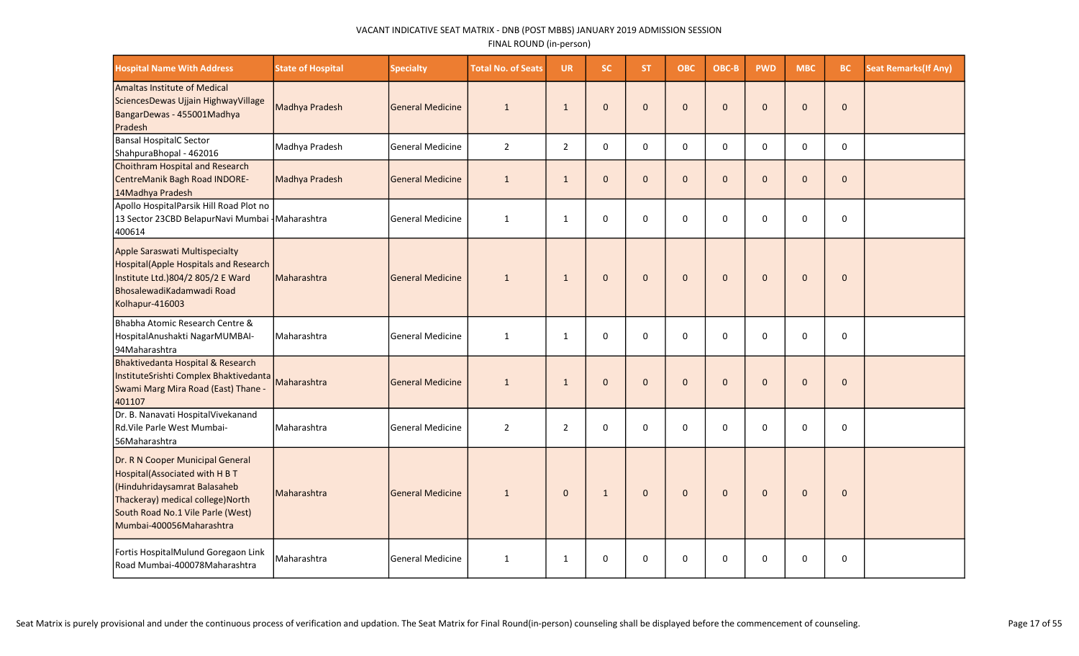| <b>Hospital Name With Address</b>                                                                                                                                                                       | <b>State of Hospital</b> | <b>Specialty</b>         | <b>Total No. of Seats</b> | <b>UR</b>      | <b>SC</b>    | <b>ST</b>    | <b>OBC</b>   | OBC-B        | <b>PWD</b>   | <b>MBC</b>   | <b>BC</b>    | <b>Seat Remarks (If Any)</b> |
|---------------------------------------------------------------------------------------------------------------------------------------------------------------------------------------------------------|--------------------------|--------------------------|---------------------------|----------------|--------------|--------------|--------------|--------------|--------------|--------------|--------------|------------------------------|
| Amaltas Institute of Medical<br>SciencesDewas Ujjain HighwayVillage<br>BangarDewas - 455001Madhya<br>Pradesh                                                                                            | Madhya Pradesh           | lGeneral Medicine        | $\mathbf{1}$              | $\mathbf{1}$   | $\mathbf{0}$ | $\mathbf{0}$ | $\mathbf{0}$ | $\mathbf{0}$ | $\mathbf{0}$ | $\mathbf{0}$ | $\mathbf{0}$ |                              |
| Bansal HospitalC Sector<br>ShahpuraBhopal - 462016                                                                                                                                                      | Madhya Pradesh           | <b>General Medicine</b>  | $\overline{2}$            | $\overline{2}$ | $\mathbf{0}$ | $\Omega$     | 0            | $\Omega$     | 0            | $\mathbf 0$  | $\mathbf 0$  |                              |
| Choithram Hospital and Research<br>CentreManik Bagh Road INDORE-<br>14Madhya Pradesh                                                                                                                    | Madhya Pradesh           | <b>SGeneral Medicine</b> | $\mathbf{1}$              | $\mathbf{1}$   | $\mathbf 0$  | $\mathbf{0}$ | $\mathbf 0$  | $\mathbf{0}$ | $\mathbf{0}$ | $\mathbf{0}$ | $\mathbf 0$  |                              |
| Apollo HospitalParsik Hill Road Plot no<br>13 Sector 23CBD BelapurNavi Mumbai   Maharashtra<br>400614                                                                                                   |                          | <b>General Medicine</b>  | $\mathbf{1}$              | $\mathbf{1}$   | $\mathbf 0$  | $\Omega$     | $\mathbf 0$  | 0            | 0            | $\Omega$     | $\mathsf 0$  |                              |
| Apple Saraswati Multispecialty<br>Hospital(Apple Hospitals and Research<br>Institute Ltd.)804/2 805/2 E Ward<br>BhosalewadiKadamwadi Road<br>Kolhapur-416003                                            | Maharashtra              | <b>General Medicine</b>  | $\mathbf{1}$              | $\mathbf{1}$   | $\mathbf{0}$ | $\mathbf{0}$ | $\mathbf 0$  | $\mathbf{0}$ | $\mathbf{0}$ | $\mathbf{0}$ | $\mathbf{0}$ |                              |
| Bhabha Atomic Research Centre &<br>HospitalAnushakti NagarMUMBAI-<br>94Maharashtra                                                                                                                      | Maharashtra              | <b>General Medicine</b>  | $\mathbf{1}$              | $\mathbf{1}$   | $\mathbf 0$  | 0            | 0            | $\Omega$     | 0            | $\Omega$     | 0            |                              |
| Bhaktivedanta Hospital & Research<br>InstituteSrishti Complex Bhaktivedanta<br>Swami Marg Mira Road (East) Thane -<br>401107                                                                            | Maharashtra              | <b>General Medicine</b>  | $\mathbf{1}$              | $\mathbf{1}$   | $\mathbf{0}$ | $\mathbf{0}$ | $\pmb{0}$    | $\mathbf{0}$ | $\mathbf{0}$ | $\Omega$     | $\mathbf{0}$ |                              |
| Dr. B. Nanavati HospitalVivekanand<br>Rd.Vile Parle West Mumbai-<br>56Maharashtra                                                                                                                       | Maharashtra              | <b>General Medicine</b>  | $\overline{2}$            | $\overline{2}$ | $\mathbf 0$  | $\Omega$     | $\mathbf 0$  | $\Omega$     | 0            | $\Omega$     | $\mathbf 0$  |                              |
| Dr. R N Cooper Municipal General<br>Hospital(Associated with H B T<br>Hinduhridaysamrat Balasaheb<br>Thackeray) medical college) North<br>South Road No.1 Vile Parle (West)<br>Mumbai-400056Maharashtra | <b>Maharashtra</b>       | <b>General Medicine</b>  | $\mathbf{1}$              | $\mathbf{0}$   | $\mathbf{1}$ | $\mathbf{0}$ | $\mathbf 0$  | $\mathbf{0}$ | $\mathbf{0}$ | $\mathbf{0}$ | $\mathbf 0$  |                              |
| Fortis HospitalMulund Goregaon Link<br>Road Mumbai-400078Maharashtra                                                                                                                                    | Maharashtra              | <b>General Medicine</b>  | $\mathbf{1}$              | $\mathbf{1}$   | $\pmb{0}$    | $\mathbf 0$  | $\pmb{0}$    | $\mathbf 0$  | $\mathbf 0$  | 0            | $\mathsf 0$  |                              |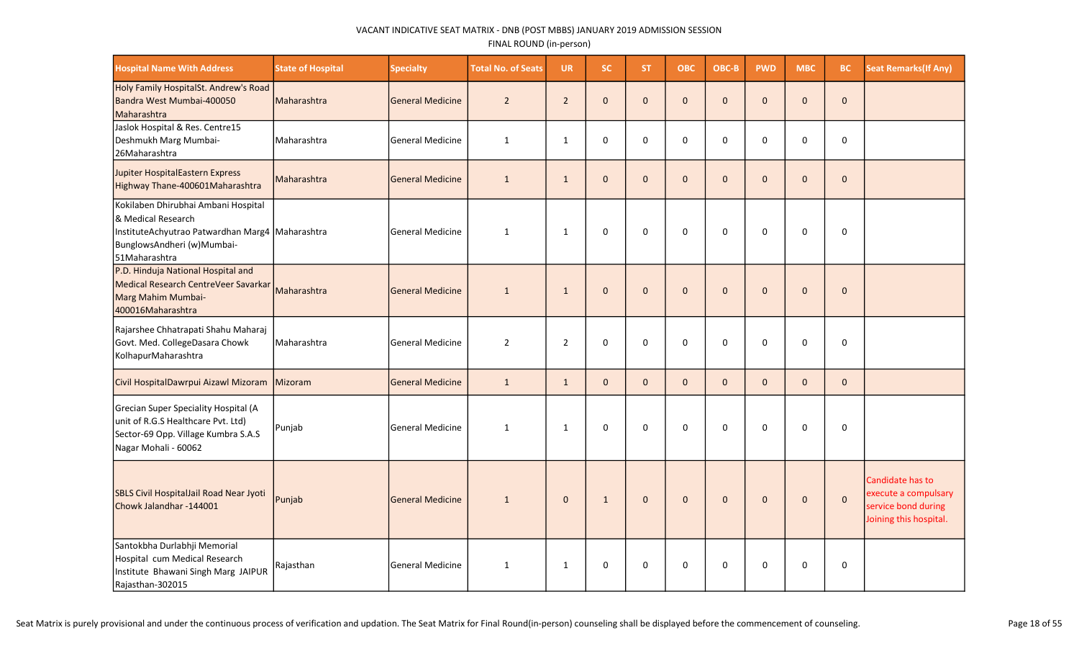| <b>Hospital Name With Address</b>                                                                                                                            | <b>State of Hospital</b> | <b>Specialty</b>        | <b>Total No. of Seats</b> | <b>UR</b>      | SC.          | <b>ST</b>    | <b>OBC</b>   | OBC-B        | <b>PWD</b>   | <b>MBC</b>   | <b>BC</b>    | <b>Seat Remarks (If Any)</b>                                                              |
|--------------------------------------------------------------------------------------------------------------------------------------------------------------|--------------------------|-------------------------|---------------------------|----------------|--------------|--------------|--------------|--------------|--------------|--------------|--------------|-------------------------------------------------------------------------------------------|
| Holy Family HospitalSt. Andrew's Road<br>Bandra West Mumbai-400050<br>Maharashtra                                                                            | Maharashtra              | <b>General Medicine</b> | $\overline{2}$            | $\overline{2}$ | $\mathbf 0$  | $\Omega$     | $\mathbf 0$  | $\Omega$     | $\Omega$     | $\Omega$     | $\pmb{0}$    |                                                                                           |
| Jaslok Hospital & Res. Centre15<br>Deshmukh Marg Mumbai-<br>26Maharashtra                                                                                    | Maharashtra              | <b>General Medicine</b> | $\mathbf{1}$              | $\mathbf{1}$   | 0            | 0            | 0            | 0            | 0            | 0            | 0            |                                                                                           |
| <b>Jupiter HospitalEastern Express</b><br>Highway Thane-400601Maharashtra                                                                                    | Maharashtra              | <b>General Medicine</b> | $\mathbf{1}$              | $\mathbf{1}$   | $\mathbf{0}$ | $\mathbf{0}$ | $\mathbf{0}$ | $\mathbf{0}$ | $\mathbf 0$  | $\Omega$     | $\mathbf 0$  |                                                                                           |
| Kokilaben Dhirubhai Ambani Hospital<br>& Medical Research<br>InstituteAchyutrao Patwardhan Marg4 Maharashtra<br>BunglowsAndheri (w)Mumbai-<br>51 Maharashtra |                          | <b>General Medicine</b> | $\mathbf{1}$              | 1              | $\mathbf 0$  | $\mathbf 0$  | $\mathbf 0$  | $\Omega$     | $\mathbf 0$  | $\mathbf 0$  | $\mathbf 0$  |                                                                                           |
| P.D. Hinduja National Hospital and<br>Medical Research CentreVeer Savarkar<br>Marg Mahim Mumbai-<br>400016Maharashtra                                        | Maharashtra              | <b>General Medicine</b> | $\mathbf{1}$              | $\mathbf{1}$   | $\mathbf{0}$ | $\Omega$     | $\Omega$     | $\Omega$     | $\Omega$     | $\Omega$     | $\mathbf{0}$ |                                                                                           |
| Rajarshee Chhatrapati Shahu Maharaj<br>Govt. Med. CollegeDasara Chowk<br>KolhapurMaharashtra                                                                 | Maharashtra              | <b>General Medicine</b> | $\overline{2}$            | $\overline{2}$ | 0            | 0            | 0            | $\Omega$     | $\Omega$     | $\mathbf 0$  | 0            |                                                                                           |
| Civil HospitalDawrpui Aizawl Mizoram                                                                                                                         | Mizoram                  | <b>General Medicine</b> | $\mathbf{1}$              | $\mathbf{1}$   | $\mathbf{0}$ | $\mathbf{0}$ | $\mathbf{0}$ | $\Omega$     | $\mathbf{0}$ | $\mathbf{0}$ | $\mathbf{0}$ |                                                                                           |
| Grecian Super Speciality Hospital (A<br>unit of R.G.S Healthcare Pvt. Ltd)<br>Sector-69 Opp. Village Kumbra S.A.S<br>Nagar Mohali - 60062                    | Punjab                   | <b>General Medicine</b> | $\mathbf{1}$              | $\mathbf{1}$   | $\mathbf 0$  | $\mathbf 0$  | $\mathbf 0$  | $\mathbf 0$  | $\mathbf 0$  | 0            | 0            |                                                                                           |
| SBLS Civil HospitalJail Road Near Jyoti<br>Chowk Jalandhar -144001                                                                                           | Punjab                   | <b>General Medicine</b> | $\mathbf{1}$              | $\mathbf 0$    | $\mathbf{1}$ | $\mathbf{0}$ | $\mathbf 0$  | $\mathbf 0$  | $\mathbf 0$  | $\mathbf 0$  | $\pmb{0}$    | Candidate has to<br>execute a compulsary<br>service bond during<br>Joining this hospital. |
| Santokbha Durlabhji Memorial<br>Hospital cum Medical Research<br>Institute Bhawani Singh Marg JAIPUR<br>Rajasthan-302015                                     | Rajasthan                | <b>General Medicine</b> | 1                         | $\mathbf{1}$   | 0            | 0            | 0            | 0            | $\Omega$     | 0            | 0            |                                                                                           |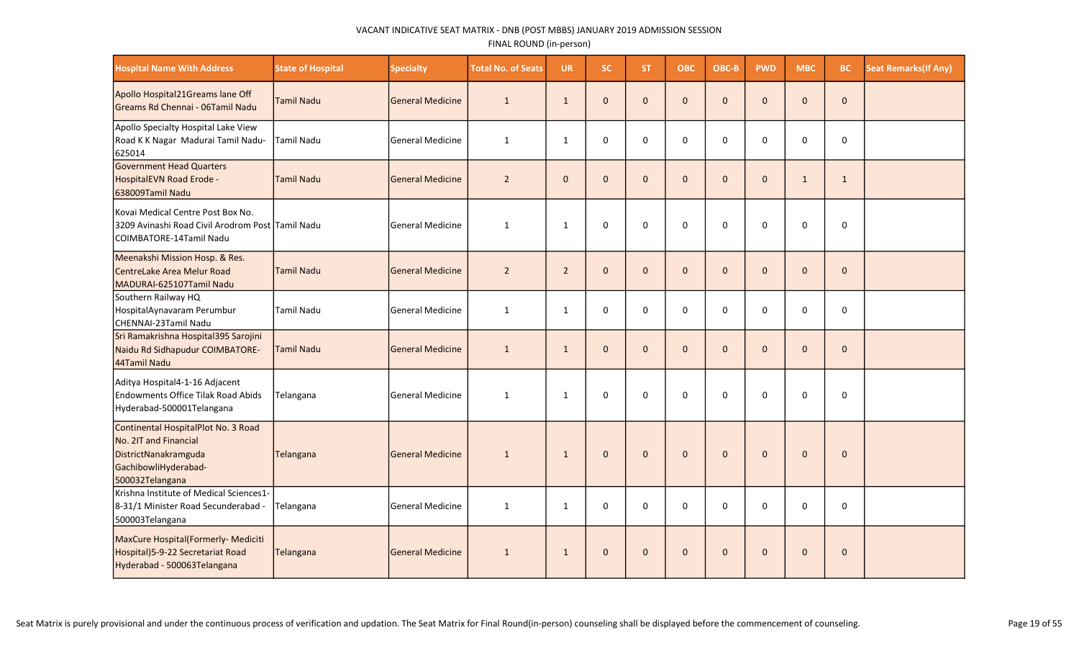| <b>Hospital Name With Address</b>                                                                                               | <b>State of Hospital</b> | <b>Specialty</b>        | <b>Total No. of Seats</b> | <b>UR</b>      | <b>SC</b>    | <b>ST</b>    | <b>OBC</b>   | OBC-B        | <b>PWD</b>   | <b>MBC</b>   | <b>BC</b>    | <b>Seat Remarks (If Any)</b> |
|---------------------------------------------------------------------------------------------------------------------------------|--------------------------|-------------------------|---------------------------|----------------|--------------|--------------|--------------|--------------|--------------|--------------|--------------|------------------------------|
| Apollo Hospital21Greams lane Off<br>Greams Rd Chennai - 06Tamil Nadu                                                            | Tamil Nadu               | <b>General Medicine</b> | $\mathbf{1}$              | $\mathbf{1}$   | $\mathbf{0}$ | $\Omega$     | $\mathbf{0}$ | $\Omega$     | $\Omega$     | $\Omega$     | $\mathbf{0}$ |                              |
| Apollo Specialty Hospital Lake View<br>Road K K Nagar Madurai Tamil Nadu-<br>625014                                             | <b>Tamil Nadu</b>        | <b>General Medicine</b> | 1                         | $\mathbf{1}$   | $\mathbf 0$  | 0            | 0            | $\Omega$     | $\Omega$     | $\Omega$     | $\mathbf 0$  |                              |
| Government Head Quarters<br>HospitalEVN Road Erode -<br>638009Tamil Nadu                                                        | Tamil Nadu               | <b>General Medicine</b> | $\overline{2}$            | $\mathbf{0}$   | $\mathbf{0}$ | $\mathbf{0}$ | $\mathbf 0$  | $\mathbf{0}$ | $\mathbf{0}$ | $\mathbf{1}$ | $\mathbf{1}$ |                              |
| Kovai Medical Centre Post Box No.<br>3209 Avinashi Road Civil Arodrom Post Tamil Nadu<br><b>COIMBATORE-14Tamil Nadu</b>         |                          | <b>General Medicine</b> | $\mathbf{1}$              | $\mathbf{1}$   | $\mathbf 0$  | $\Omega$     | $\mathbf 0$  | $\Omega$     | $\Omega$     | 0            | $\mathbf 0$  |                              |
| Meenakshi Mission Hosp. & Res.<br>CentreLake Area Melur Road<br>MADURAI-625107Tamil Nadu                                        | <b>Tamil Nadu</b>        | <b>General Medicine</b> | $\overline{2}$            | $\overline{2}$ | $\mathbf{0}$ | $\mathbf{0}$ | $\pmb{0}$    | $\mathbf{0}$ | $\mathbf{0}$ | $\mathbf{0}$ | $\mathbf{0}$ |                              |
| Southern Railway HQ<br>HospitalAynavaram Perumbur<br>CHENNAI-23Tamil Nadu                                                       | <b>Tamil Nadu</b>        | <b>General Medicine</b> | $\mathbf{1}$              | $\mathbf{1}$   | $\mathbf{0}$ | $\Omega$     | 0            | $\Omega$     | $\Omega$     | $\Omega$     | 0            |                              |
| Sri Ramakrishna Hospital395 Sarojini<br>Naidu Rd Sidhapudur COIMBATORE-<br>44Tamil Nadu                                         | <b>Tamil Nadu</b>        | <b>General Medicine</b> | $\mathbf{1}$              | $\mathbf{1}$   | $\mathbf{0}$ | $\mathbf{0}$ | $\mathbf{0}$ | $\Omega$     | $\Omega$     | $\Omega$     | $\mathbf{0}$ |                              |
| Aditya Hospital4-1-16 Adjacent<br>Endowments Office Tilak Road Abids<br>Hyderabad-500001Telangana                               | Telangana                | <b>General Medicine</b> | 1                         | $\mathbf{1}$   | $\mathbf 0$  | $\Omega$     | $\Omega$     | $\Omega$     | $\Omega$     | 0            | $\mathbf 0$  |                              |
| Continental HospitalPlot No. 3 Road<br>No. 2IT and Financial<br>DistrictNanakramguda<br>GachibowliHyderabad-<br>500032Telangana | Telangana                | <b>General Medicine</b> | $\mathbf{1}$              | $\mathbf{1}$   | $\mathbf{0}$ | $\mathbf{0}$ | $\pmb{0}$    | $\mathbf{0}$ | $\mathbf{0}$ | $\Omega$     | $\mathbf{0}$ |                              |
| Krishna Institute of Medical Sciences1-<br>8-31/1 Minister Road Secunderabad -<br>500003Telangana                               | Telangana                | <b>General Medicine</b> | 1                         | $\mathbf{1}$   | $\mathbf 0$  | $\Omega$     | 0            | $\Omega$     | $\Omega$     | 0            | $\mathbf 0$  |                              |
| MaxCure Hospital(Formerly- Mediciti<br>Hospital) 5-9-22 Secretariat Road<br>Hyderabad - 500063Telangana                         | Telangana                | <b>General Medicine</b> | $\mathbf{1}$              | $\mathbf{1}$   | $\mathbf 0$  | $\mathbf{0}$ | $\mathbf 0$  | $\mathbf{0}$ | $\mathbf{0}$ | $\Omega$     | $\mathbf{0}$ |                              |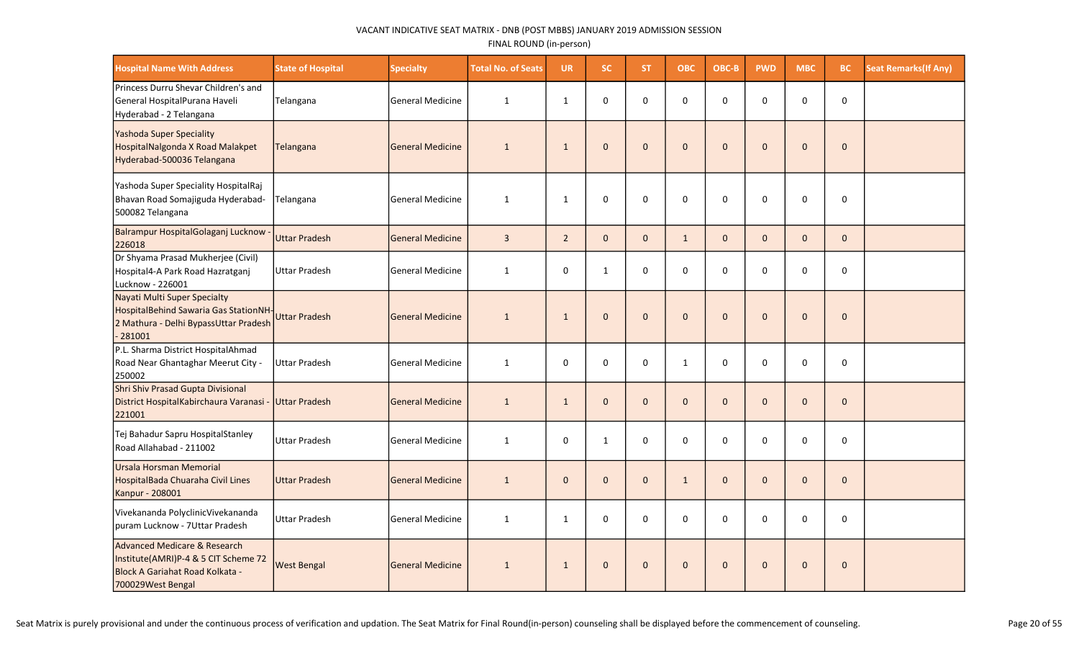| <b>Hospital Name With Address</b>                                                                                            | <b>State of Hospital</b> | <b>Specialty</b>        | <b>Total No. of Seats</b> | <b>UR</b>      | SC.          | ST.          | <b>OBC</b>   | OBC-B        | <b>PWD</b>   | <b>MBC</b>   | <b>BC</b>    | <b>Seat Remarks (If Any)</b> |
|------------------------------------------------------------------------------------------------------------------------------|--------------------------|-------------------------|---------------------------|----------------|--------------|--------------|--------------|--------------|--------------|--------------|--------------|------------------------------|
| Princess Durru Shevar Children's and<br>General HospitalPurana Haveli<br>Hyderabad - 2 Telangana                             | Telangana                | <b>General Medicine</b> | $\mathbf{1}$              | $\mathbf{1}$   | $\mathbf 0$  | $\Omega$     | $\mathbf 0$  | $\Omega$     | 0            | $\Omega$     | $\mathsf 0$  |                              |
| Yashoda Super Speciality<br>HospitalNalgonda X Road Malakpet<br>Hyderabad-500036 Telangana                                   | Telangana                | <b>General Medicine</b> | $\mathbf{1}$              | $\mathbf{1}$   | $\mathbf{0}$ | $\mathbf{0}$ | $\mathbf{0}$ | $\Omega$     | $\Omega$     | $\Omega$     | $\Omega$     |                              |
| Yashoda Super Speciality HospitalRaj<br>Bhavan Road Somajiguda Hyderabad-<br>500082 Telangana                                | Telangana                | <b>General Medicine</b> | $\mathbf{1}$              | $\mathbf{1}$   | $\mathbf 0$  | 0            | 0            | $\Omega$     | $\Omega$     | $\mathbf 0$  | $\mathbf 0$  |                              |
| Balrampur HospitalGolaganj Lucknow<br>226018                                                                                 | Uttar Pradesh            | General Medicine        | $\overline{\mathbf{3}}$   | $\overline{2}$ | $\mathbf{0}$ | $\Omega$     | $\mathbf{1}$ | $\mathbf{0}$ | $\mathbf{0}$ | $\Omega$     | $\mathbf 0$  |                              |
| Dr Shyama Prasad Mukherjee (Civil)<br>Hospital4-A Park Road Hazratganj<br>Lucknow - 226001                                   | <b>Uttar Pradesh</b>     | <b>General Medicine</b> | $\mathbf{1}$              | $\mathbf 0$    | $\mathbf{1}$ | 0            | 0            | $\Omega$     | 0            | $\Omega$     | $\mathbf 0$  |                              |
| Nayati Multi Super Specialty<br>HospitalBehind Sawaria Gas StationNH<br>2 Mathura - Delhi BypassUttar Pradesh<br>$-281001$   | Uttar Pradesh            | <b>General Medicine</b> | $\mathbf{1}$              | $\mathbf{1}$   | $\mathbf 0$  | $\mathbf{0}$ | $\pmb{0}$    | $\mathbf{0}$ | $\mathbf{0}$ | $\mathbf 0$  | $\mathbf 0$  |                              |
| P.L. Sharma District HospitalAhmad<br>Road Near Ghantaghar Meerut City -<br>250002                                           | <b>Uttar Pradesh</b>     | <b>General Medicine</b> | $\mathbf{1}$              | 0              | $\Omega$     | $\Omega$     | $\mathbf{1}$ | $\Omega$     | $\Omega$     | 0            | 0            |                              |
| Shri Shiv Prasad Gupta Divisional<br>District HospitalKabirchaura Varanasi -<br>221001                                       | Uttar Pradesh            | <b>General Medicine</b> | $\mathbf{1}$              | $\mathbf{1}$   | $\mathbf{0}$ | $\mathbf{0}$ | $\mathbf{0}$ | $\mathbf{0}$ | $\mathbf{0}$ | $\Omega$     | $\mathbf 0$  |                              |
| Tej Bahadur Sapru HospitalStanley<br>Road Allahabad - 211002                                                                 | <b>Uttar Pradesh</b>     | <b>General Medicine</b> | $\mathbf{1}$              | 0              | $\mathbf{1}$ | 0            | 0            | 0            | 0            | 0            | $\mathbf 0$  |                              |
| Ursala Horsman Memorial<br>HospitalBada Chuaraha Civil Lines<br>Kanpur - 208001                                              | <b>Uttar Pradesh</b>     | <b>General Medicine</b> | $\mathbf{1}$              | $\mathbf{0}$   | $\mathbf{0}$ | $\mathbf{0}$ | $\mathbf{1}$ | $\mathbf{0}$ | $\mathbf{0}$ | $\Omega$     | $\mathbf{0}$ |                              |
| Vivekananda PolyclinicVivekananda<br>puram Lucknow - 7Uttar Pradesh                                                          | <b>Uttar Pradesh</b>     | <b>General Medicine</b> | $\mathbf{1}$              | 1              | $\mathbf 0$  | 0            | $\mathbf 0$  | $\mathbf{0}$ | $\Omega$     | 0            | $\mathbf 0$  |                              |
| Advanced Medicare & Research<br>Institute(AMRI)P-4 & 5 CIT Scheme 72<br>Block A Gariahat Road Kolkata -<br>700029West Bengal | <b>West Bengal</b>       | <b>General Medicine</b> | $\mathbf{1}$              | $\mathbf{1}$   | $\mathbf{0}$ | $\mathbf{0}$ | $\mathbf 0$  | $\mathbf{0}$ | $\mathbf{0}$ | $\mathbf{0}$ | $\mathbf{0}$ |                              |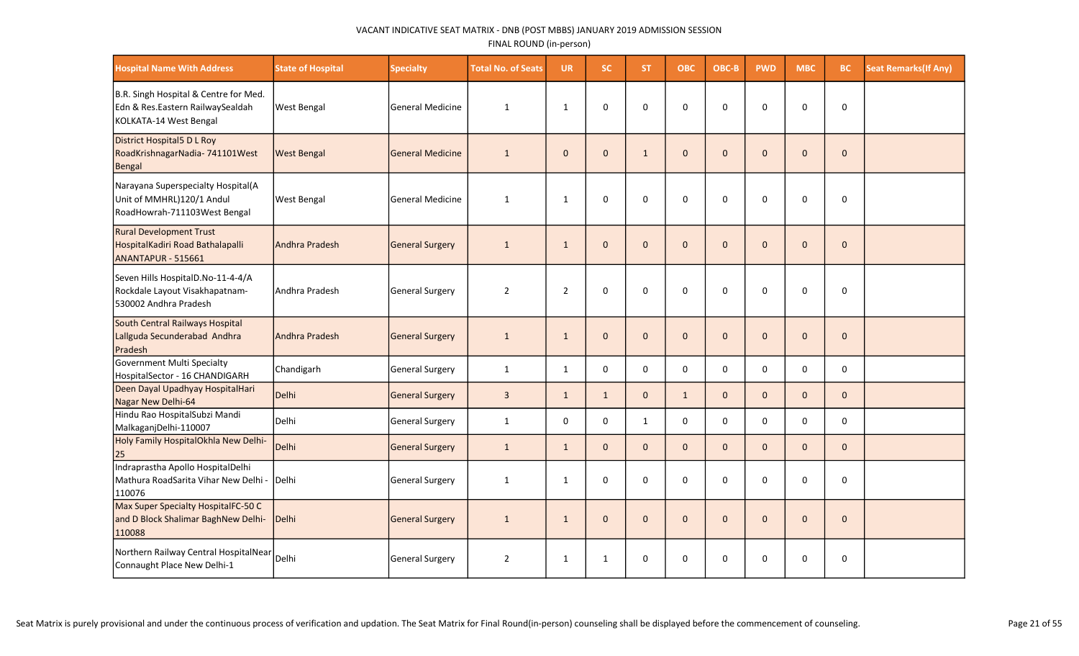| <b>Hospital Name With Address</b>                                                                   | <b>State of Hospital</b> | <b>Specialty</b>        | <b>Total No. of Seats</b> | <b>UR</b>      | <b>SC</b>           | <b>ST</b>    | ОВС          | OBC-B        | <b>PWD</b>   | <b>MBC</b>   | BC.          | <b>Seat Remarks (If Any)</b> |
|-----------------------------------------------------------------------------------------------------|--------------------------|-------------------------|---------------------------|----------------|---------------------|--------------|--------------|--------------|--------------|--------------|--------------|------------------------------|
| B.R. Singh Hospital & Centre for Med.<br>Edn & Res.Eastern RailwaySealdah<br>KOLKATA-14 West Bengal | <b>West Bengal</b>       | lGeneral Medicine       | $\mathbf{1}$              | $\mathbf{1}$   | $\mathbf 0$         | $\mathbf 0$  | $\mathbf 0$  | $\mathbf 0$  | $\mathbf 0$  | $\Omega$     | $\mathbf 0$  |                              |
| District Hospital5 D L Roy<br>RoadKrishnagarNadia-741101West<br>Bengal                              | <b>West Bengal</b>       | <b>General Medicine</b> | $\mathbf{1}$              | $\mathbf{0}$   | $\mathbf{0}$        | $\mathbf{1}$ | $\mathbf{0}$ | $\Omega$     | $\mathbf{0}$ | $\Omega$     | $\mathbf{0}$ |                              |
| Narayana Superspecialty Hospital(A<br>Unit of MMHRL)120/1 Andul<br>RoadHowrah-711103West Bengal     | <b>West Bengal</b>       | General Medicine        | $\mathbf{1}$              | $\mathbf{1}$   | $\mathsf 0$         | $\mathbf{0}$ | 0            | $\Omega$     | $\Omega$     | $\Omega$     | 0            |                              |
| <b>Rural Development Trust</b><br>HospitalKadiri Road Bathalapalli<br>ANANTAPUR - 515661            | <b>Andhra Pradesh</b>    | General Surgery         | 1                         | $\mathbf{1}$   | $\mathbf{0}$        | $\mathbf{0}$ | $\mathbf 0$  | $\mathbf{0}$ | $\mathbf 0$  | $\Omega$     | $\mathbf{0}$ |                              |
| Seven Hills HospitalD.No-11-4-4/A<br>Rockdale Layout Visakhapatnam-<br>530002 Andhra Pradesh        | Andhra Pradesh           | General Surgery         | $\overline{2}$            | $\overline{2}$ | $\mathsf{O}\xspace$ | 0            | 0            | $\mathbf 0$  | $\mathbf 0$  | $\Omega$     | 0            |                              |
| South Central Railways Hospital<br>Lallguda Secunderabad Andhra<br>Pradesh                          | <b>Andhra Pradesh</b>    | General Surgery         | 1                         | $\mathbf{1}$   | $\mathbf{0}$        | $\mathbf{0}$ | $\mathbf{0}$ | $\mathbf{0}$ | $\mathbf{0}$ | $\Omega$     | $\mathbf{0}$ |                              |
| Government Multi Specialty<br>HospitalSector - 16 CHANDIGARH                                        | Chandigarh               | General Surgery         | $\mathbf{1}$              | $\mathbf{1}$   | $\mathbf 0$         | $\mathbf 0$  | $\mathsf{O}$ | $\mathbf 0$  | $\mathsf{o}$ | $\mathbf 0$  | $\mathbf 0$  |                              |
| Deen Dayal Upadhyay HospitalHari<br>Nagar New Delhi-64                                              | <b>Delhi</b>             | General Surgery         | 3                         | $\mathbf{1}$   | $\mathbf{1}$        | $\mathbf{0}$ | $\mathbf{1}$ | $\Omega$     | $\mathbf{0}$ | $\Omega$     | $\mathbf{0}$ |                              |
| Hindu Rao HospitalSubzi Mandi<br>MalkaganjDelhi-110007                                              | <b>Delhi</b>             | General Surgery         | $\mathbf{1}$              | $\Omega$       | $\mathbf 0$         | $\mathbf{1}$ | $\mathbf 0$  | $\Omega$     | $\mathbf 0$  | $\Omega$     | $\mathbf 0$  |                              |
| Holy Family HospitalOkhla New Delhi-<br>25                                                          | Delhi                    | General Surgery         | $\mathbf{1}$              | $\mathbf{1}$   | $\mathbf{0}$        | $\mathbf{0}$ | $\mathbf{0}$ | $\mathbf{0}$ | $\mathbf{0}$ | $\mathbf{0}$ | $\mathbf 0$  |                              |
| Indraprastha Apollo HospitalDelhi<br>Mathura RoadSarita Vihar New Delhi -<br>110076                 | <b>Delhi</b>             | General Surgery         | $\mathbf{1}$              | $\mathbf{1}$   | $\mathbf 0$         | $\mathbf 0$  | $\mathbf 0$  | 0            | $\mathbf 0$  | $\Omega$     | $\mathbf 0$  |                              |
| Max Super Specialty HospitalFC-50 C<br>and D Block Shalimar BaghNew Delhi-<br>110088                | Delhi                    | General Surgery         | $\mathbf{1}$              | $\mathbf{1}$   | $\mathbf{0}$        | $\mathbf{0}$ | $\mathbf{0}$ | $\mathbf{0}$ | $\mathbf{0}$ | $\Omega$     | $\mathbf{0}$ |                              |
| Northern Railway Central HospitalNear<br>Connaught Place New Delhi-1                                | Delhi                    | General Surgery         | $\overline{2}$            | 1              | $\mathbf{1}$        | $\mathbf 0$  | 0            | 0            | 0            | $\Omega$     | 0            |                              |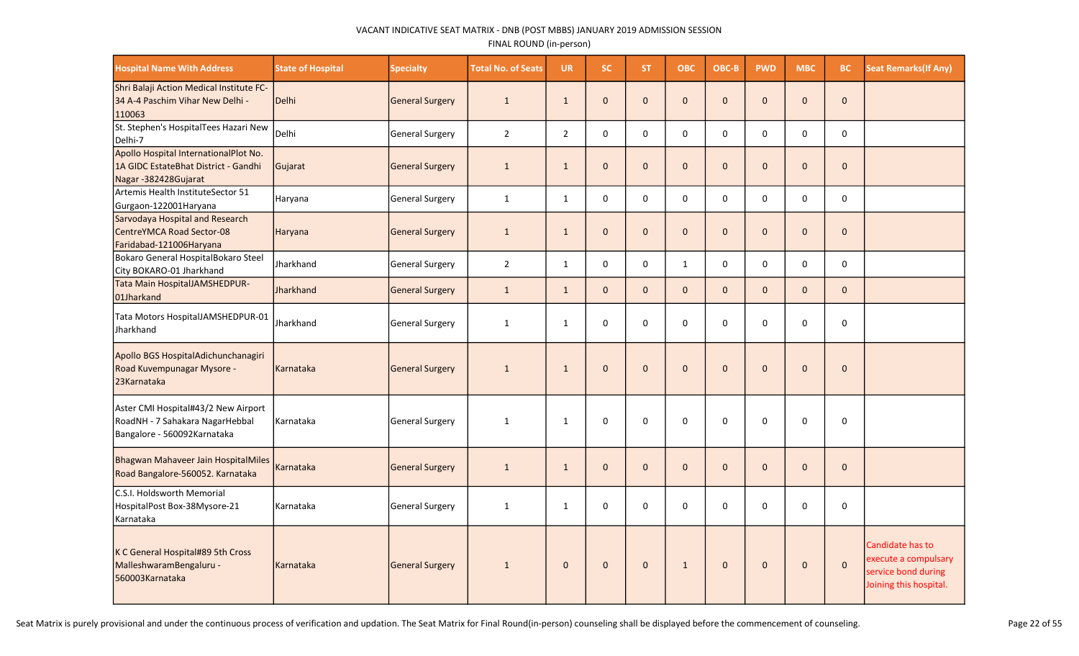| <b>Hospital Name With Address</b>                                                                     | <b>State of Hospital</b> | <b>Specialty</b>       | <b>Total No. of Seats</b> | <b>UR</b>      | SC.          | ST.          | <b>OBC</b>   | OBC-B        | <b>PWD</b>   | <b>MBC</b>   | <b>BC</b>    | <b>Seat Remarks (If Any)</b>                                                              |
|-------------------------------------------------------------------------------------------------------|--------------------------|------------------------|---------------------------|----------------|--------------|--------------|--------------|--------------|--------------|--------------|--------------|-------------------------------------------------------------------------------------------|
| Shri Balaji Action Medical Institute FC-<br>34 A-4 Paschim Vihar New Delhi -<br>110063                | Delhi                    | General Surgery        | $\mathbf{1}$              | $\mathbf{1}$   | $\mathbf{0}$ | $\mathbf{0}$ | $\mathbf{0}$ | $\mathbf{0}$ | $\mathbf{0}$ | $\Omega$     | $\mathbf 0$  |                                                                                           |
| St. Stephen's HospitalTees Hazari New<br>Delhi-7                                                      | Delhi                    | General Surgery        | $\overline{2}$            | $\overline{2}$ | $\mathbf 0$  | 0            | $\mathbf 0$  | 0            | $\pmb{0}$    | 0            | $\mathbf 0$  |                                                                                           |
| Apollo Hospital InternationalPlot No.<br>1A GIDC EstateBhat District - Gandhi<br>Nagar-382428Gujarat  | Gujarat                  | <b>General Surgery</b> | $\mathbf{1}$              | $\mathbf{1}$   | $\mathbf 0$  | $\mathbf{0}$ | $\mathbf 0$  | $\mathbf{0}$ | $\mathbf{0}$ | $\Omega$     | $\mathbf{0}$ |                                                                                           |
| Artemis Health InstituteSector 51<br>Gurgaon-122001 Haryana                                           | Haryana                  | General Surgery        | $\mathbf{1}$              | $\mathbf{1}$   | $\mathbf 0$  | 0            | $\mathbf 0$  | 0            | $\pmb{0}$    | 0            | $\pmb{0}$    |                                                                                           |
| Sarvodaya Hospital and Research<br>CentreYMCA Road Sector-08<br>Faridabad-121006Haryana               | Haryana                  | General Surgery        | $\mathbf{1}$              | $\mathbf{1}$   | $\mathbf 0$  | $\mathbf{0}$ | $\mathbf 0$  | $\mathbf{0}$ | $\mathbf 0$  | $\mathbf{0}$ | $\mathbf 0$  |                                                                                           |
| Bokaro General HospitalBokaro Steel<br>City BOKARO-01 Jharkhand                                       | Jharkhand                | General Surgery        | $\overline{2}$            | $\mathbf{1}$   | $\mathbf{0}$ | $\mathbf{0}$ | $\mathbf{1}$ | $\Omega$     | $\Omega$     | $\Omega$     | $\pmb{0}$    |                                                                                           |
| Tata Main HospitalJAMSHEDPUR-<br>01Jharkand                                                           | Jharkhand                | General Surgery        | $\mathbf{1}$              | $\mathbf{1}$   | $\mathbf{0}$ | $\mathbf{0}$ | $\mathbf{0}$ | $\Omega$     | $\mathbf{0}$ | $\Omega$     | $\mathbf 0$  |                                                                                           |
| Tata Motors HospitalJAMSHEDPUR-01<br>Jharkhand                                                        | Jharkhand                | General Surgery        | $\mathbf{1}$              | $\mathbf{1}$   | $\mathbf 0$  | $\mathbf{0}$ | $\mathbf 0$  | $\Omega$     | $\Omega$     | $\Omega$     | $\mathbf 0$  |                                                                                           |
| Apollo BGS HospitalAdichunchanagiri<br>Road Kuvempunagar Mysore -<br>23Karnataka                      | Karnataka                | General Surgery        | $\mathbf{1}$              | $\mathbf{1}$   | $\Omega$     | $\mathbf{0}$ | $\mathbf 0$  | $\Omega$     | $\Omega$     | $\Omega$     | $\Omega$     |                                                                                           |
| Aster CMI Hospital#43/2 New Airport<br>RoadNH - 7 Sahakara NagarHebbal<br>Bangalore - 560092Karnataka | Karnataka                | <b>General Surgery</b> | $\mathbf{1}$              | $\mathbf{1}$   | $\mathbf 0$  | 0            | $\mathbf 0$  | $\Omega$     | $\Omega$     | 0            | $\mathbf 0$  |                                                                                           |
| Bhagwan Mahaveer Jain HospitalMiles<br>Road Bangalore-560052. Karnataka                               | Karnataka                | General Surgery        | $\mathbf{1}$              | $\mathbf{1}$   | $\mathbf{0}$ | $\mathbf{0}$ | $\mathbf{0}$ | $\Omega$     | $\Omega$     | $\Omega$     | $\mathbf{0}$ |                                                                                           |
| C.S.I. Holdsworth Memorial<br>HospitalPost Box-38Mysore-21<br>Karnataka                               | Karnataka                | General Surgery        | $\mathbf{1}$              | $\mathbf{1}$   | 0            | 0            | $\mathbf 0$  | 0            | 0            | 0            | $\mathsf 0$  |                                                                                           |
| K C General Hospital#89 5th Cross<br>MalleshwaramBengaluru -<br>560003Karnataka                       | Karnataka                | General Surgery        | $\mathbf{1}$              | $\mathbf{0}$   | $\mathbf{0}$ | $\mathbf{0}$ | $\mathbf{1}$ | $\mathbf{0}$ | $\mathbf 0$  | $\mathbf 0$  | $\pmb{0}$    | Candidate has to<br>execute a compulsary<br>service bond during<br>Joining this hospital. |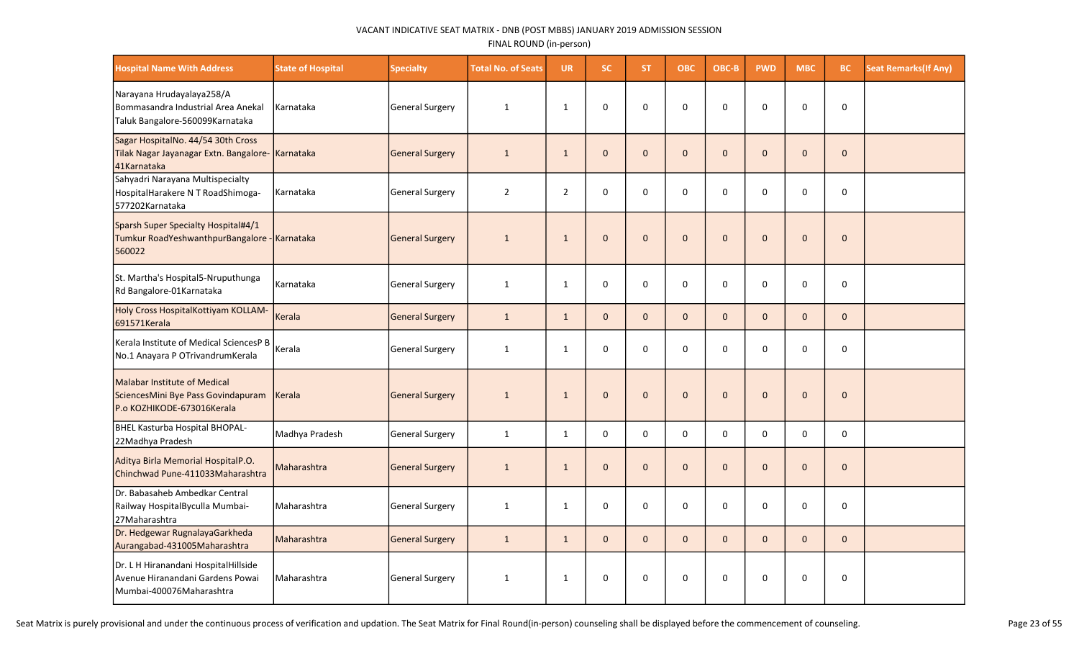| <b>Hospital Name With Address</b>                                                                       | <b>State of Hospital</b> | <b>Specialty</b>       | <b>Total No. of Seats</b> | <b>UR</b>      | <b>SC</b>    | <b>ST</b>    | <b>OBC</b>   | OBC-B        | <b>PWD</b>   | <b>MBC</b>   | BC.          | <b>Seat Remarks (If Any)</b> |
|---------------------------------------------------------------------------------------------------------|--------------------------|------------------------|---------------------------|----------------|--------------|--------------|--------------|--------------|--------------|--------------|--------------|------------------------------|
| Narayana Hrudayalaya258/A<br>Bommasandra Industrial Area Anekal<br>Taluk Bangalore-560099Karnataka      | Karnataka                | <b>General Surgery</b> | $\mathbf{1}$              | $\mathbf{1}$   | 0            | 0            | $\mathbf 0$  | $\mathbf 0$  | $\mathbf 0$  | $\mathbf 0$  | 0            |                              |
| Sagar HospitalNo. 44/54 30th Cross<br>Tilak Nagar Jayanagar Extn. Bangalore- Karnataka<br>41Karnataka   |                          | <b>General Surgery</b> | $\mathbf{1}$              | $\mathbf{1}$   | $\Omega$     | $\Omega$     | $\pmb{0}$    | $\Omega$     | $\pmb{0}$    | $\Omega$     | $\pmb{0}$    |                              |
| Sahyadri Narayana Multispecialty<br>HospitalHarakere N T RoadShimoga-<br>577202Karnataka                | Karnataka                | <b>General Surgery</b> | $\overline{2}$            | $\overline{2}$ | $\Omega$     | $\Omega$     | $\mathbf 0$  | $\mathbf 0$  | 0            | 0            | 0            |                              |
| Sparsh Super Specialty Hospital#4/1<br>Tumkur RoadYeshwanthpurBangalore - Karnataka<br>560022           |                          | <b>General Surgery</b> | $\mathbf{1}$              | $\mathbf{1}$   | $\Omega$     | $\Omega$     | $\Omega$     | $\Omega$     | $\Omega$     | $\Omega$     | $\mathbf{0}$ |                              |
| St. Martha's Hospital5-Nruputhunga<br>Rd Bangalore-01Karnataka                                          | Karnataka                | General Surgery        | $\mathbf{1}$              | $\mathbf{1}$   | $\Omega$     | $\Omega$     | $\mathbf 0$  | $\mathbf 0$  | 0            | 0            | 0            |                              |
| Holy Cross HospitalKottiyam KOLLAM-<br>691571Kerala                                                     | Kerala                   | <b>General Surgery</b> | $\mathbf{1}$              | $\mathbf{1}$   | $\mathbf{0}$ | $\mathbf{0}$ | $\mathbf{0}$ | $\mathbf{0}$ | $\mathbf{0}$ | $\mathbf{0}$ | $\mathbf{0}$ |                              |
| Kerala Institute of Medical SciencesP B<br>No.1 Anayara P OTrivandrumKerala                             | Kerala                   | <b>General Surgery</b> | $\mathbf{1}$              | 1              | 0            | $\Omega$     | 0            | $\mathbf 0$  | 0            | 0            | 0            |                              |
| <b>Malabar Institute of Medical</b><br>SciencesMini Bye Pass Govindapuram<br>P.o KOZHIKODE-673016Kerala | Kerala                   | <b>General Surgery</b> | $\mathbf{1}$              | $\mathbf{1}$   | $\mathbf{0}$ | $\mathbf{0}$ | $\pmb{0}$    | $\mathbf{0}$ | $\mathbf{0}$ | $\mathbf{0}$ | $\pmb{0}$    |                              |
| BHEL Kasturba Hospital BHOPAL-<br>22Madhya Pradesh                                                      | Madhya Pradesh           | General Surgery        | $\mathbf 1$               | $\mathbf{1}$   | 0            | 0            | $\pmb{0}$    | 0            | 0            | 0            | 0            |                              |
| Aditya Birla Memorial HospitalP.O.<br>Chinchwad Pune-411033Maharashtra                                  | Maharashtra              | <b>General Surgery</b> | $\mathbf{1}$              | $\mathbf{1}$   | $\Omega$     | $\Omega$     | $\pmb{0}$    | $\Omega$     | $\Omega$     | $\mathbf 0$  | $\mathbf 0$  |                              |
| Dr. Babasaheb Ambedkar Central<br>Railway HospitalByculla Mumbai-<br>27Maharashtra                      | l Maharashtra            | General Surgery        | $\mathbf{1}$              | $\mathbf{1}$   | $\mathbf 0$  | $\mathbf 0$  | $\mathbf 0$  | $\mathbf 0$  | $\mathbf 0$  | $\mathbf 0$  | 0            |                              |
| Dr. Hedgewar RugnalayaGarkheda<br>Aurangabad-431005Maharashtra                                          | Maharashtra              | <b>General Surgery</b> | $\mathbf{1}$              | $\mathbf{1}$   | $\mathbf{0}$ | $\mathbf{0}$ | $\mathbf{0}$ | $\mathbf{0}$ | $\mathbf{0}$ | $\mathbf{0}$ | $\mathbf{0}$ |                              |
| Dr. L H Hiranandani HospitalHillside<br>Avenue Hiranandani Gardens Powai<br>Mumbai-400076Maharashtra    | Maharashtra              | <b>General Surgery</b> | $\mathbf{1}$              | 1              | $\mathbf 0$  | 0            | 0            | $\mathbf 0$  | 0            | 0            | 0            |                              |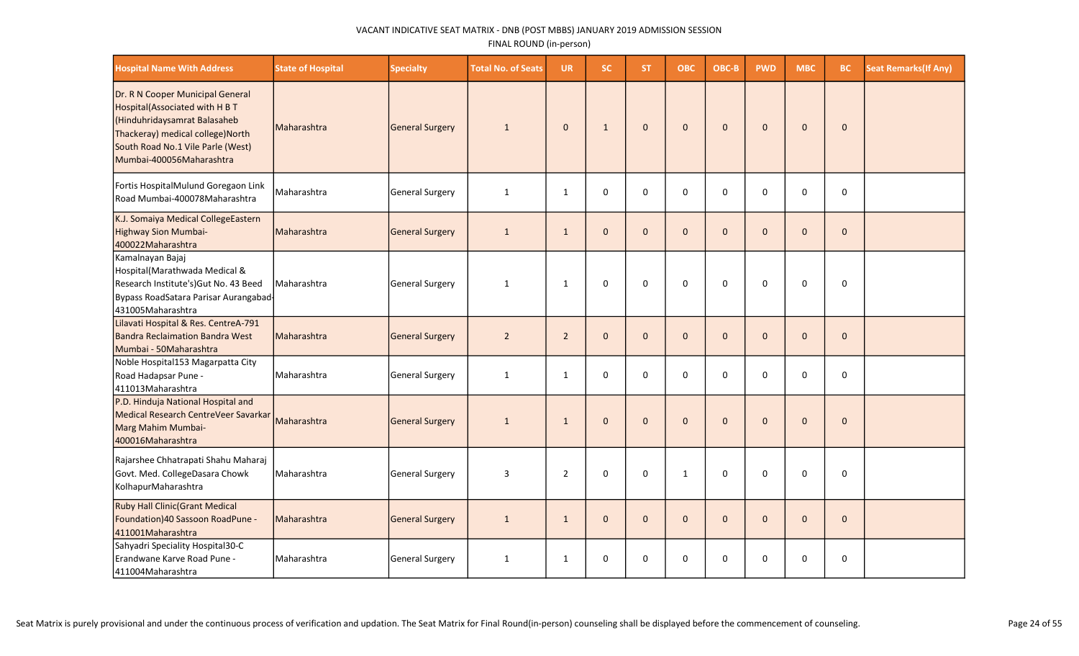| <b>Hospital Name With Address</b>                                                                                                                                                                        | <b>State of Hospital</b> | <b>Specialty</b> | <b>Total No. of Seats</b> | <b>UR</b>      | <b>SC</b>    | <b>ST</b>    | <b>OBC</b>   | OBC-B        | <b>PWD</b>   | <b>MBC</b>   | BC.          | <b>Seat Remarks (If Any)</b> |
|----------------------------------------------------------------------------------------------------------------------------------------------------------------------------------------------------------|--------------------------|------------------|---------------------------|----------------|--------------|--------------|--------------|--------------|--------------|--------------|--------------|------------------------------|
| Dr. R N Cooper Municipal General<br>Hospital(Associated with H B T<br>(Hinduhridaysamrat Balasaheb<br>Thackeray) medical college) North<br>South Road No.1 Vile Parle (West)<br>Mumbai-400056Maharashtra | Maharashtra              | General Surgery  | 1                         | $\mathbf 0$    | $\mathbf{1}$ | $\mathbf{0}$ | $\mathbf 0$  | $\mathbf{0}$ | $\mathbf{0}$ | $\mathbf{0}$ | $\mathbf{0}$ |                              |
| Fortis HospitalMulund Goregaon Link<br>Road Mumbai-400078Maharashtra                                                                                                                                     | Maharashtra              | General Surgery  | $\mathbf{1}$              | $\mathbf{1}$   | 0            | $\Omega$     | 0            | $\Omega$     | 0            | $\Omega$     | 0            |                              |
| K.J. Somaiya Medical CollegeEastern<br>Highway Sion Mumbai-<br>400022Maharashtra                                                                                                                         | Maharashtra              | General Surgery  | $\mathbf{1}$              | $\mathbf{1}$   | $\mathbf{0}$ | $\mathbf{0}$ | $\mathbf{0}$ | $\mathbf{0}$ | $\mathbf 0$  | $\Omega$     | $\mathbf 0$  |                              |
| Kamalnayan Bajaj<br>Hospital(Marathwada Medical &<br>Research Institute's) Gut No. 43 Beed<br>Bypass RoadSatara Parisar Aurangabad<br>431005Maharashtra                                                  | l Maharashtra            | General Surgery  | 1                         | 1              | $\mathbf 0$  | $\mathbf 0$  | $\mathbf 0$  | $\Omega$     | $\Omega$     | $\Omega$     | $\mathbf 0$  |                              |
| Lilavati Hospital & Res. CentreA-791<br><b>Bandra Reclaimation Bandra West</b><br>Mumbai - 50Maharashtra                                                                                                 | Maharashtra              | General Surgery  | $\overline{2}$            | $\overline{2}$ | $\mathbf{0}$ | $\mathbf{0}$ | $\mathbf{0}$ | $\mathbf{0}$ | $\mathbf{0}$ | $\mathbf{0}$ | $\mathbf{0}$ |                              |
| Noble Hospital153 Magarpatta City<br>Road Hadapsar Pune -<br>411013Maharashtra                                                                                                                           | Maharashtra              | General Surgery  | 1                         | $\mathbf{1}$   | 0            | $\mathbf 0$  | $\mathbf 0$  | $\mathbf 0$  | 0            | $\Omega$     | $\mathbf 0$  |                              |
| P.D. Hinduja National Hospital and<br>Medical Research CentreVeer Savarkar<br>Marg Mahim Mumbai-<br>400016Maharashtra                                                                                    | Maharashtra              | General Surgery  | $\mathbf{1}$              | $\mathbf{1}$   | $\mathbf 0$  | $\mathbf{0}$ | $\mathbf 0$  | $\Omega$     | $\Omega$     | $\Omega$     | $\mathbf 0$  |                              |
| Rajarshee Chhatrapati Shahu Maharaj<br>Govt. Med. CollegeDasara Chowk<br>KolhapurMaharashtra                                                                                                             | Maharashtra              | General Surgery  | 3                         | $\overline{2}$ | 0            | $\mathbf 0$  | $\mathbf{1}$ | $\mathbf 0$  | 0            | 0            | $\mathbf 0$  |                              |
| <b>Ruby Hall Clinic (Grant Medical</b><br>Foundation) 40 Sassoon RoadPune -<br>411001Maharashtra                                                                                                         | Maharashtra              | General Surgery  | $\mathbf{1}$              | $\mathbf{1}$   | $\mathbf{0}$ | $\mathbf{0}$ | $\mathbf{0}$ | $\mathbf{0}$ | $\mathbf 0$  | $\Omega$     | $\mathbf 0$  |                              |
| Sahyadri Speciality Hospital30-C<br>Erandwane Karve Road Pune -<br>411004Maharashtra                                                                                                                     | Maharashtra              | General Surgery  | $\mathbf{1}$              | $\mathbf{1}$   | 0            | 0            | 0            | 0            | 0            | 0            | 0            |                              |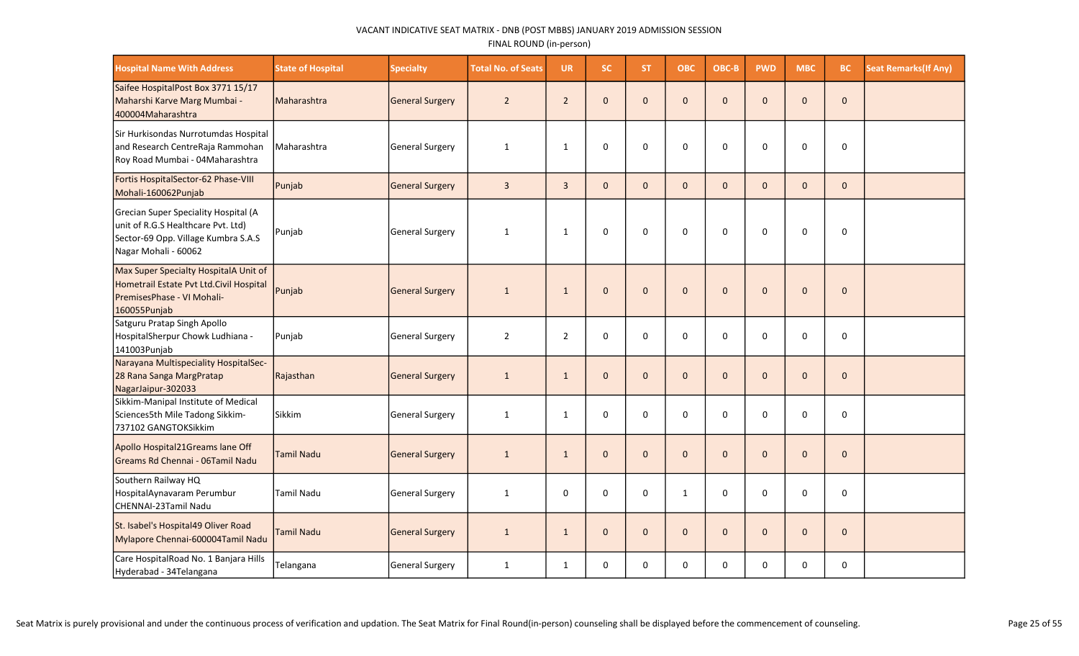| <b>Hospital Name With Address</b>                                                                                                         | <b>State of Hospital</b> | <b>Specialty</b> | <b>Total No. of Seats</b> | <b>UR</b>      | <b>SC</b>    | <b>ST</b>      | <b>OBC</b>   | OBC-B        | <b>PWD</b>   | <b>MBC</b> | <b>BC</b>    | <b>Seat Remarks (If Any)</b> |
|-------------------------------------------------------------------------------------------------------------------------------------------|--------------------------|------------------|---------------------------|----------------|--------------|----------------|--------------|--------------|--------------|------------|--------------|------------------------------|
| Saifee HospitalPost Box 3771 15/17<br>Maharshi Karve Marg Mumbai -<br>400004Maharashtra                                                   | Maharashtra              | General Surgery  | $\overline{2}$            | $\overline{2}$ | $\mathbf 0$  | $\overline{0}$ | $\mathbf 0$  | $\mathbf{0}$ | $\mathbf 0$  | $\Omega$   | $\pmb{0}$    |                              |
| Sir Hurkisondas Nurrotumdas Hospital<br>and Research CentreRaja Rammohan<br>Roy Road Mumbai - 04Maharashtra                               | Maharashtra              | General Surgery  | $\mathbf{1}$              | $\mathbf{1}$   | $\mathbf 0$  | $\mathbf 0$    | $\mathbf 0$  | $\mathbf 0$  | $\mathbf 0$  | $\Omega$   | $\mathbf 0$  |                              |
| Fortis HospitalSector-62 Phase-VIII<br>Mohali-160062Punjab                                                                                | Punjab                   | General Surgery  | $\overline{3}$            | $\overline{3}$ | $\mathbf{0}$ | $\mathbf{0}$   | $\mathbf{0}$ | $\Omega$     | $\mathbf{0}$ | $\Omega$   | $\mathbf{0}$ |                              |
| Grecian Super Speciality Hospital (A<br>unit of R.G.S Healthcare Pvt. Ltd)<br>Sector-69 Opp. Village Kumbra S.A.S<br>Nagar Mohali - 60062 | Punjab                   | General Surgery  | 1                         | 1              | $\Omega$     | $\Omega$       | 0            | $\Omega$     | $\Omega$     | $\Omega$   | $\Omega$     |                              |
| Max Super Specialty HospitalA Unit of<br>Hometrail Estate Pvt Ltd.Civil Hospital<br>PremisesPhase - VI Mohali-<br>160055Punjab            | Punjab                   | General Surgery  | $\mathbf{1}$              | 1              | $\mathbf{0}$ | $\mathbf{0}$   | $\mathbf{0}$ | $\mathbf{0}$ | $\mathbf{0}$ | $\Omega$   | $\mathbf{0}$ |                              |
| Satguru Pratap Singh Apollo<br>HospitalSherpur Chowk Ludhiana -<br>141003Punjab                                                           | Punjab                   | General Surgery  | $\overline{2}$            | $\overline{2}$ | 0            | $\mathbf{0}$   | 0            | $\Omega$     | 0            | $\Omega$   | $\Omega$     |                              |
| Narayana Multispeciality HospitalSec-<br>28 Rana Sanga MargPratap<br>NagarJaipur-302033                                                   | Rajasthan                | General Surgery  | $\mathbf{1}$              | $\mathbf{1}$   | $\pmb{0}$    | $\mathbf{0}$   | $\mathbf 0$  | $\mathbf{0}$ | $\mathbf 0$  | $\Omega$   | $\mathbf 0$  |                              |
| Sikkim-Manipal Institute of Medical<br>Sciences5th Mile Tadong Sikkim-<br>737102 GANGTOKSikkim                                            | Sikkim                   | General Surgery  | $\mathbf{1}$              | $\mathbf{1}$   | $\mathbf 0$  | $\Omega$       | 0            | 0            | 0            | $\Omega$   | $\Omega$     |                              |
| Apollo Hospital21Greams lane Off<br>lGreams Rd Chennai - 06Tamil Nadu                                                                     | <b>Tamil Nadu</b>        | General Surgery  | $\mathbf{1}$              | $\mathbf{1}$   | $\mathbf{0}$ | $\mathbf{0}$   | $\mathbf 0$  | $\mathbf{0}$ | $\mathbf{0}$ | $\Omega$   | $\mathbf 0$  |                              |
| Southern Railway HQ<br>HospitalAynavaram Perumbur<br>CHENNAI-23Tamil Nadu                                                                 | Tamil Nadu               | General Surgery  | $\mathbf{1}$              | 0              | $\mathbf 0$  | $\Omega$       | $\mathbf{1}$ | $\Omega$     | $\Omega$     | $\Omega$   | 0            |                              |
| St. Isabel's Hospital49 Oliver Road<br>Mylapore Chennai-600004Tamil Nadu                                                                  | <b>Tamil Nadu</b>        | General Surgery  | $\mathbf{1}$              | $\mathbf{1}$   | $\mathbf{0}$ | $\mathbf{0}$   | $\mathbf{0}$ | $\Omega$     | $\mathbf{0}$ | $\Omega$   | $\mathbf{0}$ |                              |
| Care HospitalRoad No. 1 Banjara Hills<br>Hyderabad - 34Telangana                                                                          | Telangana                | General Surgery  | 1                         | 1              | $\mathbf 0$  | $\mathbf 0$    | 0            | 0            | 0            | 0          | $\mathbf 0$  |                              |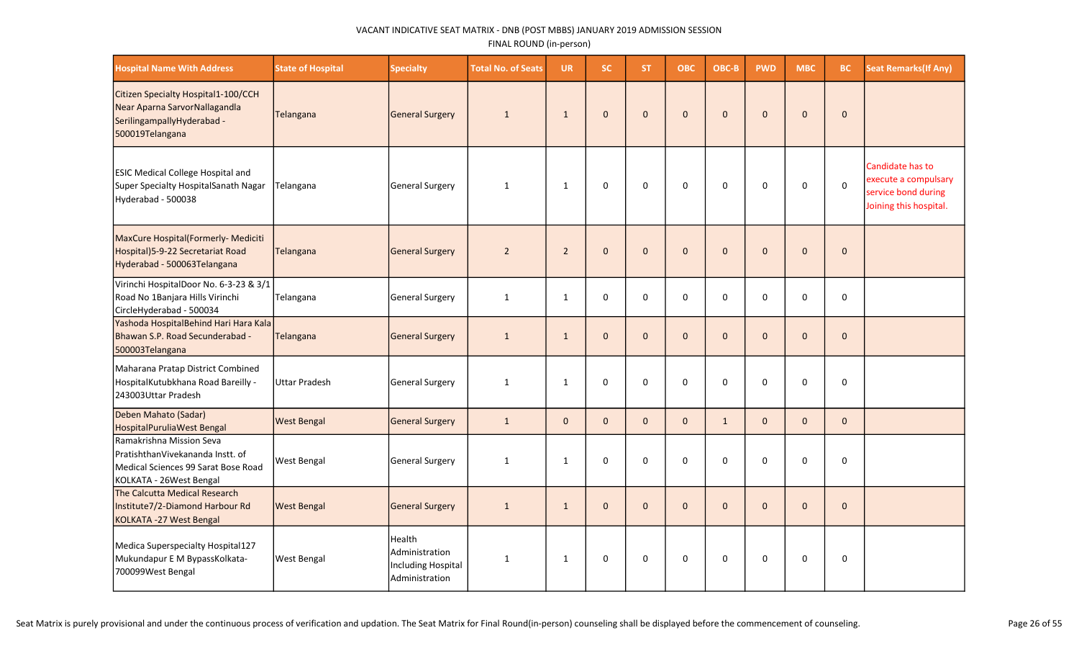| <b>Hospital Name With Address</b>                                                                                              | <b>State of Hospital</b> | <b>Specialty</b>                                                        | <b>Total No. of Seats</b> | <b>UR</b>      | <b>SC</b>    | <b>ST</b>    | <b>OBC</b>   | OBC-B        | <b>PWD</b>   | <b>MBC</b>   | BC           | <b>Seat Remarks (If Any)</b>                                                              |
|--------------------------------------------------------------------------------------------------------------------------------|--------------------------|-------------------------------------------------------------------------|---------------------------|----------------|--------------|--------------|--------------|--------------|--------------|--------------|--------------|-------------------------------------------------------------------------------------------|
| Citizen Specialty Hospital1-100/CCH<br>Near Aparna SarvorNallagandla<br>SerilingampallyHyderabad -<br>500019Telangana          | Telangana                | <b>General Surgery</b>                                                  | $\mathbf{1}$              | $\mathbf{1}$   | $\Omega$     | $\Omega$     | $\Omega$     | $\Omega$     | $\Omega$     | $\Omega$     | $\mathbf{0}$ |                                                                                           |
| <b>ESIC Medical College Hospital and</b><br>Super Specialty HospitalSanath Nagar<br>Hyderabad - 500038                         | Telangana                | <b>General Surgery</b>                                                  | $\mathbf{1}$              | $\mathbf{1}$   | $\Omega$     | $\Omega$     | 0            | $\Omega$     | $\Omega$     | 0            | $\mathsf 0$  | Candidate has to<br>execute a compulsary<br>service bond during<br>Joining this hospital. |
| MaxCure Hospital(Formerly- Mediciti<br>Hospital) 5-9-22 Secretariat Road<br>Hyderabad - 500063Telangana                        | Telangana                | <b>General Surgery</b>                                                  | $\overline{2}$            | $\overline{2}$ | $\mathbf{0}$ | $\mathbf{0}$ | $\mathbf 0$  | $\mathbf{0}$ | $\mathbf{0}$ | $\mathbf{0}$ | $\mathbf{0}$ |                                                                                           |
| Virinchi HospitalDoor No. 6-3-23 & 3/1<br>Road No 1Banjara Hills Virinchi<br>CircleHyderabad - 500034                          | Telangana                | General Surgery                                                         | $\mathbf{1}$              | $\mathbf{1}$   | $\Omega$     | $\Omega$     | 0            | $\Omega$     | 0            | 0            | 0            |                                                                                           |
| Yashoda HospitalBehind Hari Hara Kala<br>Bhawan S.P. Road Secunderabad -<br>500003Telangana                                    | Telangana                | <b>General Surgery</b>                                                  | $\mathbf{1}$              | $\mathbf{1}$   | $\Omega$     | $\Omega$     | $\mathbf 0$  | $\Omega$     | $\mathbf{0}$ | $\Omega$     | $\mathbf{0}$ |                                                                                           |
| Maharana Pratap District Combined<br>HospitalKutubkhana Road Bareilly -<br>243003Uttar Pradesh                                 | <b>Uttar Pradesh</b>     | General Surgery                                                         | $\mathbf{1}$              | $\mathbf{1}$   | $\mathbf 0$  | 0            | $\mathbf 0$  | $\mathbf 0$  | 0            | 0            | 0            |                                                                                           |
| Deben Mahato (Sadar)<br>HospitalPuruliaWest Bengal                                                                             | <b>West Bengal</b>       | <b>General Surgery</b>                                                  | $\mathbf{1}$              | $\mathbf{0}$   | $\mathbf{0}$ | $\mathbf{0}$ | $\mathbf 0$  | $\mathbf{1}$ | $\mathbf 0$  | $\mathbf{0}$ | $\mathbf 0$  |                                                                                           |
| Ramakrishna Mission Seva<br>PratishthanVivekananda Instt. of<br>Medical Sciences 99 Sarat Bose Road<br>KOLKATA - 26West Bengal | West Bengal              | General Surgery                                                         | 1                         | 1              | 0            | 0            | $\mathbf 0$  | $\mathbf 0$  | 0            | 0            | 0            |                                                                                           |
| The Calcutta Medical Research<br>Institute7/2-Diamond Harbour Rd<br>KOLKATA - 27 West Bengal                                   | <b>West Bengal</b>       | <b>General Surgery</b>                                                  | $\mathbf{1}$              | $\mathbf{1}$   | $\mathbf{0}$ | $\mathbf{0}$ | $\mathbf{0}$ | $\Omega$     | $\Omega$     | $\Omega$     | $\mathbf{0}$ |                                                                                           |
| Medica Superspecialty Hospital127<br>Mukundapur E M BypassKolkata-<br>700099West Bengal                                        | West Bengal              | Health<br>Administration<br><b>Including Hospital</b><br>Administration | 1                         | $\mathbf{1}$   | $\Omega$     | $\Omega$     | $\mathbf 0$  | $\Omega$     | $\Omega$     | $\Omega$     | $\mathbf 0$  |                                                                                           |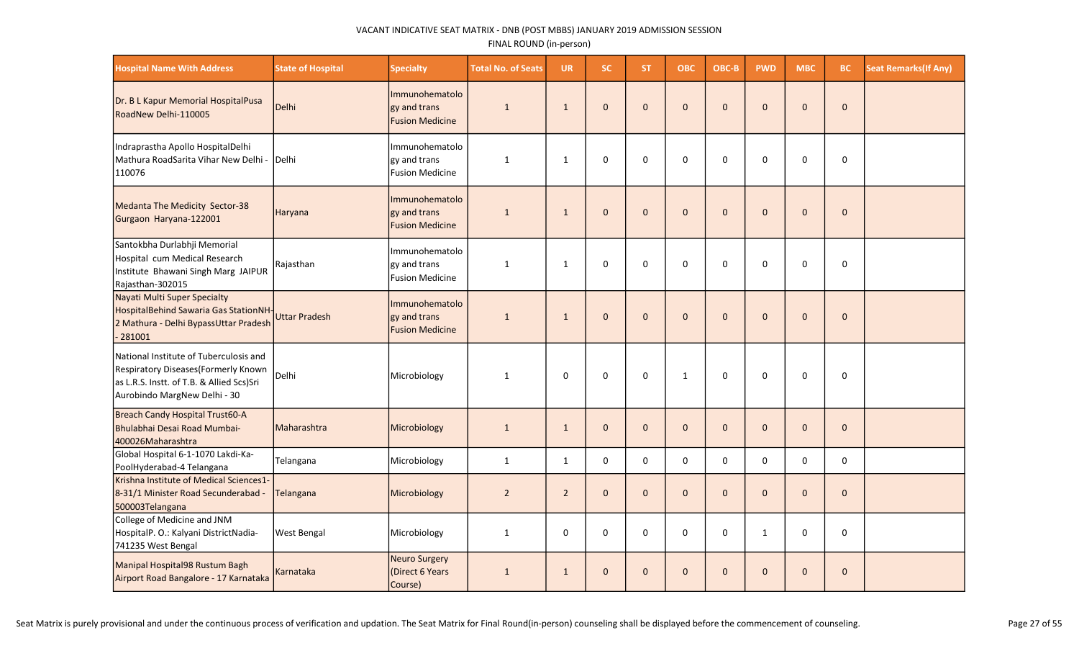| <b>Hospital Name With Address</b>                                                                                                                           | <b>State of Hospital</b> | <b>Specialty</b>                                         | <b>Total No. of Seats</b> | <b>UR</b>      | SC.          | ST.          | <b>OBC</b>   | OBC-B        | <b>PWD</b>   | <b>MBC</b>     | <b>BC</b>    | <b>Seat Remarks (If Any)</b> |
|-------------------------------------------------------------------------------------------------------------------------------------------------------------|--------------------------|----------------------------------------------------------|---------------------------|----------------|--------------|--------------|--------------|--------------|--------------|----------------|--------------|------------------------------|
| Dr. B L Kapur Memorial HospitalPusa<br>RoadNew Delhi-110005                                                                                                 | Delhi                    | Immunohematolo<br>gy and trans<br><b>Fusion Medicine</b> | $\mathbf{1}$              | $\mathbf{1}$   | $\mathbf{0}$ | $\mathbf{0}$ | $\pmb{0}$    | $\mathbf{0}$ | $\mathbf{0}$ | $\Omega$       | $\mathbf 0$  |                              |
| Indraprastha Apollo HospitalDelhi<br>Mathura RoadSarita Vihar New Delhi -<br>110076                                                                         | Delhi                    | Immunohematolo<br>gy and trans<br><b>Fusion Medicine</b> | $\mathbf{1}$              | $\mathbf{1}$   | 0            | $\Omega$     | $\Omega$     | $\Omega$     | $\Omega$     | $\Omega$       | 0            |                              |
| Medanta The Medicity Sector-38<br>Gurgaon Haryana-122001                                                                                                    | Haryana                  | Immunohematolo<br>gy and trans<br><b>Fusion Medicine</b> | $\mathbf{1}$              | $\mathbf{1}$   | $\mathbf{0}$ | $\mathbf{0}$ | $\pmb{0}$    | $\mathbf{0}$ | $\mathbf{0}$ | $\mathbf 0$    | $\mathbf{0}$ |                              |
| Santokbha Durlabhji Memorial<br>Hospital cum Medical Research<br>Institute Bhawani Singh Marg JAIPUR<br>Rajasthan-302015                                    | Rajasthan                | Immunohematolo<br>gy and trans<br><b>Fusion Medicine</b> | $\mathbf{1}$              | $\mathbf{1}$   | 0            | 0            | $\mathbf 0$  | $\mathbf{0}$ | $\Omega$     | $\Omega$       | 0            |                              |
| Nayati Multi Super Specialty<br>HospitalBehind Sawaria Gas StationNH<br>2 Mathura - Delhi BypassUttar Pradesh<br>$-281001$                                  | <b>Uttar Pradesh</b>     | Immunohematolo<br>gy and trans<br><b>Fusion Medicine</b> | $\mathbf{1}$              | $\mathbf{1}$   | $\mathbf{0}$ | $\mathbf{0}$ | $\mathbf 0$  | $\mathbf{0}$ | $\mathbf{0}$ | $\Omega$       | $\mathbf{0}$ |                              |
| National Institute of Tuberculosis and<br>Respiratory Diseases (Formerly Known<br>as L.R.S. Instt. of T.B. & Allied Scs)Sri<br>Aurobindo MargNew Delhi - 30 | Delhi                    | Microbiology                                             | 1                         | 0              | $\mathbf 0$  | 0            | $\mathbf{1}$ | 0            | $\mathbf 0$  | 0              | $\mathbf 0$  |                              |
| Breach Candy Hospital Trust60-A<br>Bhulabhai Desai Road Mumbai-<br>400026Maharashtra                                                                        | Maharashtra              | Microbiology                                             | $\mathbf{1}$              | $\mathbf{1}$   | $\mathbf{0}$ | $\mathbf{0}$ | $\mathbf{0}$ | $\mathbf{0}$ | $\mathbf{0}$ | $\overline{0}$ | $\mathbf{0}$ |                              |
| Global Hospital 6-1-1070 Lakdi-Ka-<br>PoolHyderabad-4 Telangana                                                                                             | Telangana                | Microbiology                                             | $\mathbf{1}$              | $\mathbf{1}$   | $\mathbf 0$  | 0            | $\mathbf 0$  | 0            | 0            | $\mathbf 0$    | $\mathsf 0$  |                              |
| Krishna Institute of Medical Sciences1-<br>8-31/1 Minister Road Secunderabad -<br>500003Telangana                                                           | Telangana                | Microbiology                                             | $\overline{2}$            | $\overline{2}$ | $\mathbf{0}$ | $\mathbf{0}$ | $\mathbf 0$  | $\mathbf{0}$ | $\mathbf{0}$ | $\Omega$       | $\mathbf{0}$ |                              |
| College of Medicine and JNM<br>HospitalP. O.: Kalyani DistrictNadia-<br>741235 West Bengal                                                                  | <b>West Bengal</b>       | Microbiology                                             | $\mathbf{1}$              | $\mathbf 0$    | $\mathbf 0$  | $\Omega$     | 0            | 0            | $\mathbf{1}$ | 0              | $\mathbf 0$  |                              |
| Manipal Hospital98 Rustum Bagh<br>Airport Road Bangalore - 17 Karnataka                                                                                     | Karnataka                | <b>Neuro Surgery</b><br>(Direct 6 Years<br>Course)       | $\mathbf{1}$              | $\mathbf{1}$   | $\mathbf{0}$ | $\mathbf{0}$ | $\mathbf 0$  | $\mathbf{0}$ | $\mathbf{0}$ | $\Omega$       | $\mathbf 0$  |                              |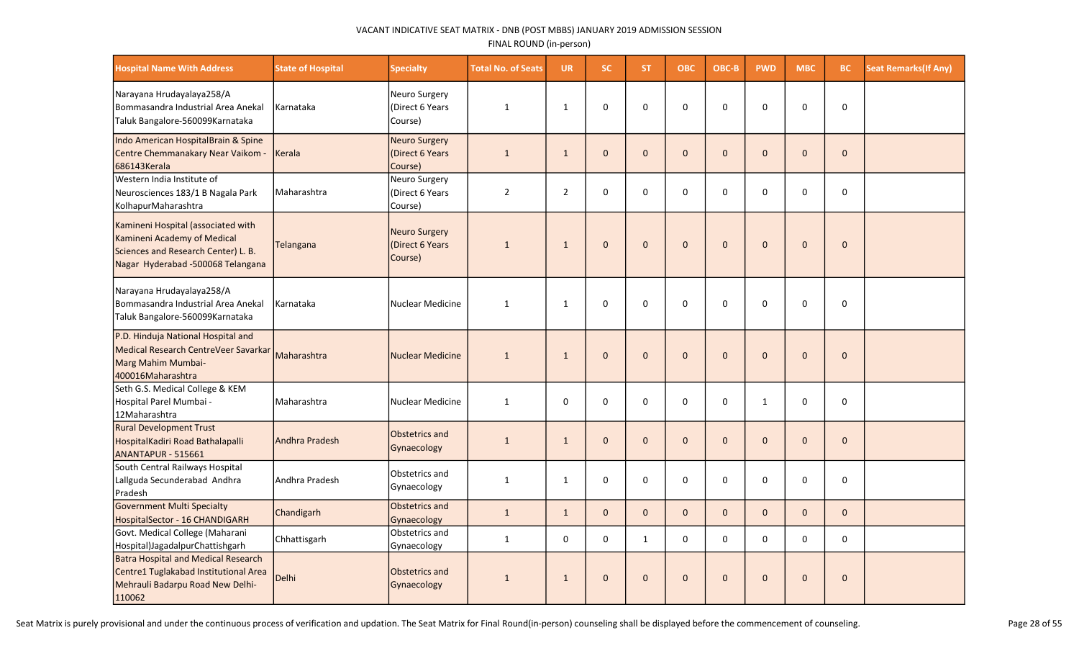| <b>Hospital Name With Address</b>                                                                                                             | <b>State of Hospital</b> | <b>Specialty</b>                                   | <b>Total No. of Seats</b> | <b>UR</b>      | <b>SC</b>    | ST.          | <b>OBC</b>   | OBC-B        | <b>PWD</b>     | <b>MBC</b>   | BC           | <b>Seat Remarks (If Any)</b> |
|-----------------------------------------------------------------------------------------------------------------------------------------------|--------------------------|----------------------------------------------------|---------------------------|----------------|--------------|--------------|--------------|--------------|----------------|--------------|--------------|------------------------------|
| Narayana Hrudayalaya258/A<br>Bommasandra Industrial Area Anekal<br>Taluk Bangalore-560099Karnataka                                            | l Karnataka              | Neuro Surgery<br>(Direct 6 Years<br>Course)        | 1                         | $\mathbf{1}$   | $\Omega$     | $\Omega$     | $\Omega$     | $\Omega$     | $\Omega$       | $\Omega$     | $\mathbf 0$  |                              |
| Indo American HospitalBrain & Spine<br>Centre Chemmanakary Near Vaikom -<br>686143Kerala                                                      | Kerala                   | <b>Neuro Surgery</b><br>(Direct 6 Years<br>Course) | $\mathbf{1}$              | $\mathbf{1}$   | $\mathbf{0}$ | $\Omega$     | $\mathbf 0$  | $\Omega$     | $\mathbf{0}$   | $\Omega$     | $\mathbf{0}$ |                              |
| Western India Institute of<br>Neurosciences 183/1 B Nagala Park<br>KolhapurMaharashtra                                                        | l Maharashtra            | Neuro Surgery<br>(Direct 6 Years<br>Course)        | $\overline{2}$            | $\overline{2}$ | 0            | $\Omega$     | 0            | $\Omega$     | 0              | $\Omega$     | $\mathbf 0$  |                              |
| Kamineni Hospital (associated with<br>Kamineni Academy of Medical<br>Sciences and Research Center) L. B.<br>Nagar Hyderabad -500068 Telangana | Telangana                | Neuro Surgery<br>(Direct 6 Years)<br>Course)       | $\mathbf{1}$              | $\mathbf{1}$   | $\mathbf{0}$ | $\Omega$     | $\mathbf 0$  | $\Omega$     | $\Omega$       | $\Omega$     | $\mathbf{0}$ |                              |
| Narayana Hrudayalaya258/A<br>Bommasandra Industrial Area Anekal<br>Taluk Bangalore-560099Karnataka                                            | Karnataka                | Nuclear Medicine                                   | $\mathbf{1}$              | $\mathbf{1}$   | $\Omega$     | $\Omega$     | $\Omega$     | $\Omega$     | $\Omega$       | $\Omega$     | 0            |                              |
| P.D. Hinduja National Hospital and<br>Medical Research CentreVeer Savarkar<br>Marg Mahim Mumbai-<br>400016Maharashtra                         | Maharashtra              | <b>Nuclear Medicine</b>                            | $\mathbf{1}$              | $\mathbf{1}$   | $\mathbf 0$  | $\mathbf{0}$ | $\mathbf{0}$ | $\mathbf{0}$ | $\overline{0}$ | $\mathbf{0}$ | $\pmb{0}$    |                              |
| Seth G.S. Medical College & KEM<br>Hospital Parel Mumbai -<br>12Maharashtra                                                                   | Maharashtra              | Nuclear Medicine                                   | $\mathbf{1}$              | 0              | 0            | $\Omega$     | $\mathbf 0$  | $\Omega$     | $\mathbf{1}$   | 0            | $\mathbf 0$  |                              |
| <b>Rural Development Trust</b><br>HospitalKadiri Road Bathalapalli<br>ANANTAPUR - 515661                                                      | Andhra Pradesh           | Obstetrics and<br>Gynaecology                      | $\mathbf{1}$              | $\mathbf{1}$   | $\mathbf{0}$ | $\mathbf{0}$ | $\mathbf 0$  | $\Omega$     | $\mathbf{0}$   | $\mathbf{0}$ | $\mathbf{0}$ |                              |
| South Central Railways Hospital<br>Lallguda Secunderabad Andhra<br>Pradesh                                                                    | Andhra Pradesh           | Obstetrics and<br>Gynaecology                      | $\mathbf{1}$              | $\mathbf{1}$   | 0            | 0            | 0            | $\mathbf 0$  | $\pmb{0}$      | 0            | 0            |                              |
| <b>Government Multi Specialty</b><br>HospitalSector - 16 CHANDIGARH                                                                           | Chandigarh               | Obstetrics and<br>Gynaecology                      | $\mathbf{1}$              | $\mathbf{1}$   | $\mathbf{0}$ | $\Omega$     | $\mathbf{0}$ | $\Omega$     | $\mathbf 0$    | $\mathbf{0}$ | $\mathbf{0}$ |                              |
| Govt. Medical College (Maharani<br>Hospital)JagadalpurChattishgarh                                                                            | Chhattisgarh             | Obstetrics and<br>Gynaecology                      | $\mathbf{1}$              | $\mathbf 0$    | $\mathbf 0$  | $\mathbf{1}$ | $\mathbf 0$  | $\mathbf 0$  | $\mathbf 0$    | 0            | $\mathbf 0$  |                              |
| Batra Hospital and Medical Research<br>Centre1 Tuglakabad Institutional Area<br>Mehrauli Badarpu Road New Delhi-<br>110062                    | <b>Delhi</b>             | Obstetrics and<br>Gynaecology                      | $\mathbf{1}$              | $\mathbf{1}$   | $\mathbf 0$  | $\Omega$     | $\mathbf{0}$ | $\Omega$     | $\mathbf{0}$   | $\Omega$     | $\mathbf{0}$ |                              |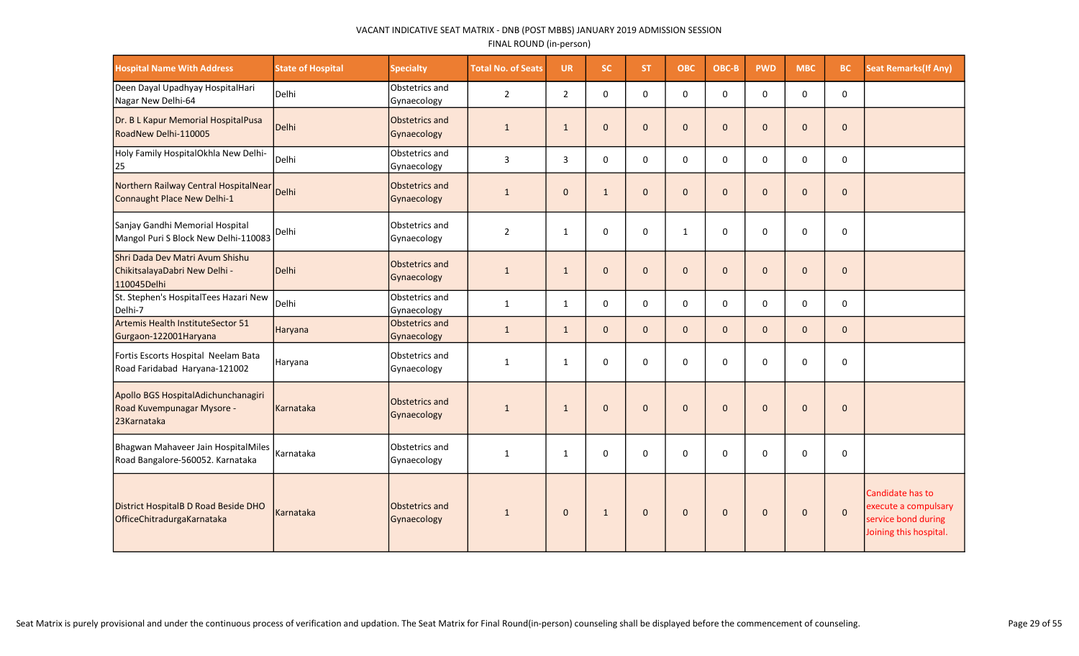| <b>Hospital Name With Address</b>                                                 | <b>State of Hospital</b> | <b>Specialty</b>              | <b>Total No. of Seats</b> | <b>UR</b>      | <b>SC</b>    | <b>ST</b>    | <b>OBC</b>   | OBC-B        | <b>PWD</b>   | <b>MBC</b>   | <b>BC</b>    | <b>Seat Remarks (If Any)</b>                                                              |
|-----------------------------------------------------------------------------------|--------------------------|-------------------------------|---------------------------|----------------|--------------|--------------|--------------|--------------|--------------|--------------|--------------|-------------------------------------------------------------------------------------------|
| Deen Dayal Upadhyay HospitalHari<br>Nagar New Delhi-64                            | Delhi                    | Obstetrics and<br>Gynaecology | $\overline{2}$            | $\overline{2}$ | $\mathbf 0$  | $\mathbf 0$  | $\mathbf 0$  | $\mathbf 0$  | $\mathbf 0$  | 0            | $\mathbf 0$  |                                                                                           |
| Dr. B L Kapur Memorial HospitalPusa<br>RoadNew Delhi-110005                       | Delhi                    | Obstetrics and<br>Gynaecology | $\mathbf{1}$              | $\mathbf{1}$   | $\mathbf{0}$ | $\mathbf{0}$ | $\mathbf 0$  | $\mathbf{0}$ | $\mathbf{0}$ | $\mathbf{0}$ | $\mathbf 0$  |                                                                                           |
| Holy Family HospitalOkhla New Delhi-<br>25                                        | Delhi                    | Obstetrics and<br>Gynaecology | $\mathbf{3}$              | 3              | $\mathbf 0$  | $\mathbf 0$  | $\mathbf 0$  | $\mathbf 0$  | $\mathbf 0$  | 0            | $\mathbf 0$  |                                                                                           |
| Northern Railway Central HospitalNear<br>Connaught Place New Delhi-1              | Delhi                    | Obstetrics and<br>Gynaecology | $\mathbf{1}$              | $\mathbf{0}$   | $\mathbf{1}$ | $\mathbf{0}$ | $\pmb{0}$    | $\mathbf{0}$ | $\mathbf 0$  | $\Omega$     | $\mathbf 0$  |                                                                                           |
| Sanjay Gandhi Memorial Hospital<br>Mangol Puri S Block New Delhi-110083           | Delhi                    | Obstetrics and<br>Gynaecology | $\overline{2}$            | 1              | $\mathbf 0$  | $\Omega$     | $\mathbf{1}$ | 0            | 0            | $\Omega$     | $\pmb{0}$    |                                                                                           |
| Shri Dada Dev Matri Avum Shishu<br>ChikitsalayaDabri New Delhi -<br>110045Delhi   | Delhi                    | Obstetrics and<br>Gynaecology | $\mathbf{1}$              | $\mathbf{1}$   | $\mathbf{0}$ | $\Omega$     | $\mathbf 0$  | $\mathbf{0}$ | $\mathbf 0$  | $\Omega$     | $\mathbf{0}$ |                                                                                           |
| St. Stephen's HospitalTees Hazari New<br>Delhi-7                                  | Delhi                    | Obstetrics and<br>Gynaecology | $\mathbf{1}$              | 1              | $\mathbf 0$  | $\Omega$     | $\mathbf 0$  | $\Omega$     | $\Omega$     | $\Omega$     | $\mathbf 0$  |                                                                                           |
| Artemis Health InstituteSector 51<br>Gurgaon-122001Haryana                        | Haryana                  | Obstetrics and<br>Gynaecology | $\mathbf{1}$              | $\mathbf{1}$   | $\mathbf{0}$ | $\mathbf{0}$ | $\mathbf{0}$ | $\mathbf{0}$ | $\mathbf{0}$ | $\mathbf{0}$ | $\mathbf 0$  |                                                                                           |
| Fortis Escorts Hospital Neelam Bata<br>Road Faridabad Haryana-121002              | Haryana                  | Obstetrics and<br>Gynaecology | $\mathbf{1}$              | 1              | $\mathbf 0$  | $\Omega$     | $\mathbf 0$  | $\mathbf 0$  | $\Omega$     | $\Omega$     | $\mathbf 0$  |                                                                                           |
| Apollo BGS HospitalAdichunchanagiri<br>Road Kuvempunagar Mysore -<br>23 Karnataka | Karnataka                | Obstetrics and<br>Gynaecology | $\mathbf{1}$              | $\mathbf{1}$   | $\mathbf{0}$ | $\Omega$     | $\mathbf{0}$ | $\Omega$     | $\Omega$     | $\Omega$     | $\mathbf{0}$ |                                                                                           |
| Bhagwan Mahaveer Jain HospitalMiles<br>Road Bangalore-560052. Karnataka           | Karnataka                | Obstetrics and<br>Gynaecology | $\mathbf{1}$              | $\mathbf{1}$   | $\mathbf 0$  | $\mathbf 0$  | $\mathbf 0$  | $\mathbf 0$  | 0            | $\Omega$     | $\mathbf 0$  |                                                                                           |
| District HospitalB D Road Beside DHO<br>OfficeChitradurgaKarnataka                | <b>Karnataka</b>         | Obstetrics and<br>Gynaecology | 1                         | $\mathbf{0}$   | $\mathbf{1}$ | $\mathbf{0}$ | $\mathbf{0}$ | $\mathbf{0}$ | $\mathbf{0}$ | $\mathbf{0}$ | $\mathbf{0}$ | Candidate has to<br>execute a compulsary<br>service bond during<br>Joining this hospital. |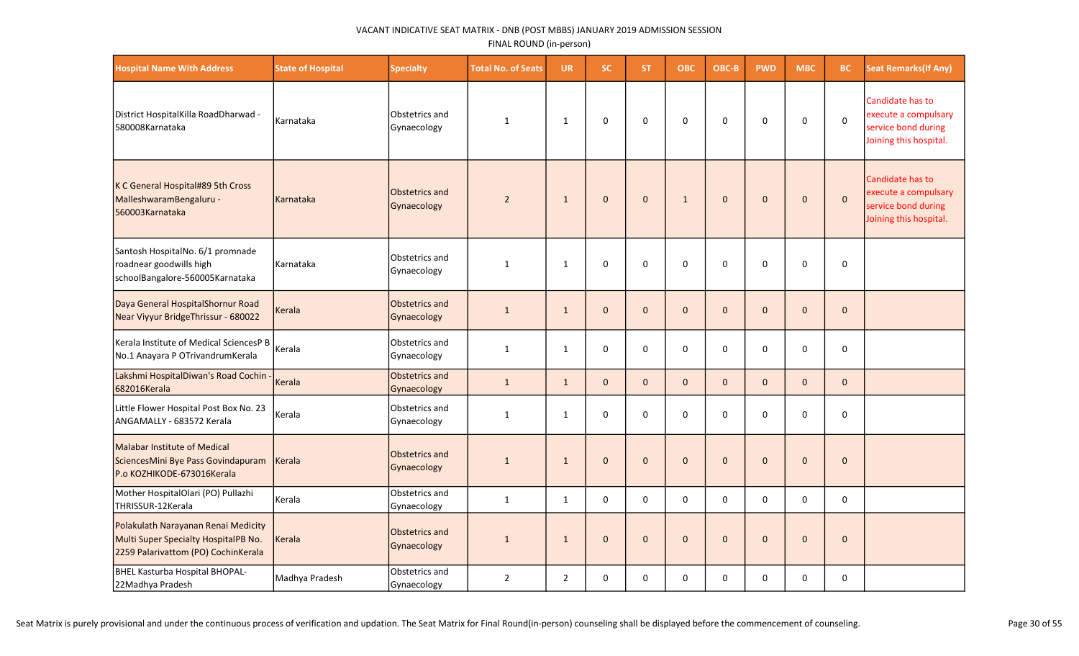| <b>Hospital Name With Address</b>                                                                                  | <b>State of Hospital</b> | <b>Specialty</b>                     | <b>Total No. of Seats</b> | <b>UR</b>      | SC.          | ST.          | <b>OBC</b>   | OBC-B        | <b>PWD</b>   | <b>MBC</b>  | <b>BC</b>           | <b>Seat Remarks (If Any)</b>                                                              |
|--------------------------------------------------------------------------------------------------------------------|--------------------------|--------------------------------------|---------------------------|----------------|--------------|--------------|--------------|--------------|--------------|-------------|---------------------|-------------------------------------------------------------------------------------------|
| District HospitalKilla RoadDharwad -<br>580008Karnataka                                                            | Karnataka                | Obstetrics and<br>Gynaecology        | 1                         | 1              | $\mathbf 0$  | $\mathbf 0$  | $\mathbf 0$  | $\mathbf 0$  | $\mathbf 0$  | $\mathbf 0$ | $\mathsf 0$         | Candidate has to<br>execute a compulsary<br>service bond during<br>Joining this hospital. |
| K C General Hospital#89 5th Cross<br>MalleshwaramBengaluru -<br>560003Karnataka                                    | Karnataka                | <b>Obstetrics and</b><br>Gynaecology | $\overline{2}$            | $\mathbf{1}$   | $\mathbf{0}$ | $\mathbf 0$  | $\mathbf{1}$ | $\mathbf{0}$ | $\mathbf 0$  | $\mathbf 0$ | $\mathbf 0$         | Candidate has to<br>execute a compulsary<br>service bond during<br>Joining this hospital. |
| Santosh HospitalNo. 6/1 promnade<br>roadnear goodwills high<br>schoolBangalore-560005Karnataka                     | Karnataka                | Obstetrics and<br>Gynaecology        | 1                         | 1              | 0            | 0            | $\mathbf 0$  | $\Omega$     | 0            | 0           | 0                   |                                                                                           |
| Daya General HospitalShornur Road<br>Near Viyyur BridgeThrissur - 680022                                           | Kerala                   | <b>Obstetrics and</b><br>Gynaecology | $\mathbf{1}$              | $\mathbf{1}$   | $\mathbf{0}$ | $\mathbf 0$  | $\pmb{0}$    | $\mathbf{0}$ | $\mathbf 0$  | $\mathbf 0$ | $\mathsf{O}\xspace$ |                                                                                           |
| lKerala Institute of Medical SciencesP B<br>No.1 Anayara P OTrivandrumKerala                                       | Kerala                   | Obstetrics and<br>Gynaecology        | $\mathbf{1}$              | $\mathbf{1}$   | $\mathbf 0$  | $\Omega$     | $\mathbf 0$  | $\Omega$     | $\Omega$     | $\mathbf 0$ | 0                   |                                                                                           |
| Lakshmi HospitalDiwan's Road Cochin<br>682016Kerala                                                                | Kerala                   | Obstetrics and<br>Gynaecology        | $\mathbf{1}$              | $\mathbf{1}$   | $\mathbf 0$  | $\mathbf{0}$ | $\mathbf 0$  | $\mathbf{0}$ | $\mathbf 0$  | $\mathbf 0$ | $\mathbf{0}$        |                                                                                           |
| Little Flower Hospital Post Box No. 23<br>ANGAMALLY - 683572 Kerala                                                | Kerala                   | Obstetrics and<br>Gynaecology        | $\mathbf{1}$              | 1              | $\mathsf 0$  | 0            | $\pmb{0}$    | 0            | $\mathbf 0$  | 0           | 0                   |                                                                                           |
| <b>Malabar Institute of Medical</b><br>SciencesMini Bye Pass Govindapuram<br>P.o KOZHIKODE-673016Kerala            | Kerala                   | <b>Obstetrics and</b><br>Gynaecology | $\mathbf{1}$              | $\mathbf{1}$   | $\mathbf{0}$ | $\mathbf 0$  | $\mathbf{0}$ | $\mathbf{0}$ | $\mathbf{0}$ | $\mathbf 0$ | $\mathbf 0$         |                                                                                           |
| Mother HospitalOlari (PO) Pullazhi<br>THRISSUR-12Kerala                                                            | Kerala                   | Obstetrics and<br>Gynaecology        | $\mathbf{1}$              | $\mathbf{1}$   | 0            | 0            | $\mathbf 0$  | $\mathbf 0$  | $\mathbf 0$  | 0           | 0                   |                                                                                           |
| Polakulath Narayanan Renai Medicity<br>Multi Super Specialty HospitalPB No.<br>2259 Palarivattom (PO) CochinKerala | Kerala                   | <b>Obstetrics and</b><br>Gynaecology | $\mathbf{1}$              | $\mathbf{1}$   | $\mathbf{0}$ | $\mathbf 0$  | $\mathbf{0}$ | $\mathbf 0$  | $\mathbf 0$  | $\mathbf 0$ | $\mathbf 0$         |                                                                                           |
| BHEL Kasturba Hospital BHOPAL-<br>22Madhya Pradesh                                                                 | Madhya Pradesh           | Obstetrics and<br>Gynaecology        | $\overline{2}$            | $\overline{2}$ | 0            | 0            | 0            | $\mathbf 0$  | $\mathbf 0$  | 0           | 0                   |                                                                                           |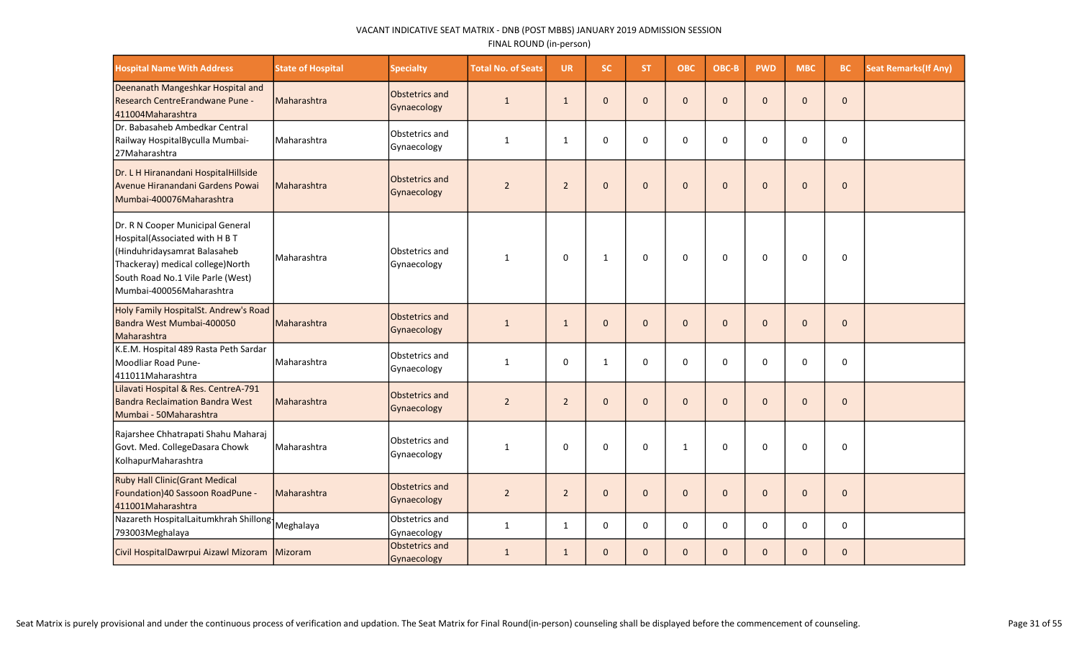| <b>Hospital Name With Address</b>                                                                                                                                                                       | <b>State of Hospital</b> | <b>Specialty</b>                     | <b>Total No. of Seats</b> | <b>UR</b>      | SC.          | ST.          | <b>OBC</b>   | OBC-B        | <b>PWD</b>   | <b>MBC</b>   | <b>BC</b>    | <b>Seat Remarks (If Any)</b> |
|---------------------------------------------------------------------------------------------------------------------------------------------------------------------------------------------------------|--------------------------|--------------------------------------|---------------------------|----------------|--------------|--------------|--------------|--------------|--------------|--------------|--------------|------------------------------|
| Deenanath Mangeshkar Hospital and<br>Research CentreErandwane Pune -<br>411004Maharashtra                                                                                                               | Maharashtra              | <b>Obstetrics and</b><br>Gynaecology | $\mathbf{1}$              | $\mathbf{1}$   | $\mathbf{0}$ | $\mathbf{0}$ | $\mathbf{0}$ | $\mathbf{0}$ | $\mathbf{0}$ | $\mathbf{0}$ | $\mathbf{0}$ |                              |
| Dr. Babasaheb Ambedkar Central<br>Railway HospitalByculla Mumbai-<br>27Maharashtra                                                                                                                      | Maharashtra              | Obstetrics and<br>Gynaecology        | $\mathbf{1}$              | 1              | $\mathbf 0$  | $\Omega$     | $\mathbf 0$  | $\Omega$     | $\Omega$     | $\Omega$     | 0            |                              |
| Dr. L H Hiranandani HospitalHillside<br>Avenue Hiranandani Gardens Powai<br>Mumbai-400076Maharashtra                                                                                                    | Maharashtra              | <b>Obstetrics and</b><br>Gynaecology | $\overline{2}$            | $\overline{2}$ | $\mathbf{0}$ | $\mathbf{0}$ | $\mathbf{0}$ | $\mathbf{0}$ | $\mathbf{0}$ | $\Omega$     | $\mathbf{0}$ |                              |
| Dr. R N Cooper Municipal General<br>Hospital(Associated with H B T<br>Hinduhridaysamrat Balasaheb<br>Thackeray) medical college) North<br>South Road No.1 Vile Parle (West)<br>Mumbai-400056Maharashtra | Maharashtra              | Obstetrics and<br>Gynaecology        | $\mathbf{1}$              | $\mathbf 0$    | $\mathbf{1}$ | $\mathbf 0$  | 0            | $\mathbf 0$  | $\mathbf 0$  | 0            | $\mathbf 0$  |                              |
| Holy Family HospitalSt. Andrew's Road<br>Bandra West Mumbai-400050<br>Maharashtra                                                                                                                       | Maharashtra              | Obstetrics and<br>Gynaecology        | $\mathbf{1}$              | $\mathbf{1}$   | $\mathbf{0}$ | $\mathbf{0}$ | $\mathbf{0}$ | $\Omega$     | $\mathbf{0}$ | $\Omega$     | $\mathbf 0$  |                              |
| K.E.M. Hospital 489 Rasta Peth Sardar<br>Moodliar Road Pune-<br>411011Maharashtra                                                                                                                       | Maharashtra              | Obstetrics and<br>Gynaecology        | $\mathbf{1}$              | $\mathbf 0$    | $\mathbf{1}$ | $\mathbf 0$  | $\mathbf 0$  | $\Omega$     | 0            | $\Omega$     | $\mathbf 0$  |                              |
| Lilavati Hospital & Res. CentreA-791<br><b>Bandra Reclaimation Bandra West</b><br>Mumbai - 50Maharashtra                                                                                                | Maharashtra              | <b>Obstetrics and</b><br>Gynaecology | $\overline{2}$            | $\overline{2}$ | $\mathbf{0}$ | $\mathbf{0}$ | $\mathbf{0}$ | $\mathbf{0}$ | $\mathbf{0}$ | $\mathbf{0}$ | $\mathbf 0$  |                              |
| Rajarshee Chhatrapati Shahu Maharaj<br>Govt. Med. CollegeDasara Chowk<br>KolhapurMaharashtra                                                                                                            | Maharashtra              | Obstetrics and<br>Gynaecology        | $\mathbf{1}$              | $\mathbf 0$    | $\mathbf 0$  | $\mathbf 0$  | $\mathbf{1}$ | $\Omega$     | 0            | $\Omega$     | $\mathbf 0$  |                              |
| <b>Ruby Hall Clinic (Grant Medical</b><br>Foundation) 40 Sassoon RoadPune -<br>411001Maharashtra                                                                                                        | Maharashtra              | Obstetrics and<br>Gynaecology        | $\overline{2}$            | $\overline{2}$ | $\mathbf{0}$ | $\mathbf{0}$ | $\mathbf{0}$ | $\mathbf{0}$ | $\mathbf 0$  | $\Omega$     | $\mathbf 0$  |                              |
| Nazareth HospitalLaitumkhrah Shillong-<br>793003Meghalaya                                                                                                                                               | Meghalaya                | Obstetrics and<br>Gynaecology        | $\mathbf{1}$              | $\mathbf{1}$   | $\mathbf{0}$ | $\Omega$     | $\mathbf 0$  | $\Omega$     | $\mathbf 0$  | $\Omega$     | $\mathbf 0$  |                              |
| Civil HospitalDawrpui Aizawl Mizoram Mizoram                                                                                                                                                            |                          | Obstetrics and<br>Gynaecology        | 1                         | 1              | $\mathbf{0}$ | $\mathbf{0}$ | $\mathbf{0}$ | $\mathbf{0}$ | $\mathbf{0}$ | $\mathbf{0}$ | $\pmb{0}$    |                              |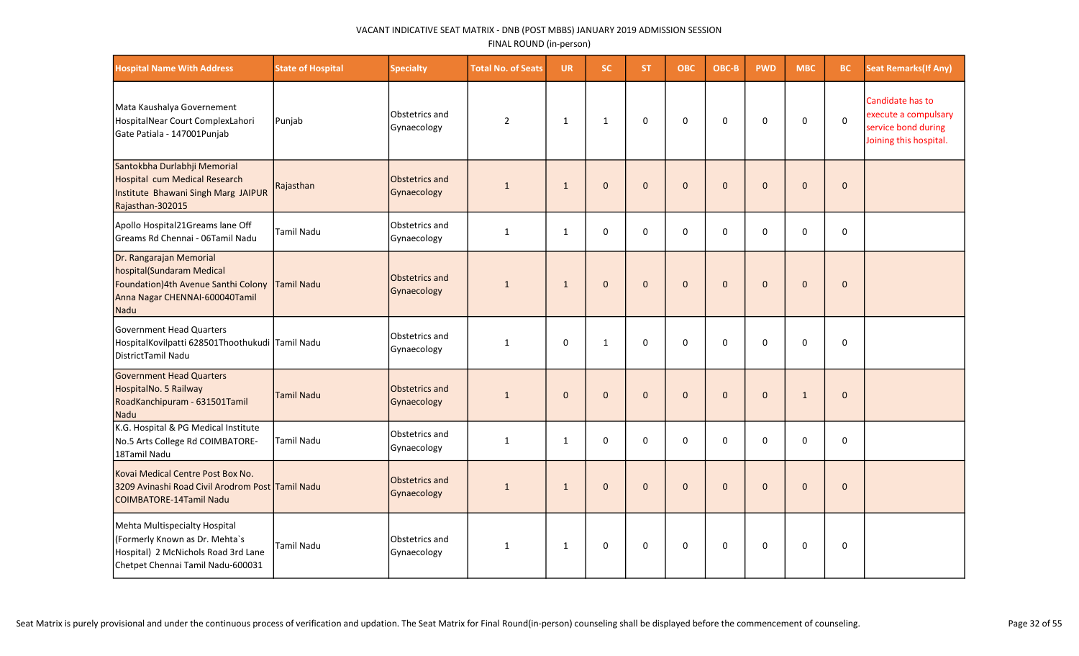| <b>Hospital Name With Address</b>                                                                                                                 | <b>State of Hospital</b> | <b>Specialty</b>              | <b>Total No. of Seats</b> | <b>UR</b>    | <b>SC</b>    | <b>ST</b>    | <b>OBC</b>   | OBC-B        | <b>PWD</b>   | <b>MBC</b>   | BC           | <b>Seat Remarks (If Any)</b>                                                              |
|---------------------------------------------------------------------------------------------------------------------------------------------------|--------------------------|-------------------------------|---------------------------|--------------|--------------|--------------|--------------|--------------|--------------|--------------|--------------|-------------------------------------------------------------------------------------------|
| Mata Kaushalya Governement<br>HospitalNear Court ComplexLahori<br>Gate Patiala - 147001Punjab                                                     | Punjab                   | Obstetrics and<br>Gynaecology | $\overline{2}$            | $\mathbf{1}$ | $\mathbf{1}$ | $\mathbf 0$  | $\pmb{0}$    | $\mathbf 0$  | 0            | $\mathbf 0$  | $\mathsf 0$  | Candidate has to<br>execute a compulsary<br>service bond during<br>Joining this hospital. |
| Santokbha Durlabhji Memorial<br>Hospital cum Medical Research<br>Institute Bhawani Singh Marg JAIPUR<br>Rajasthan-302015                          | Rajasthan                | Obstetrics and<br>Gynaecology | $\mathbf{1}$              | $\mathbf{1}$ | $\Omega$     | $\Omega$     | $\Omega$     | $\Omega$     | $\mathbf{0}$ | $\mathbf{0}$ | $\mathbf{0}$ |                                                                                           |
| Apollo Hospital21Greams lane Off<br>Greams Rd Chennai - 06Tamil Nadu                                                                              | Tamil Nadu               | Obstetrics and<br>Gynaecology | $\mathbf{1}$              | $\mathbf{1}$ | $\Omega$     | $\Omega$     | $\mathbf 0$  | 0            | 0            | 0            | 0            |                                                                                           |
| Dr. Rangarajan Memorial<br>hospital(Sundaram Medical<br>Foundation) 4th Avenue Santhi Colony Tamil Nadu<br>Anna Nagar CHENNAI-600040Tamil<br>Nadu |                          | Obstetrics and<br>Gynaecology | $\mathbf{1}$              | $\mathbf{1}$ | $\Omega$     | $\Omega$     | $\mathbf 0$  | $\Omega$     | $\mathbf{0}$ | $\mathbf{0}$ | $\mathbf{0}$ |                                                                                           |
| Government Head Quarters<br>HospitalKovilpatti 628501Thoothukudi Tamil Nadu<br>DistrictTamil Nadu                                                 |                          | Obstetrics and<br>Gynaecology | $\mathbf{1}$              | $\Omega$     | $\mathbf{1}$ | $\Omega$     | $\Omega$     | $\Omega$     | $\Omega$     | $\mathbf{0}$ | $\Omega$     |                                                                                           |
| <b>Government Head Quarters</b><br>HospitalNo. 5 Railway<br>RoadKanchipuram - 631501Tamil<br>Nadu                                                 | <b>Tamil Nadu</b>        | Obstetrics and<br>Gynaecology | $\mathbf{1}$              | $\Omega$     | $\Omega$     | $\Omega$     | $\mathbf{0}$ | $\Omega$     | $\mathbf{0}$ | $\mathbf{1}$ | $\mathbf{0}$ |                                                                                           |
| K.G. Hospital & PG Medical Institute<br>No.5 Arts College Rd COIMBATORE-<br>18Tamil Nadu                                                          | <b>Tamil Nadu</b>        | Obstetrics and<br>Gynaecology | $\mathbf{1}$              | $\mathbf{1}$ | 0            | $\mathbf 0$  | $\mathbf 0$  | $\mathbf 0$  | 0            | $\Omega$     | $\mathbf 0$  |                                                                                           |
| Kovai Medical Centre Post Box No.<br>3209 Avinashi Road Civil Arodrom Post Tamil Nadu<br><b>COIMBATORE-14Tamil Nadu</b>                           |                          | Obstetrics and<br>Gynaecology | $\mathbf{1}$              | $\mathbf{1}$ | $\mathbf{0}$ | $\mathbf{0}$ | $\mathbf{0}$ | $\mathbf{0}$ | $\mathbf 0$  | $\mathbf{0}$ | $\mathbf 0$  |                                                                                           |
| Mehta Multispecialty Hospital<br>(Formerly Known as Dr. Mehta's<br>Hospital) 2 McNichols Road 3rd Lane<br>Chetpet Chennai Tamil Nadu-600031       | Tamil Nadu               | Obstetrics and<br>Gynaecology | $\mathbf{1}$              | 1            | $\Omega$     | 0            | $\mathbf 0$  | $\mathbf 0$  | 0            | 0            | 0            |                                                                                           |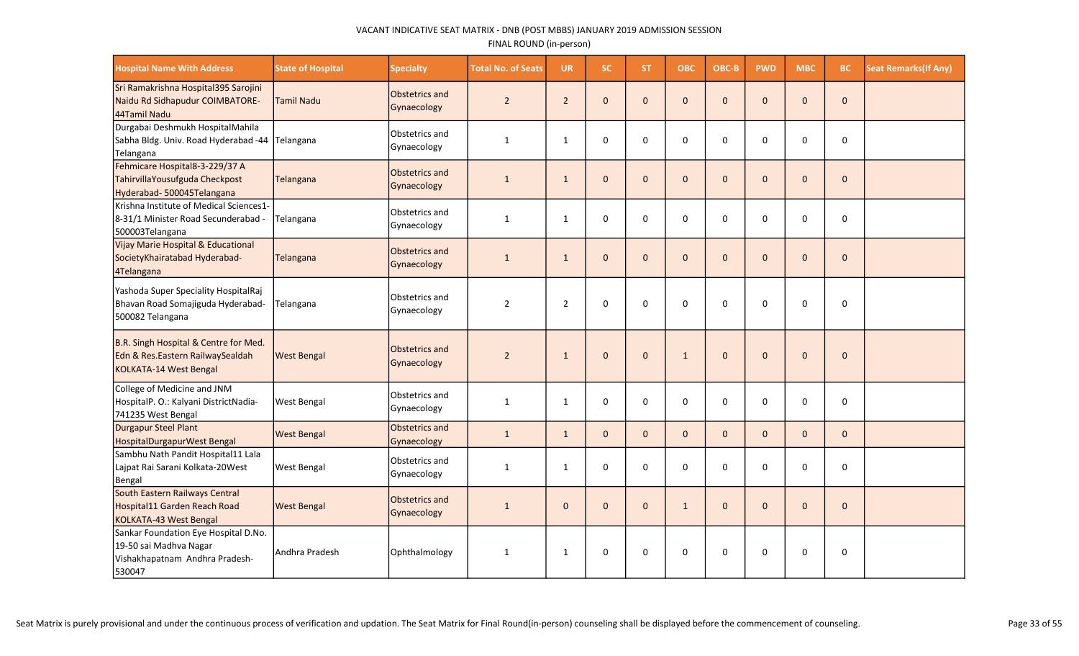| <b>Hospital Name With Address</b>                                                                          | <b>State of Hospital</b> | <b>Specialty</b>              | <b>Total No. of Seats</b> | <b>UR</b>      | <b>SC</b>    | <b>ST</b>    | ОВС          | OBC-B       | <b>PWD</b>   | <b>MBC</b>   | BC           | <b>Seat Remarks (If Any)</b> |
|------------------------------------------------------------------------------------------------------------|--------------------------|-------------------------------|---------------------------|----------------|--------------|--------------|--------------|-------------|--------------|--------------|--------------|------------------------------|
| Sri Ramakrishna Hospital395 Sarojini<br>Naidu Rd Sidhapudur COIMBATORE-<br>44Tamil Nadu                    | <b>Tamil Nadu</b>        | Obstetrics and<br>Gynaecology | $\overline{2}$            | $\overline{2}$ | $\mathbf{0}$ | $\Omega$     | $\mathbf{0}$ | $\Omega$    | $\mathbf{0}$ | $\Omega$     | $\pmb{0}$    |                              |
| Durgabai Deshmukh HospitalMahila<br>Sabha Bldg. Univ. Road Hyderabad -44<br>Telangana                      | Telangana                | Obstetrics and<br>Gynaecology | $\mathbf{1}$              | $\mathbf{1}$   | $\mathbf 0$  | 0            | 0            | $\Omega$    | 0            | 0            | $\pmb{0}$    |                              |
| Fehmicare Hospital8-3-229/37 A<br>TahirvillaYousufguda Checkpost<br>Hyderabad-500045Telangana              | Telangana                | Obstetrics and<br>Gynaecology | $\mathbf{1}$              | $\mathbf{1}$   | $\mathbf{0}$ | $\mathbf{0}$ | $\mathbf 0$  | $\Omega$    | $\mathbf 0$  | $\mathbf 0$  | $\mathbf 0$  |                              |
| Krishna Institute of Medical Sciences1-<br>8-31/1 Minister Road Secunderabad -<br>500003Telangana          | Telangana                | Obstetrics and<br>Gynaecology | $\mathbf{1}$              | $\mathbf{1}$   | $\mathbf 0$  | $\Omega$     | $\Omega$     | $\Omega$    | 0            | $\Omega$     | $\mathbf 0$  |                              |
| Vijay Marie Hospital & Educational<br>SocietyKhairatabad Hyderabad-<br>4Telangana                          | Telangana                | Obstetrics and<br>Gynaecology | $\mathbf{1}$              | $\mathbf{1}$   | $\mathbf{0}$ | $\Omega$     | $\mathbf{0}$ | $\Omega$    | $\Omega$     | $\Omega$     | $\mathbf{0}$ |                              |
| Yashoda Super Speciality HospitalRaj<br>Bhavan Road Somajiguda Hyderabad-<br>500082 Telangana              | Telangana                | Obstetrics and<br>Gynaecology | $\overline{2}$            | $\overline{2}$ | $\mathbf 0$  | 0            | 0            | $\Omega$    | $\mathbf 0$  | $\mathbf 0$  | 0            |                              |
| B.R. Singh Hospital & Centre for Med.<br>Edn & Res.Eastern RailwaySealdah<br>KOLKATA-14 West Bengal        | <b>West Bengal</b>       | Obstetrics and<br>Gynaecology | $\overline{2}$            | $\mathbf{1}$   | $\mathbf{0}$ | $\mathbf{0}$ | $\mathbf{1}$ | $\Omega$    | $\Omega$     | $\Omega$     | $\mathbf{0}$ |                              |
| College of Medicine and JNM<br>HospitalP. O.: Kalyani DistrictNadia-<br>741235 West Bengal                 | <b>West Bengal</b>       | Obstetrics and<br>Gynaecology | $\mathbf{1}$              | $\mathbf{1}$   | $\mathbf 0$  | $\Omega$     | $\Omega$     | $\Omega$    | $\mathbf 0$  | $\mathbf 0$  | $\mathbf 0$  |                              |
| Durgapur Steel Plant<br>HospitalDurgapurWest Bengal                                                        | <b>West Bengal</b>       | Obstetrics and<br>Gynaecology | $\mathbf{1}$              | $\mathbf{1}$   | $\mathbf 0$  | $\mathbf{0}$ | $\mathbf{0}$ | $\Omega$    | $\mathbf{0}$ | $\mathbf{0}$ | $\mathbf 0$  |                              |
| Sambhu Nath Pandit Hospital11 Lala<br>Lajpat Rai Sarani Kolkata-20West<br>Bengal                           | <b>West Bengal</b>       | Obstetrics and<br>Gynaecology | $\mathbf{1}$              | $\mathbf{1}$   | $\mathbf 0$  | $\mathbf 0$  | $\mathbf 0$  | $\Omega$    | 0            | 0            | $\pmb{0}$    |                              |
| South Eastern Railways Central<br>Hospital11 Garden Reach Road<br>KOLKATA-43 West Bengal                   | <b>West Bengal</b>       | Obstetrics and<br>Gynaecology | $\mathbf{1}$              | $\Omega$       | $\mathbf 0$  | $\Omega$     | $\mathbf{1}$ | $\Omega$    | $\Omega$     | $\Omega$     | $\mathbf 0$  |                              |
| Sankar Foundation Eye Hospital D.No.<br>19-50 sai Madhva Nagar<br>Vishakhapatnam Andhra Pradesh-<br>530047 | Andhra Pradesh           | Ophthalmology                 | $\mathbf{1}$              | $\mathbf{1}$   | $\mathbf 0$  | 0            | $\mathbf 0$  | $\mathbf 0$ | $\mathbf 0$  | $\mathbf 0$  | 0            |                              |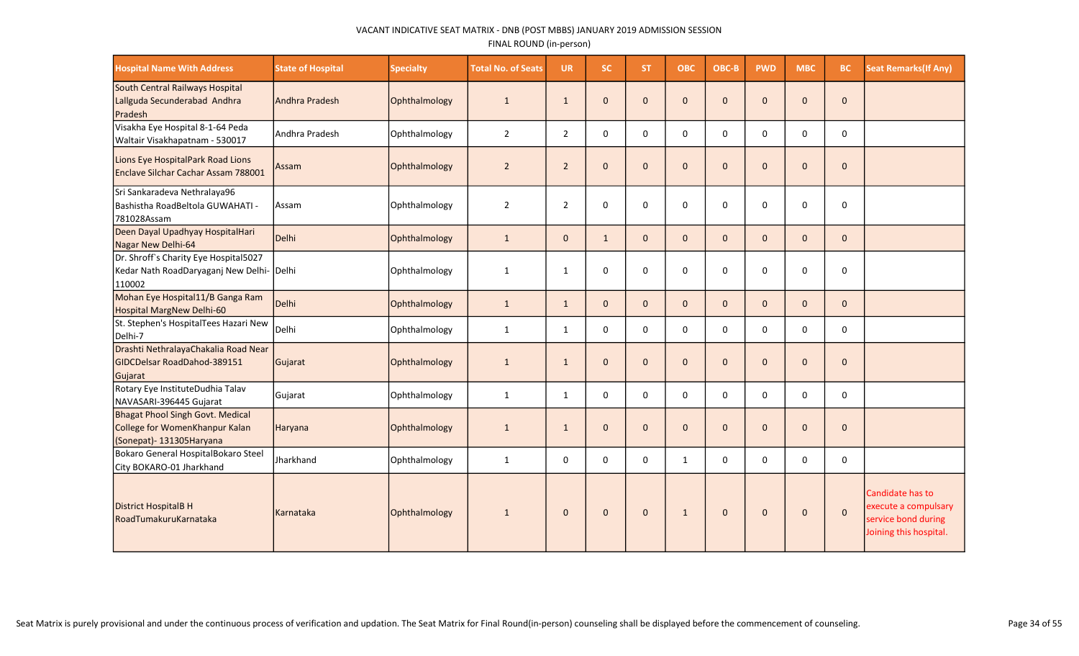| <b>Hospital Name With Address</b>                                                                       | <b>State of Hospital</b> | <b>Specialty</b> | <b>Total No. of Seats</b> | <b>UR</b>      | <b>SC</b>    | <b>ST</b>    | <b>OBC</b>   | OBC-B        | <b>PWD</b>   | <b>MBC</b>   | BC           | <b>Seat Remarks (If Any)</b>                                                              |
|---------------------------------------------------------------------------------------------------------|--------------------------|------------------|---------------------------|----------------|--------------|--------------|--------------|--------------|--------------|--------------|--------------|-------------------------------------------------------------------------------------------|
| South Central Railways Hospital<br>Lallguda Secunderabad Andhra<br>Pradesh                              | Andhra Pradesh           | Ophthalmology    | $\mathbf{1}$              | $\mathbf{1}$   | $\mathbf{0}$ | $\mathbf{0}$ | $\mathbf 0$  | $\mathbf{0}$ | $\mathbf{0}$ | $\mathbf{0}$ | $\mathbf 0$  |                                                                                           |
| Visakha Eye Hospital 8-1-64 Peda<br>Waltair Visakhapatnam - 530017                                      | Andhra Pradesh           | Ophthalmology    | $\overline{2}$            | $\overline{2}$ | 0            | 0            | $\mathbf 0$  | $\mathbf 0$  | $\mathbf 0$  | $\mathbf 0$  | $\mathbf 0$  |                                                                                           |
| Lions Eye HospitalPark Road Lions<br>Enclave Silchar Cachar Assam 788001                                | Assam                    | Ophthalmology    | $\overline{2}$            | $\overline{2}$ | $\mathbf{0}$ | $\mathbf{0}$ | $\mathbf 0$  | $\mathbf{0}$ | $\mathbf 0$  | $\mathbf{0}$ | $\mathbf 0$  |                                                                                           |
| Sri Sankaradeva Nethralaya96<br>Bashistha RoadBeltola GUWAHATI -<br>781028Assam                         | Assam                    | Ophthalmology    | 2                         | $\overline{2}$ | $\mathbf 0$  | 0            | 0            | $\Omega$     | $\mathbf 0$  | 0            | 0            |                                                                                           |
| Deen Dayal Upadhyay HospitalHari<br>Nagar New Delhi-64                                                  | Delhi                    | Ophthalmology    | $\mathbf{1}$              | $\mathbf{0}$   | $\mathbf{1}$ | $\mathbf{0}$ | $\mathbf 0$  | $\mathbf{0}$ | $\mathbf{0}$ | $\mathbf{0}$ | $\mathbf 0$  |                                                                                           |
| Dr. Shroff's Charity Eye Hospital5027<br>Kedar Nath RoadDaryaganj New Delhi- Delhi<br>110002            |                          | Ophthalmology    | $\mathbf{1}$              | $\mathbf{1}$   | $\mathbf 0$  | 0            | 0            | $\Omega$     | $\mathbf 0$  | 0            | 0            |                                                                                           |
| Mohan Eye Hospital11/B Ganga Ram<br>Hospital MargNew Delhi-60                                           | Delhi                    | Ophthalmology    | $\mathbf{1}$              | $\mathbf{1}$   | $\mathbf{0}$ | $\Omega$     | $\mathbf{0}$ | $\Omega$     | $\mathbf{0}$ | $\mathbf{0}$ | $\mathbf{0}$ |                                                                                           |
| St. Stephen's HospitalTees Hazari New<br>Delhi-7                                                        | Delhi                    | Ophthalmology    | $\mathbf{1}$              | $\mathbf{1}$   | $\mathbf 0$  | $\Omega$     | $\mathbf 0$  | $\Omega$     | $\mathbf 0$  | 0            | 0            |                                                                                           |
| Drashti NethralayaChakalia Road Near<br>GIDCDelsar RoadDahod-389151<br>Gujarat                          | Gujarat                  | Ophthalmology    | $\mathbf{1}$              | $\mathbf{1}$   | $\mathbf{0}$ | $\mathbf{0}$ | $\mathbf{0}$ | $\Omega$     | $\mathbf{0}$ | $\mathbf{0}$ | $\mathbf 0$  |                                                                                           |
| Rotary Eye InstituteDudhia Talav<br>NAVASARI-396445 Gujarat                                             | Gujarat                  | Ophthalmology    | $\mathbf{1}$              | $\mathbf{1}$   | $\mathbf 0$  | 0            | 0            | 0            | 0            | $\mathbf 0$  | $\pmb{0}$    |                                                                                           |
| <b>Bhagat Phool Singh Govt. Medical</b><br>College for WomenKhanpur Kalan<br>(Sonepat) - 131305 Haryana | Haryana                  | Ophthalmology    | $\mathbf{1}$              | $\mathbf{1}$   | $\mathbf{0}$ | $\mathbf{0}$ | $\mathbf 0$  | $\mathbf{0}$ | $\mathbf 0$  | $\mathbf{0}$ | $\mathbf 0$  |                                                                                           |
| Bokaro General HospitalBokaro Steel<br>City BOKARO-01 Jharkhand                                         | Jharkhand                | Ophthalmology    | 1                         | $\mathbf 0$    | $\Omega$     | $\Omega$     | $\mathbf{1}$ | $\Omega$     | $\Omega$     | $\mathbf 0$  | 0            |                                                                                           |
| District HospitalB H<br>RoadTumakuruKarnataka                                                           | Karnataka                | Ophthalmology    | $\mathbf{1}$              | $\mathbf{0}$   | $\mathbf{0}$ | $\mathbf{0}$ | $\mathbf{1}$ | $\mathbf 0$  | $\Omega$     | $\mathbf{0}$ | $\mathbf 0$  | Candidate has to<br>execute a compulsary<br>service bond during<br>Joining this hospital. |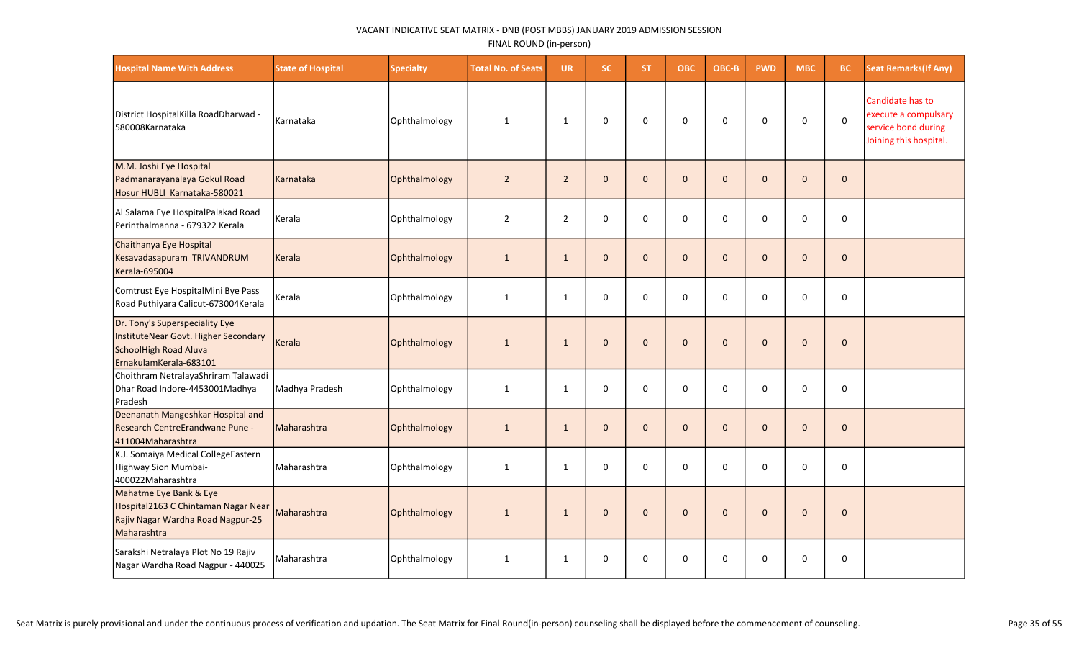| <b>Hospital Name With Address</b>                                                                                         | <b>State of Hospital</b> | <b>Specialty</b> | <b>Total No. of Seats</b> | <b>UR</b>      | <b>SC</b>    | ST.          | ОВС          | OBC-B        | <b>PWD</b>   | <b>MBC</b>          | BC           | <b>Seat Remarks (If Any)</b>                                                              |
|---------------------------------------------------------------------------------------------------------------------------|--------------------------|------------------|---------------------------|----------------|--------------|--------------|--------------|--------------|--------------|---------------------|--------------|-------------------------------------------------------------------------------------------|
| District HospitalKilla RoadDharwad -<br>580008Karnataka                                                                   | Karnataka                | Ophthalmology    | $\mathbf{1}$              | $\mathbf{1}$   | $\mathbf 0$  | $\mathbf 0$  | $\mathsf 0$  | $\mathbf 0$  | 0            | 0                   | $\mathsf 0$  | Candidate has to<br>execute a compulsary<br>service bond during<br>Joining this hospital. |
| M.M. Joshi Eye Hospital<br>Padmanarayanalaya Gokul Road<br>Hosur HUBLI Karnataka-580021                                   | Karnataka                | Ophthalmology    | $\overline{2}$            | $2^{\circ}$    | $\mathbf 0$  | $\mathbf 0$  | $\pmb{0}$    | $\mathbf 0$  | $\mathbf 0$  | $\mathbf 0$         | $\pmb{0}$    |                                                                                           |
| Al Salama Eye HospitalPalakad Road<br>Perinthalmanna - 679322 Kerala                                                      | Kerala                   | Ophthalmology    | $\overline{2}$            | $\overline{2}$ | $\mathbf 0$  | $\Omega$     | $\pmb{0}$    | $\mathbf 0$  | 0            | 0                   | 0            |                                                                                           |
| Chaithanya Eye Hospital<br>Kesavadasapuram TRIVANDRUM<br>Kerala-695004                                                    | Kerala                   | Ophthalmology    | $\mathbf{1}$              | $\mathbf{1}$   | $\mathbf{0}$ | $\mathbf{0}$ | $\mathbf{0}$ | $\mathbf{0}$ | $\mathbf{0}$ | $\mathbf{0}$        | $\mathbf{0}$ |                                                                                           |
| Comtrust Eye HospitalMini Bye Pass<br>Road Puthiyara Calicut-673004Kerala                                                 | Kerala                   | Ophthalmology    | $\mathbf{1}$              | $\mathbf{1}$   | 0            | $\Omega$     | $\mathsf 0$  | $\mathbf 0$  | 0            | 0                   | 0            |                                                                                           |
| Dr. Tony's Superspeciality Eye<br>InstituteNear Govt. Higher Secondary<br>SchoolHigh Road Aluva<br>ErnakulamKerala-683101 | Kerala                   | Ophthalmology    | $\mathbf{1}$              | $\mathbf{1}$   | $\mathbf 0$  | $\Omega$     | $\Omega$     | $\Omega$     | $\mathbf 0$  | $\Omega$            | $\mathbf 0$  |                                                                                           |
| Choithram NetralayaShriram Talawadi<br>Dhar Road Indore-4453001Madhya<br>Pradesh                                          | Madhya Pradesh           | Ophthalmology    | $\mathbf{1}$              | $\mathbf{1}$   | $\pmb{0}$    | 0            | $\pmb{0}$    | $\mathbf 0$  | $\pmb{0}$    | 0                   | 0            |                                                                                           |
| Deenanath Mangeshkar Hospital and<br>Research CentreErandwane Pune -<br>411004Maharashtra                                 | Maharashtra              | Ophthalmology    | $\mathbf{1}$              | $\mathbf{1}$   | $\mathbf{0}$ | $\mathbf{0}$ | $\mathbf 0$  | $\mathbf 0$  | $\mathbf 0$  | $\mathbf 0$         | $\mathbf 0$  |                                                                                           |
| K.J. Somaiya Medical CollegeEastern<br>Highway Sion Mumbai-<br>400022Maharashtra                                          | Maharashtra              | Ophthalmology    | $\mathbf 1$               | $\mathbf{1}$   | 0            | 0            | $\pmb{0}$    | 0            | $\mathbf 0$  | $\mathbf 0$         | 0            |                                                                                           |
| Mahatme Eye Bank & Eye<br>Hospital2163 C Chintaman Nagar Near<br>Rajiv Nagar Wardha Road Nagpur-25<br>Maharashtra         | Maharashtra              | Ophthalmology    | $\,1\,$                   | $\mathbf{1}$   | $\pmb{0}$    | $\mathbf{0}$ | $\mathbf 0$  | $\mathbf{0}$ | $\mathbf 0$  | $\mathsf{O}\xspace$ | $\pmb{0}$    |                                                                                           |
| Sarakshi Netralaya Plot No 19 Rajiv<br>Nagar Wardha Road Nagpur - 440025                                                  | Maharashtra              | Ophthalmology    | $\mathbf{1}$              | $\mathbf{1}$   | 0            | 0            | 0            | 0            | 0            | 0                   | 0            |                                                                                           |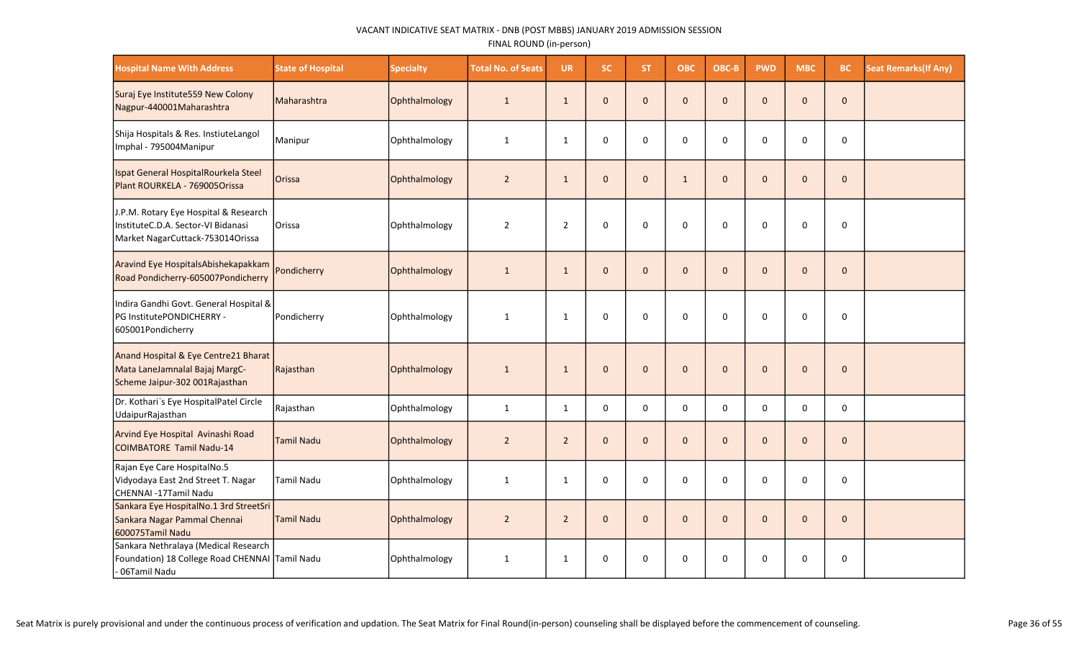| <b>Hospital Name With Address</b>                                                                               | <b>State of Hospital</b> | <b>Specialty</b> | <b>Total No. of Seats</b> | <b>UR</b>      | <b>SC</b>    | <b>ST</b>    | <b>OBC</b>   | OBC-B        | <b>PWD</b>   | <b>MBC</b>   | <b>BC</b>    | <b>Seat Remarks (If Any)</b> |
|-----------------------------------------------------------------------------------------------------------------|--------------------------|------------------|---------------------------|----------------|--------------|--------------|--------------|--------------|--------------|--------------|--------------|------------------------------|
| Suraj Eye Institute 559 New Colony<br>Nagpur-440001Maharashtra                                                  | Maharashtra              | Ophthalmology    | $\mathbf{1}$              | $\mathbf{1}$   | $\mathbf 0$  | $\mathbf{0}$ | $\mathbf{0}$ | $\mathbf{0}$ | $\mathbf 0$  | $\mathbf{0}$ | $\pmb{0}$    |                              |
| Shija Hospitals & Res. InstiuteLangol<br>Imphal - 795004Manipur                                                 | Manipur                  | Ophthalmology    | $\mathbf{1}$              | $\mathbf{1}$   | 0            | $\Omega$     | $\mathbf 0$  | $\Omega$     | $\mathbf 0$  | 0            | $\pmb{0}$    |                              |
| Ispat General HospitalRourkela Steel<br>Plant ROURKELA - 769005Orissa                                           | Orissa                   | Ophthalmology    | $\overline{2}$            | $\mathbf{1}$   | $\mathbf{0}$ | $\mathbf{0}$ | $\mathbf 1$  | $\mathbf{0}$ | $\mathbf 0$  | $\mathbf{0}$ | $\mathbf 0$  |                              |
| J.P.M. Rotary Eye Hospital & Research<br>InstituteC.D.A. Sector-VI Bidanasi<br>Market NagarCuttack-753014Orissa | Orissa                   | Ophthalmology    | $\overline{2}$            | $\overline{2}$ | 0            | $\Omega$     | 0            | $\Omega$     | 0            | $\mathbf 0$  | 0            |                              |
| Aravind Eye HospitalsAbishekapakkam<br>Road Pondicherry-605007Pondicherry                                       | Pondicherry              | Ophthalmology    | $\mathbf 1$               | $\mathbf{1}$   | $\mathbf{0}$ | $\mathbf{0}$ | $\mathbf 0$  | $\mathbf{0}$ | $\mathbf 0$  | $\mathbf{0}$ | $\pmb{0}$    |                              |
| Indira Gandhi Govt. General Hospital &<br>PG InstitutePONDICHERRY -<br>605001Pondicherry                        | Pondicherry              | Ophthalmology    | $\mathbf{1}$              | $\mathbf{1}$   | 0            | 0            | $\mathbf 0$  | $\mathbf 0$  | 0            | 0            | 0            |                              |
| Anand Hospital & Eye Centre21 Bharat<br>Mata LaneJamnalal Bajaj MargC-<br>Scheme Jaipur-302 001 Rajasthan       | Rajasthan                | Ophthalmology    | $\mathbf{1}$              | $\mathbf{1}$   | $\mathbf{0}$ | $\mathbf{0}$ | $\mathbf{0}$ | $\mathbf{0}$ | $\mathbf{0}$ | $\mathbf{0}$ | $\mathbf{0}$ |                              |
| Dr. Kothari's Eye HospitalPatel Circle<br>UdaipurRajasthan                                                      | Rajasthan                | Ophthalmology    | $\mathbf{1}$              | $\mathbf{1}$   | 0            | $\Omega$     | $\mathbf 0$  | 0            | $\mathbf 0$  | 0            | $\pmb{0}$    |                              |
| Arvind Eye Hospital Avinashi Road<br>COIMBATORE Tamil Nadu-14                                                   | Tamil Nadu               | Ophthalmology    | $\overline{2}$            | $\overline{2}$ | $\mathbf 0$  | $\mathbf{0}$ | $\mathbf{0}$ | $\Omega$     | $\mathbf 0$  | $\mathbf{0}$ | $\mathbf 0$  |                              |
| Rajan Eye Care HospitalNo.5<br>Vidyodaya East 2nd Street T. Nagar<br>CHENNAI -17Tamil Nadu                      | <b>Tamil Nadu</b>        | Ophthalmology    | $\mathbf{1}$              | 1              | 0            | 0            | 0            | 0            | 0            | 0            | $\pmb{0}$    |                              |
| Sankara Eye HospitalNo.1 3rd StreetSri<br>Sankara Nagar Pammal Chennai<br>600075Tamil Nadu                      | <b>Tamil Nadu</b>        | Ophthalmology    | $\overline{2}$            | $\overline{2}$ | $\mathbf 0$  | $\mathbf{0}$ | $\mathbf 0$  | $\mathbf{0}$ | $\mathbf 0$  | $\mathbf{0}$ | $\mathbf 0$  |                              |
| Sankara Nethralaya (Medical Research<br>Foundation) 18 College Road CHENNAI Tamil Nadu<br>- 06Tamil Nadu        |                          | Ophthalmology    | $\mathbf{1}$              | 1              | $\pmb{0}$    | 0            | $\pmb{0}$    | 0            | 0            | 0            | $\pmb{0}$    |                              |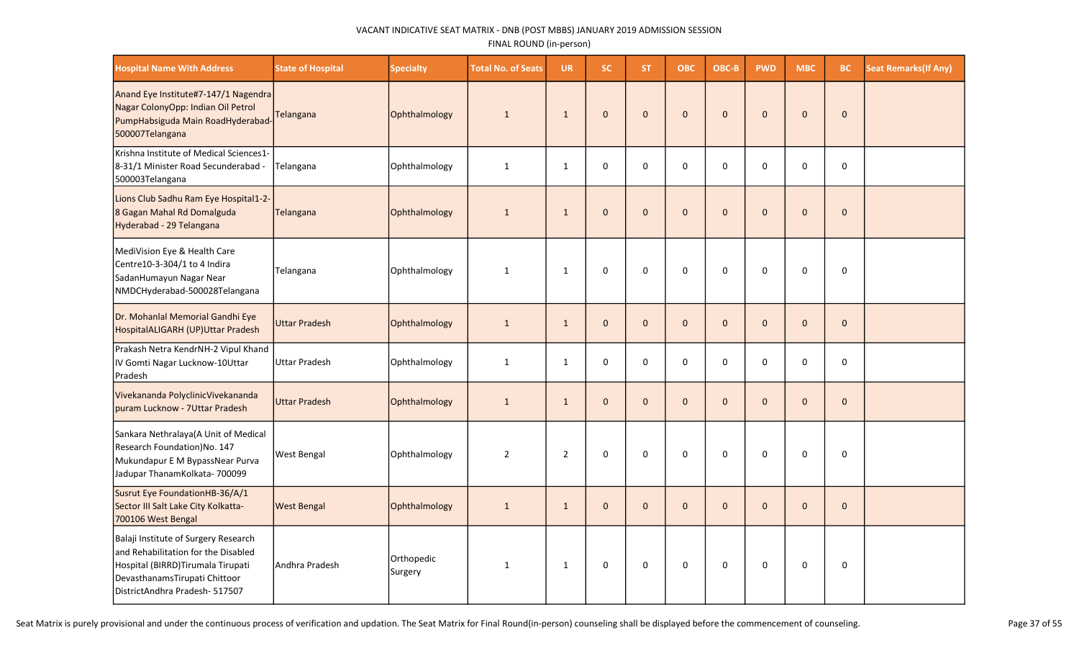| <b>Hospital Name With Address</b>                                                                                                                                                   | <b>State of Hospital</b> | <b>Specialty</b>      | <b>Total No. of Seats</b> | <b>UR</b>      | <b>SC</b>    | ST.          | <b>OBC</b>  | OBC-B        | <b>PWD</b>   | <b>MBC</b>   | <b>BC</b>    | <b>Seat Remarks (If Any)</b> |
|-------------------------------------------------------------------------------------------------------------------------------------------------------------------------------------|--------------------------|-----------------------|---------------------------|----------------|--------------|--------------|-------------|--------------|--------------|--------------|--------------|------------------------------|
| Anand Eye Institute#7-147/1 Nagendra<br>Nagar ColonyOpp: Indian Oil Petrol<br>PumpHabsiguda Main RoadHyderabad-<br>500007Telangana                                                  | Telangana                | Ophthalmology         | $\mathbf{1}$              | $\mathbf{1}$   | $\mathbf 0$  | $\mathbf{0}$ | $\pmb{0}$   | $\Omega$     | $\Omega$     | $\Omega$     | $\Omega$     |                              |
| Krishna Institute of Medical Sciences1-<br>8-31/1 Minister Road Secunderabad -<br>500003Telangana                                                                                   | Telangana                | Ophthalmology         | $\mathbf{1}$              | $\mathbf{1}$   | $\mathbf 0$  | $\Omega$     | $\mathbf 0$ | $\Omega$     | $\Omega$     | $\Omega$     | $\mathbf 0$  |                              |
| Lions Club Sadhu Ram Eye Hospital1-2-<br>8 Gagan Mahal Rd Domalguda<br>Hyderabad - 29 Telangana                                                                                     | Telangana                | Ophthalmology         | $\mathbf{1}$              | $\mathbf{1}$   | $\mathbf{0}$ | $\mathbf{0}$ | $\mathbf 0$ | $\Omega$     | $\mathbf{0}$ | $\mathbf 0$  | $\mathbf{0}$ |                              |
| MediVision Eye & Health Care<br>Centre10-3-304/1 to 4 Indira<br>SadanHumayun Nagar Near<br>NMDCHyderabad-500028Telangana                                                            | Telangana                | Ophthalmology         | $\mathbf{1}$              | $\mathbf{1}$   | $\mathbf 0$  | 0            | $\mathbf 0$ | $\Omega$     | $\mathbf 0$  | $\mathbf 0$  | $\mathbf 0$  |                              |
| Dr. Mohanlal Memorial Gandhi Eye<br>HospitalALIGARH (UP)Uttar Pradesh                                                                                                               | <b>Uttar Pradesh</b>     | Ophthalmology         | $\mathbf{1}$              | $\mathbf{1}$   | $\mathbf 0$  | $\mathbf{0}$ | $\pmb{0}$   | $\mathbf{0}$ | $\mathbf{0}$ | $\mathbf{0}$ | $\mathbf 0$  |                              |
| Prakash Netra KendrNH-2 Vipul Khand<br>IV Gomti Nagar Lucknow-10Uttar<br>Pradesh                                                                                                    | <b>Uttar Pradesh</b>     | Ophthalmology         | $\mathbf{1}$              | $\mathbf{1}$   | $\mathsf 0$  | 0            | $\pmb{0}$   | 0            | $\pmb{0}$    | 0            | $\mathsf 0$  |                              |
| Vivekananda PolyclinicVivekananda<br>puram Lucknow - 7Uttar Pradesh                                                                                                                 | <b>Uttar Pradesh</b>     | Ophthalmology         | $\mathbf{1}$              | $\mathbf{1}$   | $\mathbf 0$  | $\mathbf{0}$ | $\pmb{0}$   | $\Omega$     | $\mathbf 0$  | $\Omega$     | $\mathbf 0$  |                              |
| Sankara Nethralaya(A Unit of Medical<br>Research Foundation)No. 147<br>Mukundapur E M BypassNear Purva<br>Jadupar ThanamKolkata- 700099                                             | <b>West Bengal</b>       | Ophthalmology         | $\overline{2}$            | $\overline{2}$ | $\mathbf 0$  | $\Omega$     | $\Omega$    | $\Omega$     | $\Omega$     | $\Omega$     | $\mathbf 0$  |                              |
| Susrut Eye FoundationHB-36/A/1<br>Sector III Salt Lake City Kolkatta-<br>700106 West Bengal                                                                                         | <b>West Bengal</b>       | Ophthalmology         | $\mathbf{1}$              | $\mathbf{1}$   | $\mathbf 0$  | $\mathbf{0}$ | $\mathbf 0$ | $\mathbf{0}$ | $\mathbf 0$  | $\mathbf{0}$ | $\mathbf{0}$ |                              |
| Balaji Institute of Surgery Research<br>and Rehabilitation for the Disabled<br>Hospital (BIRRD)Tirumala Tirupati<br>DevasthanamsTirupati Chittoor<br>DistrictAndhra Pradesh- 517507 | Andhra Pradesh           | Orthopedic<br>Surgery | $\mathbf{1}$              | $\mathbf{1}$   | 0            | 0            | $\pmb{0}$   | $\mathbf 0$  | 0            | 0            | 0            |                              |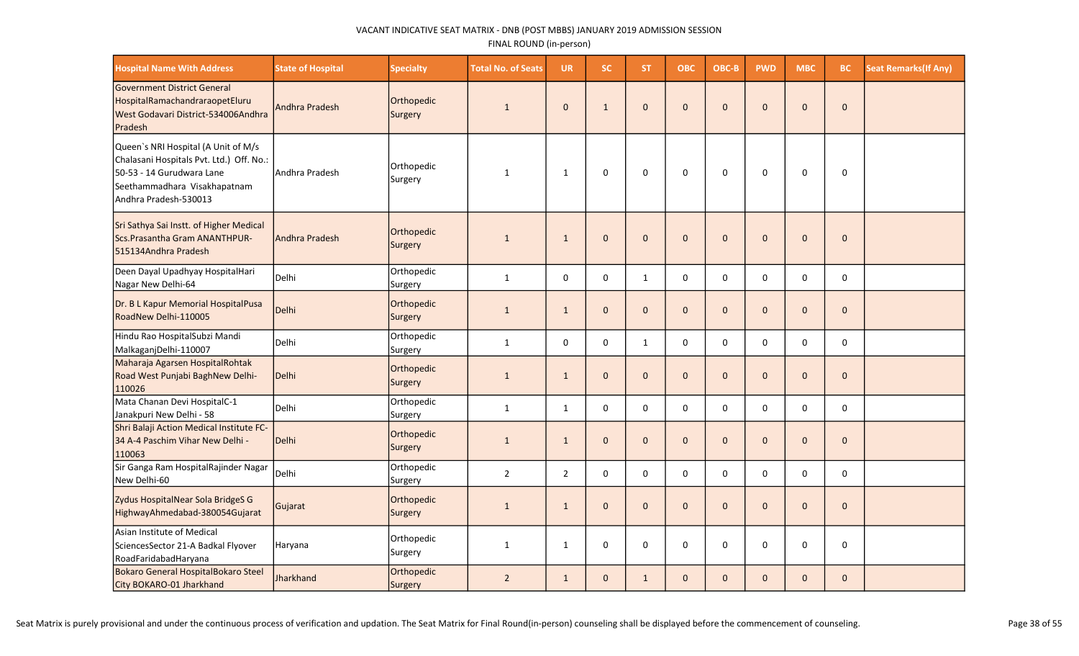| <b>Hospital Name With Address</b>                                                                                                                                     | <b>State of Hospital</b> | <b>Specialty</b>      | <b>Total No. of Seats</b> | <b>UR</b>      | SC.          | ST.          | <b>OBC</b>   | OBC-B        | <b>PWD</b>   | <b>MBC</b>   | BC.          | <b>Seat Remarks(If Any)</b> |
|-----------------------------------------------------------------------------------------------------------------------------------------------------------------------|--------------------------|-----------------------|---------------------------|----------------|--------------|--------------|--------------|--------------|--------------|--------------|--------------|-----------------------------|
| <b>Government District General</b><br>HospitalRamachandraraopetEluru<br>West Godavari District-534006Andhra<br>Pradesh                                                | <b>Andhra Pradesh</b>    | Orthopedic<br>Surgery | $\mathbf{1}$              | $\mathbf{0}$   | $\mathbf{1}$ | $\mathbf{0}$ | $\mathbf 0$  | $\mathbf{0}$ | $\mathbf{0}$ | $\Omega$     | $\mathbf{0}$ |                             |
| Queen's NRI Hospital (A Unit of M/s<br>Chalasani Hospitals Pvt. Ltd.) Off. No.:<br>50-53 - 14 Gurudwara Lane<br>Seethammadhara Visakhapatnam<br>Andhra Pradesh-530013 | lAndhra Pradesh          | Orthopedic<br>Surgery | $\mathbf{1}$              | $\mathbf{1}$   | $\Omega$     | $\Omega$     | $\mathbf 0$  | $\Omega$     | $\Omega$     | $\Omega$     | $\mathbf 0$  |                             |
| Sri Sathya Sai Instt. of Higher Medical<br>Scs. Prasantha Gram ANANTHPUR-<br>515134Andhra Pradesh                                                                     | Andhra Pradesh           | Orthopedic<br>Surgery | $\mathbf{1}$              | $\mathbf{1}$   | $\mathbf 0$  | $\mathbf{0}$ | $\pmb{0}$    | $\mathbf{0}$ | $\mathbf{0}$ | $\mathbf 0$  | $\mathbf{0}$ |                             |
| Deen Dayal Upadhyay HospitalHari<br>Nagar New Delhi-64                                                                                                                | Delhi                    | Orthopedic<br>Surgery | $\mathbf{1}$              | 0              | $\mathbf 0$  | $\mathbf{1}$ | $\pmb{0}$    | $\mathbf 0$  | $\mathbf 0$  | 0            | $\mathsf 0$  |                             |
| Dr. B L Kapur Memorial HospitalPusa<br>RoadNew Delhi-110005                                                                                                           | Delhi                    | Orthopedic<br>Surgery | $\mathbf{1}$              | $\mathbf{1}$   | $\mathbf{0}$ | $\mathbf{0}$ | $\mathbf 0$  | $\mathbf{0}$ | $\mathbf{0}$ | $\mathbf{0}$ | $\mathbf{0}$ |                             |
| Hindu Rao HospitalSubzi Mandi<br>MalkaganjDelhi-110007                                                                                                                | Delhi                    | Orthopedic<br>Surgery | $\mathbf{1}$              | $\mathbf 0$    | $\mathbf 0$  | $\mathbf{1}$ | $\mathbf 0$  | $\Omega$     | $\mathbf 0$  | 0            | $\mathbf 0$  |                             |
| Maharaja Agarsen HospitalRohtak<br>Road West Punjabi BaghNew Delhi-<br>110026                                                                                         | Delhi                    | Orthopedic<br>Surgery | $\mathbf{1}$              | $\mathbf{1}$   | $\mathbf{0}$ | $\mathbf{0}$ | $\mathbf{0}$ | $\mathbf{0}$ | $\mathbf{0}$ | $\Omega$     | $\mathbf 0$  |                             |
| Mata Chanan Devi HospitalC-1<br>Janakpuri New Delhi - 58                                                                                                              | Delhi                    | Orthopedic<br>Surgery | $\mathbf{1}$              | $\mathbf{1}$   | $\mathbf 0$  | $\mathbf 0$  | 0            | $\mathbf 0$  | $\mathbf 0$  | $\Omega$     | 0            |                             |
| Shri Balaji Action Medical Institute FC-<br>34 A-4 Paschim Vihar New Delhi -<br>110063                                                                                | Delhi                    | Orthopedic<br>Surgery | $\mathbf{1}$              | $\mathbf{1}$   | $\mathbf 0$  | $\mathbf{0}$ | $\mathbf 0$  | $\mathbf{0}$ | $\mathbf{0}$ | $\mathbf{0}$ | $\mathbf{0}$ |                             |
| Sir Ganga Ram HospitalRajinder Nagar<br>New Delhi-60                                                                                                                  | l Delhi                  | Orthopedic<br>Surgery | $\overline{2}$            | $\overline{2}$ | $\mathbf 0$  | $\Omega$     | $\mathbf 0$  | $\Omega$     | $\Omega$     | $\Omega$     | $\mathbf 0$  |                             |
| Zydus HospitalNear Sola BridgeS G<br>HighwayAhmedabad-380054Gujarat                                                                                                   | Gujarat                  | Orthopedic<br>Surgery | $\mathbf{1}$              | $\mathbf{1}$   | $\mathbf 0$  | $\mathbf{0}$ | $\mathbf 0$  | $\mathbf{0}$ | $\mathbf{0}$ | $\mathbf{0}$ | $\mathbf{0}$ |                             |
| Asian Institute of Medical<br>SciencesSector 21-A Badkal Flyover<br>RoadFaridabadHaryana                                                                              | Haryana                  | Orthopedic<br>Surgery | $\mathbf{1}$              | $\mathbf{1}$   | $\mathbf 0$  | 0            | 0            | $\Omega$     | 0            | $\Omega$     | 0            |                             |
| Bokaro General HospitalBokaro Steel<br>City BOKARO-01 Jharkhand                                                                                                       | <b>Jharkhand</b>         | Orthopedic<br>Surgery | $\overline{2}$            | $\mathbf{1}$   | $\mathbf 0$  | $\mathbf{1}$ | $\mathbf 0$  | $\mathbf{0}$ | $\mathbf{0}$ | $\mathbf{0}$ | $\mathbf 0$  |                             |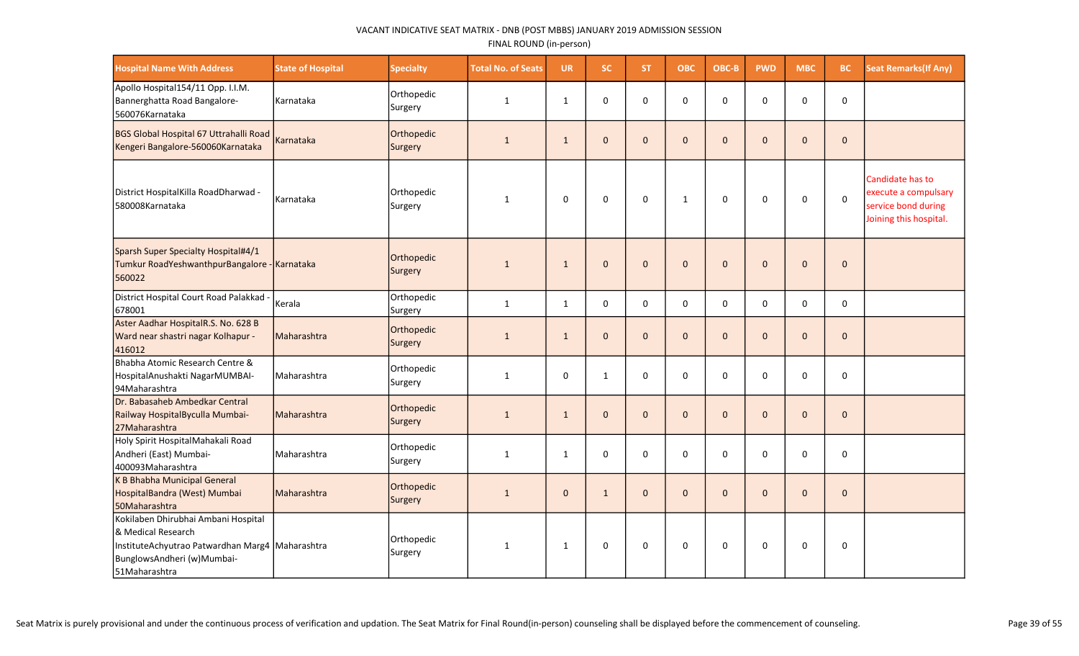| <b>Hospital Name With Address</b>                                                                                                                           | <b>State of Hospital</b> | <b>Specialty</b>      | <b>Total No. of Seats</b> | <b>UR</b>    | <b>SC</b>    | <b>ST</b>    | ОВС          | OBC-B       | <b>PWD</b>   | <b>MBC</b>   | BC           | <b>Seat Remarks (If Any)</b>                                                              |
|-------------------------------------------------------------------------------------------------------------------------------------------------------------|--------------------------|-----------------------|---------------------------|--------------|--------------|--------------|--------------|-------------|--------------|--------------|--------------|-------------------------------------------------------------------------------------------|
| Apollo Hospital154/11 Opp. I.I.M.<br>Bannerghatta Road Bangalore-<br>560076Karnataka                                                                        | Karnataka                | Orthopedic<br>Surgery | $\mathbf{1}$              | $\mathbf{1}$ | $\mathbf 0$  | $\Omega$     | 0            | $\Omega$    | $\mathbf 0$  | $\Omega$     | 0            |                                                                                           |
| BGS Global Hospital 67 Uttrahalli Road<br>Kengeri Bangalore-560060Karnataka                                                                                 | Karnataka                | Orthopedic<br>Surgery | $\mathbf{1}$              | $\mathbf{1}$ | $\mathbf{0}$ | $\Omega$     | $\Omega$     | $\Omega$    | $\mathbf{0}$ | $\mathbf{0}$ | $\mathbf 0$  |                                                                                           |
| District HospitalKilla RoadDharwad -<br>580008Karnataka                                                                                                     | Karnataka                | Orthopedic<br>Surgery | $\mathbf{1}$              | $\Omega$     | $\Omega$     | $\Omega$     | $\mathbf{1}$ | $\Omega$    | $\Omega$     | 0            | $\mathbf 0$  | Candidate has to<br>execute a compulsary<br>service bond during<br>Joining this hospital. |
| Sparsh Super Specialty Hospital#4/1<br>Tumkur RoadYeshwanthpurBangalore - Karnataka<br>560022                                                               |                          | Orthopedic<br>Surgery | $\mathbf{1}$              | $\mathbf{1}$ | $\mathbf 0$  | $\mathbf{0}$ | $\mathbf 0$  | $\mathbf 0$ | $\mathbf{0}$ | $\mathbf{0}$ | $\pmb{0}$    |                                                                                           |
| District Hospital Court Road Palakkad -<br>678001                                                                                                           | Kerala                   | Orthopedic<br>Surgery | $\mathbf{1}$              | $\mathbf{1}$ | $\mathbf 0$  | 0            | $\mathbf 0$  | 0           | $\mathbf 0$  | 0            | 0            |                                                                                           |
| Aster Aadhar HospitalR.S. No. 628 B<br>Ward near shastri nagar Kolhapur -<br>416012                                                                         | Maharashtra              | Orthopedic<br>Surgery | $\mathbf{1}$              | $\mathbf{1}$ | $\mathbf{0}$ | $\Omega$     | $\Omega$     | $\Omega$    | $\mathbf{0}$ | $\mathbf{0}$ | $\mathbf{0}$ |                                                                                           |
| Bhabha Atomic Research Centre &<br>HospitalAnushakti NagarMUMBAI-<br>94 Maharashtra                                                                         | l Maharashtra            | Orthopedic<br>Surgery | 1                         | $\mathbf 0$  | $\mathbf{1}$ | 0            | $\mathbf 0$  | $\mathbf 0$ | $\mathbf 0$  | 0            | 0            |                                                                                           |
| Dr. Babasaheb Ambedkar Central<br>Railway HospitalByculla Mumbai-<br>27Maharashtra                                                                          | Maharashtra              | Orthopedic<br>Surgery | $\mathbf{1}$              | $\mathbf{1}$ | $\mathbf 0$  | $\mathbf{0}$ | $\mathbf 0$  | $\Omega$    | $\mathbf 0$  | $\mathbf{0}$ | $\pmb{0}$    |                                                                                           |
| Holy Spirit HospitalMahakali Road<br>Andheri (East) Mumbai-<br>400093Maharashtra                                                                            | Maharashtra              | Orthopedic<br>Surgery | $\mathbf{1}$              | $\mathbf{1}$ | 0            | $\Omega$     | $\mathbf 0$  | $\Omega$    | 0            | $\mathbf 0$  | $\mathbf 0$  |                                                                                           |
| K B Bhabha Municipal General<br>HospitalBandra (West) Mumbai<br>50Maharashtra                                                                               | Maharashtra              | Orthopedic<br>Surgery | $\mathbf{1}$              | $\mathbf{0}$ | $\mathbf{1}$ | $\mathbf{0}$ | $\mathbf 0$  | $\Omega$    | $\mathbf{0}$ | $\mathbf{0}$ | $\pmb{0}$    |                                                                                           |
| Kokilaben Dhirubhai Ambani Hospital<br>& Medical Research<br>InstituteAchyutrao Patwardhan Marg4 Maharashtra<br>BunglowsAndheri (w)Mumbai-<br>51Maharashtra |                          | Orthopedic<br>Surgery | $\mathbf{1}$              | 1            | $\Omega$     | $\Omega$     | $\Omega$     | $\Omega$    | $\Omega$     | $\Omega$     | 0            |                                                                                           |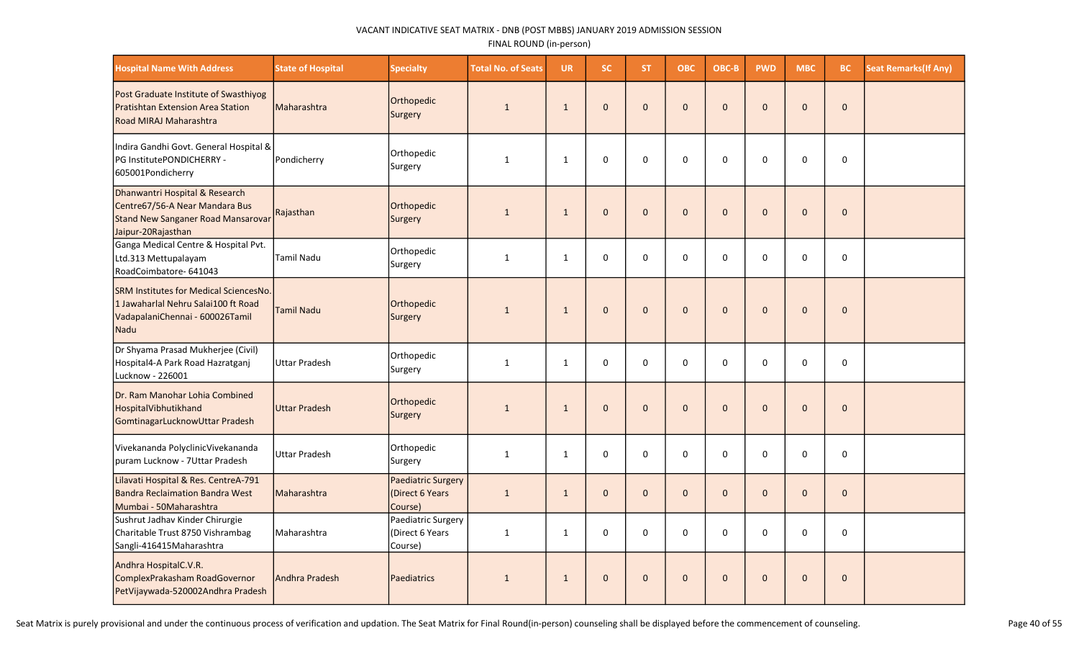| <b>Hospital Name With Address</b>                                                                                               | <b>State of Hospital</b> | <b>Specialty</b>                                        | <b>Total No. of Seats</b> | <b>UR</b>    | SC.          | ST.          | <b>OBC</b>   | OBC-B        | <b>PWD</b>   | <b>MBC</b>  | BC.          | <b>Seat Remarks (If Any)</b> |
|---------------------------------------------------------------------------------------------------------------------------------|--------------------------|---------------------------------------------------------|---------------------------|--------------|--------------|--------------|--------------|--------------|--------------|-------------|--------------|------------------------------|
| Post Graduate Institute of Swasthiyog<br>Pratishtan Extension Area Station<br>Road MIRAJ Maharashtra                            | Maharashtra              | Orthopedic<br>Surgery                                   | $\mathbf{1}$              | $\mathbf{1}$ | $\Omega$     | $\Omega$     | $\pmb{0}$    | $\Omega$     | $\Omega$     | $\Omega$    | $\Omega$     |                              |
| Indira Gandhi Govt. General Hospital &<br>PG InstitutePONDICHERRY -<br>605001Pondicherry                                        | Pondicherry              | Orthopedic<br>Surgery                                   | 1                         | $\mathbf{1}$ | $\mathbf 0$  | 0            | $\mathbf 0$  | $\Omega$     | $\Omega$     | $\Omega$    | $\mathbf 0$  |                              |
| Dhanwantri Hospital & Research<br>Centre67/56-A Near Mandara Bus<br>Stand New Sanganer Road Mansarovar<br>Jaipur-20Rajasthan    | Rajasthan                | Orthopedic<br>Surgery                                   | $\mathbf{1}$              | $\mathbf{1}$ | $\mathbf{0}$ | $\mathbf{0}$ | $\pmb{0}$    | $\mathbf{0}$ | $\mathbf{0}$ | $\mathbf 0$ | $\mathbf{0}$ |                              |
| Ganga Medical Centre & Hospital Pvt.<br>Ltd.313 Mettupalayam<br>RoadCoimbatore- 641043                                          | Tamil Nadu               | Orthopedic<br>Surgery                                   | $\mathbf{1}$              | $\mathbf{1}$ | $\pmb{0}$    | $\mathbf 0$  | $\pmb{0}$    | $\mathbf 0$  | $\mathbf 0$  | 0           | $\pmb{0}$    |                              |
| <b>SRM Institutes for Medical SciencesNo.</b><br>1 Jawaharlal Nehru Salai100 ft Road<br>VadapalaniChennai - 600026Tamil<br>Nadu | <b>Tamil Nadu</b>        | Orthopedic<br>Surgery                                   | $\mathbf{1}$              | $\mathbf{1}$ | $\Omega$     | $\mathbf{0}$ | $\mathbf{0}$ | $\Omega$     | $\Omega$     | $\Omega$    | $\Omega$     |                              |
| Dr Shyama Prasad Mukherjee (Civil)<br>Hospital4-A Park Road Hazratganj<br>Lucknow - 226001                                      | <b>Uttar Pradesh</b>     | Orthopedic<br>Surgery                                   | $\mathbf{1}$              | $\mathbf{1}$ | $\mathbf 0$  | $\mathbf 0$  | $\mathbf 0$  | $\Omega$     | $\mathbf 0$  | $\Omega$    | $\mathbf 0$  |                              |
| Dr. Ram Manohar Lohia Combined<br>HospitalVibhutikhand<br>GomtinagarLucknowUttar Pradesh                                        | <b>Uttar Pradesh</b>     | Orthopedic<br>Surgery                                   | $\mathbf{1}$              | $\mathbf{1}$ | $\mathbf{0}$ | $\mathbf{0}$ | $\mathbf 0$  | $\mathbf{0}$ | $\mathbf{0}$ | $\Omega$    | $\mathbf{0}$ |                              |
| Vivekananda PolyclinicVivekananda<br>puram Lucknow - 7Uttar Pradesh                                                             | <b>Uttar Pradesh</b>     | Orthopedic<br>Surgery                                   | 1                         | $\mathbf{1}$ | $\mathbf 0$  | 0            | 0            | 0            | $\mathbf 0$  | 0           | $\pmb{0}$    |                              |
| Lilavati Hospital & Res. CentreA-791<br><b>Bandra Reclaimation Bandra West</b><br>Mumbai - 50Maharashtra                        | Maharashtra              | <b>Paediatric Surgery</b><br>(Direct 6 Years<br>Course) | $\mathbf 1$               | $\mathbf{1}$ | $\mathbf{0}$ | $\mathbf{0}$ | $\mathbf 0$  | $\Omega$     | $\pmb{0}$    | $\Omega$    | $\mathbf 0$  |                              |
| Sushrut Jadhav Kinder Chirurgie<br>Charitable Trust 8750 Vishrambag<br>Sangli-416415Maharashtra                                 | Maharashtra              | Paediatric Surgery<br>(Direct 6 Years)<br>Course)       | 1                         | $\mathbf{1}$ | $\mathbf 0$  | 0            | $\mathbf 0$  | $\Omega$     | $\Omega$     | $\Omega$    | $\mathbf 0$  |                              |
| Andhra HospitalC.V.R.<br>ComplexPrakasham RoadGovernor<br>PetVijaywada-520002Andhra Pradesh                                     | Andhra Pradesh           | Paediatrics                                             | $\mathbf{1}$              | $\mathbf{1}$ | $\mathbf{0}$ | $\mathbf{0}$ | $\mathbf 0$  | $\mathbf{0}$ | $\mathbf{0}$ | $\Omega$    | $\mathbf 0$  |                              |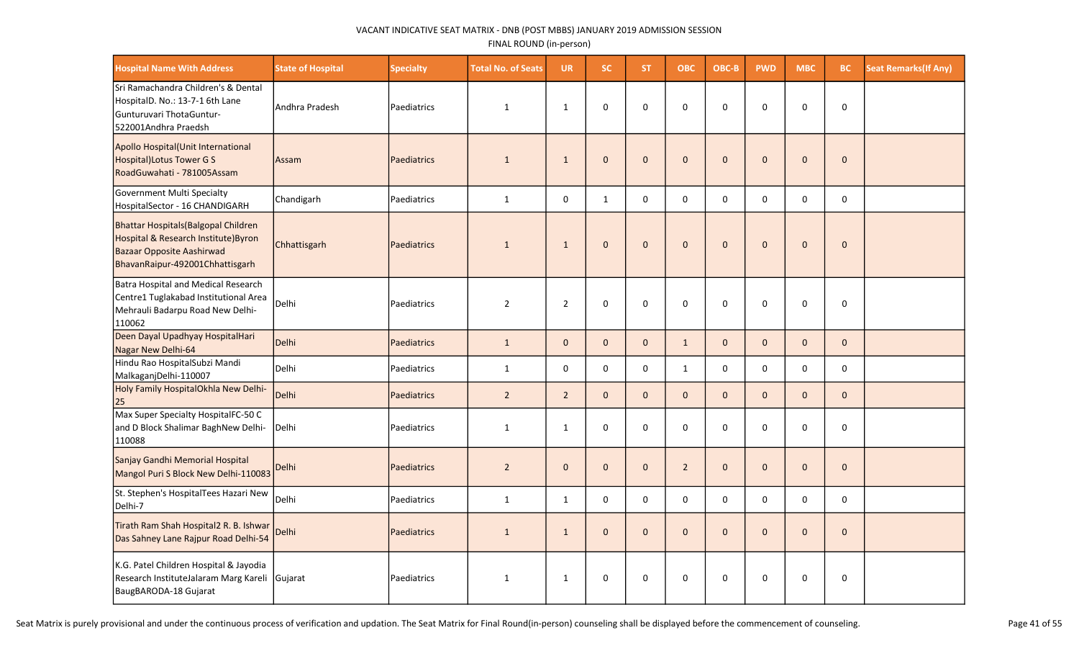| <b>Hospital Name With Address</b>                                                                                                            | <b>State of Hospital</b> | <b>Specialty</b>   | <b>Total No. of Seats</b> | <b>UR</b>      | SC.          | <b>ST</b>    | <b>OBC</b>     | OBC-B        | <b>PWD</b>   | <b>MBC</b>   | BC                  | <b>Seat Remarks (If Any)</b> |
|----------------------------------------------------------------------------------------------------------------------------------------------|--------------------------|--------------------|---------------------------|----------------|--------------|--------------|----------------|--------------|--------------|--------------|---------------------|------------------------------|
| Sri Ramachandra Children's & Dental<br>HospitalD. No.: 13-7-1 6th Lane<br>Gunturuvari ThotaGuntur-<br>522001Andhra Praedsh                   | Andhra Pradesh           | Paediatrics        | $\mathbf{1}$              | $\mathbf{1}$   | 0            | $\Omega$     | $\mathbf 0$    | 0            | 0            | 0            | 0                   |                              |
| Apollo Hospital(Unit International<br>Hospital) Lotus Tower G S<br>RoadGuwahati - 781005Assam                                                | Assam                    | Paediatrics        | $\mathbf{1}$              | $\mathbf{1}$   | $\pmb{0}$    | $\mathbf{0}$ | $\pmb{0}$      | $\Omega$     | $\pmb{0}$    | $\mathbf{0}$ | $\mathsf{O}\xspace$ |                              |
| Government Multi Specialty<br>HospitalSector - 16 CHANDIGARH                                                                                 | Chandigarh               | Paediatrics        | $\mathbf{1}$              | 0              | $\mathbf{1}$ | $\Omega$     | $\Omega$       | $\Omega$     | $\pmb{0}$    | $\pmb{0}$    | $\pmb{0}$           |                              |
| Bhattar Hospitals (Balgopal Children<br>Hospital & Research Institute) Byron<br>Bazaar Opposite Aashirwad<br>BhavanRaipur-492001Chhattisgarh | Chhattisgarh             | Paediatrics        | $\mathbf{1}$              | $\mathbf{1}$   | $\mathbf{0}$ | $\mathbf{0}$ | $\mathbf{0}$   | $\Omega$     | $\Omega$     | $\mathbf{0}$ | $\mathbf{0}$        |                              |
| Batra Hospital and Medical Research<br>Centre1 Tuglakabad Institutional Area<br>Mehrauli Badarpu Road New Delhi-<br>110062                   | Delhi                    | Paediatrics        | $\overline{2}$            | $\overline{2}$ | 0            | 0            | $\mathbf 0$    | $\mathbf 0$  | $\mathbf 0$  | 0            | 0                   |                              |
| Deen Dayal Upadhyay HospitalHari<br>Nagar New Delhi-64                                                                                       | Delhi                    | Paediatrics        | $\mathbf{1}$              | $\mathbf{0}$   | $\mathbf{0}$ | $\mathbf{0}$ | $\mathbf{1}$   | $\mathbf{0}$ | $\mathbf 0$  | $\mathbf{0}$ | $\mathbf{0}$        |                              |
| Hindu Rao HospitalSubzi Mandi<br>MalkaganjDelhi-110007                                                                                       | Delhi                    | Paediatrics        | $\mathbf{1}$              | 0              | $\mathbf 0$  | $\mathbf 0$  | $\mathbf{1}$   | $\mathbf 0$  | 0            | $\mathsf{O}$ | $\mathbf 0$         |                              |
| Holy Family HospitalOkhla New Delhi-<br>25                                                                                                   | Delhi                    | <b>Paediatrics</b> | $\overline{2}$            | $2^{\circ}$    | $\mathbf{0}$ | $\mathbf{0}$ | $\mathbf 0$    | $\mathbf{0}$ | $\pmb{0}$    | $\mathbf{0}$ | $\mathsf{O}\xspace$ |                              |
| Max Super Specialty HospitalFC-50 C<br>and D Block Shalimar BaghNew Delhi-<br>110088                                                         | Delhi                    | Paediatrics        | $\mathbf{1}$              | $\mathbf{1}$   | $\mathbf 0$  | $\mathbf 0$  | $\mathbf 0$    | $\mathbf 0$  | $\mathbf 0$  | $\mathbf 0$  | 0                   |                              |
| Sanjay Gandhi Memorial Hospital<br>Mangol Puri S Block New Delhi-110083                                                                      | Delhi                    | Paediatrics        | $\overline{2}$            | $\mathbf{0}$   | $\mathbf 0$  | $\mathbf{0}$ | $\overline{2}$ | $\Omega$     | $\mathbf 0$  | $\mathbf 0$  | $\pmb{0}$           |                              |
| St. Stephen's HospitalTees Hazari New<br>Delhi-7                                                                                             | Delhi                    | Paediatrics        | $\mathbf 1$               | $\mathbf{1}$   | $\mathbf 0$  | $\mathbf 0$  | $\mathbf 0$    | $\Omega$     | $\mathbf 0$  | $\mathbf 0$  | $\mathbf 0$         |                              |
| Tirath Ram Shah Hospital2 R. B. Ishwar<br>Das Sahney Lane Rajpur Road Delhi-54                                                               | <b>Delhi</b>             | <b>Paediatrics</b> | $\mathbf{1}$              | $\mathbf{1}$   | $\mathbf{0}$ | $\Omega$     | $\mathbf{0}$   | $\Omega$     | $\mathbf{0}$ | $\mathbf{0}$ | $\mathbf{0}$        |                              |
| K.G. Patel Children Hospital & Jayodia<br>Research InstituteJalaram Marg Kareli<br>BaugBARODA-18 Gujarat                                     | Gujarat                  | Paediatrics        | $\mathbf{1}$              | $\mathbf{1}$   | 0            | 0            | $\mathbf 0$    | 0            | 0            | 0            | 0                   |                              |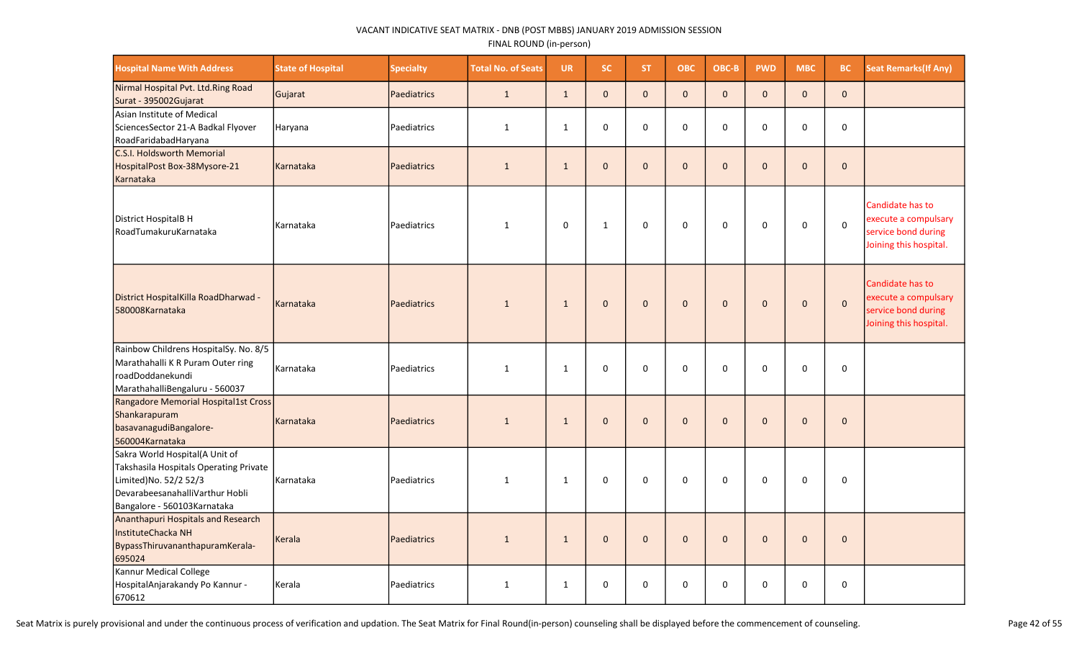| <b>Hospital Name With Address</b>                                                                                                                                   | <b>State of Hospital</b> | <b>Specialty</b>   | <b>Total No. of Seats</b> | <b>UR</b>    | SC.          | ST.          | <b>OBC</b>   | OBC-B        | <b>PWD</b>   | <b>MBC</b>   | BC.          | <b>Seat Remarks (If Any)</b>                                                              |
|---------------------------------------------------------------------------------------------------------------------------------------------------------------------|--------------------------|--------------------|---------------------------|--------------|--------------|--------------|--------------|--------------|--------------|--------------|--------------|-------------------------------------------------------------------------------------------|
| Nirmal Hospital Pvt. Ltd.Ring Road<br>Surat - 395002Gujarat                                                                                                         | Gujarat                  | Paediatrics        | $\mathbf{1}$              | $\mathbf{1}$ | $\mathbf{0}$ | $\mathbf{0}$ | $\pmb{0}$    | $\mathbf 0$  | $\mathbf 0$  | $\mathbf 0$  | $\mathbf{0}$ |                                                                                           |
| Asian Institute of Medical<br>SciencesSector 21-A Badkal Flyover<br>RoadFaridabadHaryana                                                                            | Haryana                  | Paediatrics        | 1                         | $\mathbf{1}$ | $\mathbf 0$  | 0            | $\mathbf 0$  | $\mathbf 0$  | $\mathbf 0$  | 0            | 0            |                                                                                           |
| C.S.I. Holdsworth Memorial<br>HospitalPost Box-38Mysore-21<br>Karnataka                                                                                             | Karnataka                | <b>Paediatrics</b> | $\mathbf{1}$              | $\mathbf{1}$ | $\mathbf{0}$ | $\Omega$     | $\mathbf{0}$ | $\Omega$     | $\Omega$     | $\Omega$     | $\mathbf{0}$ |                                                                                           |
| District HospitalB H<br>RoadTumakuruKarnataka                                                                                                                       | Karnataka                | Paediatrics        | $\mathbf{1}$              | $\mathbf 0$  | $\mathbf{1}$ | 0            | $\mathbf 0$  | $\mathbf 0$  | 0            | $\mathbf 0$  | $\mathbf 0$  | Candidate has to<br>execute a compulsary<br>service bond during<br>Joining this hospital. |
| District HospitalKilla RoadDharwad -<br>580008Karnataka                                                                                                             | Karnataka                | <b>Paediatrics</b> | $\mathbf{1}$              | $\mathbf{1}$ | $\mathbf 0$  | $\mathbf 0$  | $\mathbf 0$  | $\mathbf{0}$ | $\mathbf 0$  | $\mathbf 0$  | $\mathbf 0$  | Candidate has to<br>execute a compulsary<br>service bond during<br>Joining this hospital. |
| Rainbow Childrens HospitalSy. No. 8/5<br>Marathahalli K R Puram Outer ring<br>roadDoddanekundi<br>MarathahalliBengaluru - 560037                                    | Karnataka                | Paediatrics        | $\mathbf{1}$              | $\mathbf{1}$ | $\Omega$     | $\Omega$     | $\pmb{0}$    | $\Omega$     | $\Omega$     | 0            | 0            |                                                                                           |
| Rangadore Memorial Hospital1st Cross<br>Shankarapuram<br>basavanagudiBangalore-<br>560004Karnataka                                                                  | Karnataka                | <b>Paediatrics</b> | $\mathbf{1}$              | $\mathbf{1}$ | $\mathbf{0}$ | $\mathbf{0}$ | $\mathbf 0$  | $\Omega$     | $\mathbf{0}$ | $\mathbf{0}$ | $\mathbf{0}$ |                                                                                           |
| Sakra World Hospital(A Unit of<br>Takshasila Hospitals Operating Private<br>Limited)No. 52/2 52/3<br>DevarabeesanahalliVarthur Hobli<br>Bangalore - 560103Karnataka | Karnataka                | Paediatrics        | $\mathbf{1}$              | 1            | $\mathbf 0$  | 0            | $\mathbf 0$  | 0            | 0            | 0            | 0            |                                                                                           |
| Ananthapuri Hospitals and Research<br><b>InstituteChacka NH</b><br>BypassThiruvananthapuramKerala-<br>695024                                                        | Kerala                   | <b>Paediatrics</b> | $\mathbf{1}$              | $\mathbf{1}$ | $\mathbf{0}$ | $\mathbf{0}$ | $\mathbf{0}$ | $\mathbf{0}$ | $\mathbf{0}$ | $\mathbf{0}$ | $\mathbf{0}$ |                                                                                           |
| Kannur Medical College<br>HospitalAnjarakandy Po Kannur -<br>670612                                                                                                 | Kerala                   | Paediatrics        | $\mathbf{1}$              | $\mathbf{1}$ | 0            | 0            | 0            | 0            | 0            | 0            | 0            |                                                                                           |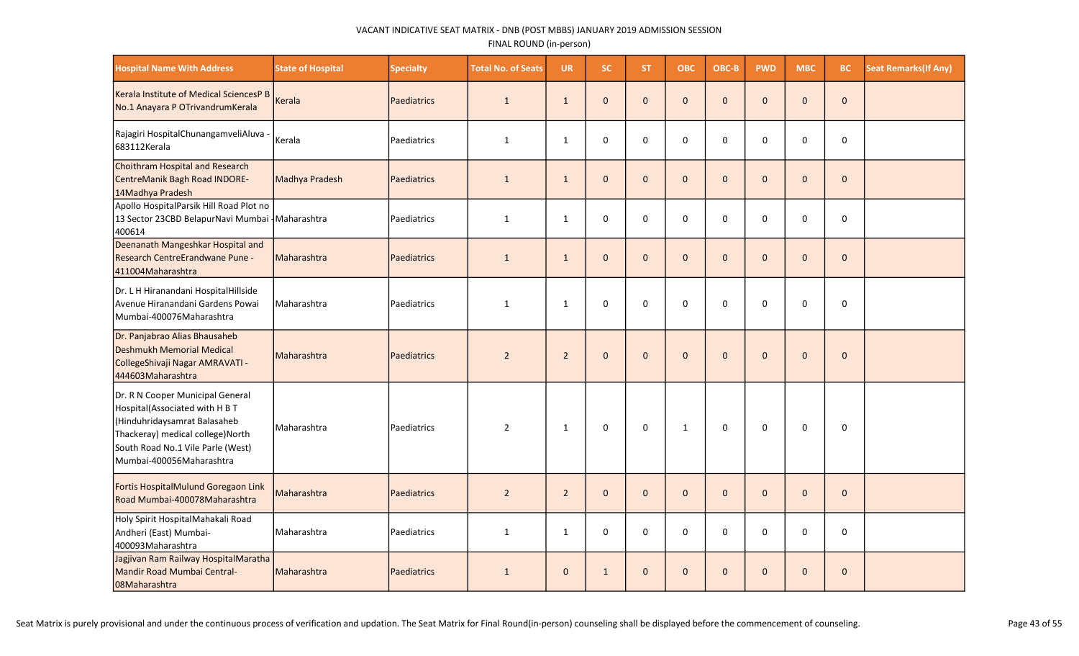| <b>Hospital Name With Address</b>                                                                                                                                                                      | <b>State of Hospital</b> | <b>Specialty</b> | <b>Total No. of Seats</b> | <b>UR</b>      | SC.          | ST.          | <b>OBC</b>   | OBC-B        | <b>PWD</b>   | <b>MBC</b>   | <b>BC</b>    | <b>Seat Remarks (If Any)</b> |
|--------------------------------------------------------------------------------------------------------------------------------------------------------------------------------------------------------|--------------------------|------------------|---------------------------|----------------|--------------|--------------|--------------|--------------|--------------|--------------|--------------|------------------------------|
| Kerala Institute of Medical SciencesP B<br>No.1 Anayara P OTrivandrumKerala                                                                                                                            | Kerala                   | Paediatrics      | $\mathbf{1}$              | $\mathbf{1}$   | $\mathbf{0}$ | $\Omega$     | $\mathbf{0}$ | $\Omega$     | $\Omega$     | $\Omega$     | $\mathbf 0$  |                              |
| Rajagiri HospitalChunangamveliAluva -<br>683112Kerala                                                                                                                                                  | Kerala                   | Paediatrics      | $\mathbf{1}$              | $\mathbf{1}$   | 0            | 0            | 0            | 0            | 0            | $\mathbf 0$  | 0            |                              |
| Choithram Hospital and Research<br>CentreManik Bagh Road INDORE-<br>14Madhya Pradesh                                                                                                                   | Madhya Pradesh           | Paediatrics      | $\mathbf{1}$              | $\mathbf{1}$   | $\mathbf{0}$ | $\mathbf{0}$ | $\mathbf 0$  | $\mathbf{0}$ | $\mathbf{0}$ | $\Omega$     | $\mathbf{0}$ |                              |
| Apollo HospitalParsik Hill Road Plot no<br>13 Sector 23CBD BelapurNavi Mumbai - Maharashtra<br>400614                                                                                                  |                          | Paediatrics      | $\mathbf{1}$              | $\mathbf{1}$   | 0            | $\mathbf 0$  | 0            | 0            | 0            | $\Omega$     | $\mathbf 0$  |                              |
| Deenanath Mangeshkar Hospital and<br>Research CentreErandwane Pune -<br>411004Maharashtra                                                                                                              | Maharashtra              | Paediatrics      | $\mathbf{1}$              | $\mathbf{1}$   | $\mathbf{0}$ | $\mathbf{0}$ | $\mathbf 0$  | $\mathbf{0}$ | $\mathbf 0$  | $\Omega$     | $\mathbf{0}$ |                              |
| Dr. L H Hiranandani HospitalHillside<br>Avenue Hiranandani Gardens Powai<br>Mumbai-400076Maharashtra                                                                                                   | l Maharashtra            | l Paediatrics    | $\mathbf{1}$              | $\mathbf{1}$   | $\mathbf 0$  | $\Omega$     | $\mathbf 0$  | $\mathbf 0$  | $\mathbf 0$  | $\Omega$     | $\mathbf 0$  |                              |
| Dr. Panjabrao Alias Bhausaheb<br>Deshmukh Memorial Medical<br>CollegeShivaji Nagar AMRAVATI -<br>444603Maharashtra                                                                                     | Maharashtra              | Paediatrics      | $\overline{2}$            | $\overline{2}$ | $\mathbf{0}$ | $\mathbf{0}$ | $\mathbf{0}$ | $\mathbf{0}$ | $\mathbf 0$  | $\mathbf{0}$ | $\mathbf{0}$ |                              |
| Dr. R N Cooper Municipal General<br>Hospital(Associated with H B T<br>Hinduhridaysamrat Balasaheb<br>Thackeray) medical college)North<br>South Road No.1 Vile Parle (West)<br>Mumbai-400056Maharashtra | Maharashtra              | Paediatrics      | $\overline{2}$            | $\mathbf{1}$   | 0            | 0            | $\mathbf 1$  | 0            | 0            | 0            | 0            |                              |
| Fortis HospitalMulund Goregaon Link<br>Road Mumbai-400078Maharashtra                                                                                                                                   | Maharashtra              | Paediatrics      | $\overline{2}$            | $\overline{2}$ | $\mathbf{0}$ | $\mathbf{0}$ | $\mathbf{0}$ | $\mathbf{0}$ | $\Omega$     | $\Omega$     | $\mathbf 0$  |                              |
| Holy Spirit HospitalMahakali Road<br>Andheri (East) Mumbai-<br>400093Maharashtra                                                                                                                       | Maharashtra              | Paediatrics      | $\mathbf{1}$              | $\mathbf{1}$   | 0            | $\mathbf 0$  | 0            | $\mathbf 0$  | 0            | 0            | 0            |                              |
| Jagjivan Ram Railway HospitalMaratha<br>Mandir Road Mumbai Central-<br>08Maharashtra                                                                                                                   | Maharashtra              | Paediatrics      | $\mathbf{1}$              | $\mathbf{0}$   | $\mathbf{1}$ | $\mathbf{0}$ | $\mathbf 0$  | $\mathbf{0}$ | $\mathbf 0$  | $\mathbf{0}$ | $\mathbf 0$  |                              |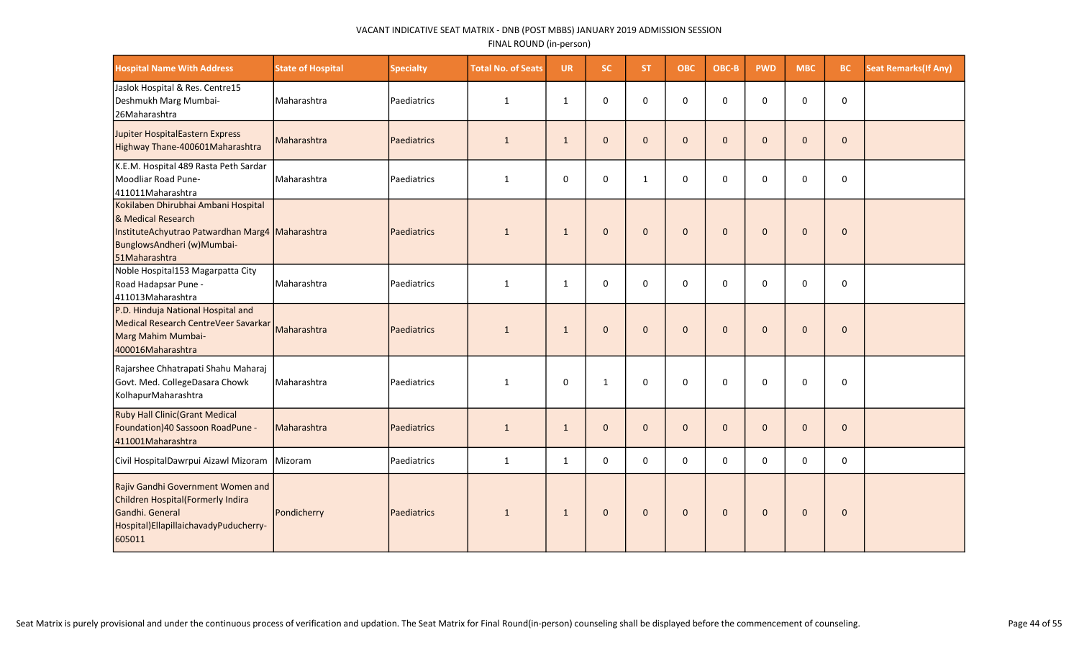| <b>Hospital Name With Address</b>                                                                                                                           | <b>State of Hospital</b> | <b>Specialty</b>   | <b>Total No. of Seats</b> | <b>UR</b>    | <b>SC</b>    | <b>ST</b>    | <b>OBC</b>   | OBC-B        | <b>PWD</b>   | <b>MBC</b>   | BC           | <b>Seat Remarks (If Any)</b> |
|-------------------------------------------------------------------------------------------------------------------------------------------------------------|--------------------------|--------------------|---------------------------|--------------|--------------|--------------|--------------|--------------|--------------|--------------|--------------|------------------------------|
| Jaslok Hospital & Res. Centre15<br>Deshmukh Marg Mumbai-<br>26Maharashtra                                                                                   | Maharashtra              | Paediatrics        | $\mathbf{1}$              | $\mathbf{1}$ | 0            | 0            | $\pmb{0}$    | $\mathbf 0$  | $\mathbf 0$  | $\mathbf 0$  | $\pmb{0}$    |                              |
| Jupiter HospitalEastern Express<br>Highway Thane-400601Maharashtra                                                                                          | Maharashtra              | <b>Paediatrics</b> | $\mathbf{1}$              | $\mathbf{1}$ | $\mathbf{0}$ | $\mathbf{0}$ | $\mathbf{0}$ | $\mathbf{0}$ | $\mathbf{0}$ | $\mathbf{0}$ | $\mathbf 0$  |                              |
| K.E.M. Hospital 489 Rasta Peth Sardar<br>Moodliar Road Pune-<br>411011 Maharashtra                                                                          | Maharashtra              | Paediatrics        | 1                         | 0            | $\mathbf 0$  | $\mathbf{1}$ | 0            | $\Omega$     | 0            | $\mathbf 0$  | $\mathbf 0$  |                              |
| Kokilaben Dhirubhai Ambani Hospital<br>& Medical Research<br>InstituteAchyutrao Patwardhan Marg4 Maharashtra<br>BunglowsAndheri (w)Mumbai-<br>51Maharashtra |                          | <b>Paediatrics</b> | $\mathbf{1}$              | $\mathbf{1}$ | $\mathbf{0}$ | $\mathbf{0}$ | $\mathbf{0}$ | $\mathbf{0}$ | $\mathbf{0}$ | $\mathbf{0}$ | $\mathbf 0$  |                              |
| Noble Hospital153 Magarpatta City<br>Road Hadapsar Pune -<br>411013Maharashtra                                                                              | Maharashtra              | Paediatrics        | $\mathbf{1}$              | $\mathbf{1}$ | 0            | 0            | 0            | $\Omega$     | $\mathbf 0$  | $\mathbf 0$  | $\pmb{0}$    |                              |
| P.D. Hinduja National Hospital and<br>Medical Research CentreVeer Savarkar<br>Marg Mahim Mumbai-<br>400016Maharashtra                                       | Maharashtra              | Paediatrics        | $\mathbf{1}$              | $\mathbf{1}$ | $\mathbf{0}$ | $\Omega$     | $\mathbf 0$  | $\Omega$     | $\mathbf{0}$ | $\mathbf{0}$ | $\mathbf{0}$ |                              |
| Rajarshee Chhatrapati Shahu Maharaj<br>Govt. Med. CollegeDasara Chowk<br>KolhapurMaharashtra                                                                | Maharashtra              | Paediatrics        | $\mathbf{1}$              | 0            | $\mathbf{1}$ | 0            | 0            | $\Omega$     | 0            | $\mathbf 0$  | $\pmb{0}$    |                              |
| <b>Ruby Hall Clinic (Grant Medical</b><br>Foundation) 40 Sassoon RoadPune -<br>411001Maharashtra                                                            | Maharashtra              | Paediatrics        | $\mathbf{1}$              | $\mathbf{1}$ | $\mathbf{0}$ | $\mathbf{0}$ | $\mathbf{0}$ | $\mathbf{0}$ | $\mathbf 0$  | $\mathbf{0}$ | $\mathbf 0$  |                              |
| Civil HospitalDawrpui Aizawl Mizoram Mizoram                                                                                                                |                          | Paediatrics        | $\mathbf{1}$              | $\mathbf{1}$ | $\mathbf 0$  | $\Omega$     | $\mathbf 0$  | $\Omega$     | $\mathbf 0$  | $\mathbf 0$  | $\mathbf 0$  |                              |
| Rajiv Gandhi Government Women and<br>Children Hospital(Formerly Indira<br>Gandhi. General<br>Hospital) Ellapillaichavady Puducherry-<br>605011              | Pondicherry              | Paediatrics        | $\mathbf{1}$              | $\mathbf{1}$ | $\mathbf{0}$ | $\mathbf{0}$ | $\mathbf 0$  | $\mathbf{0}$ | $\mathbf{0}$ | $\mathbf{0}$ | $\pmb{0}$    |                              |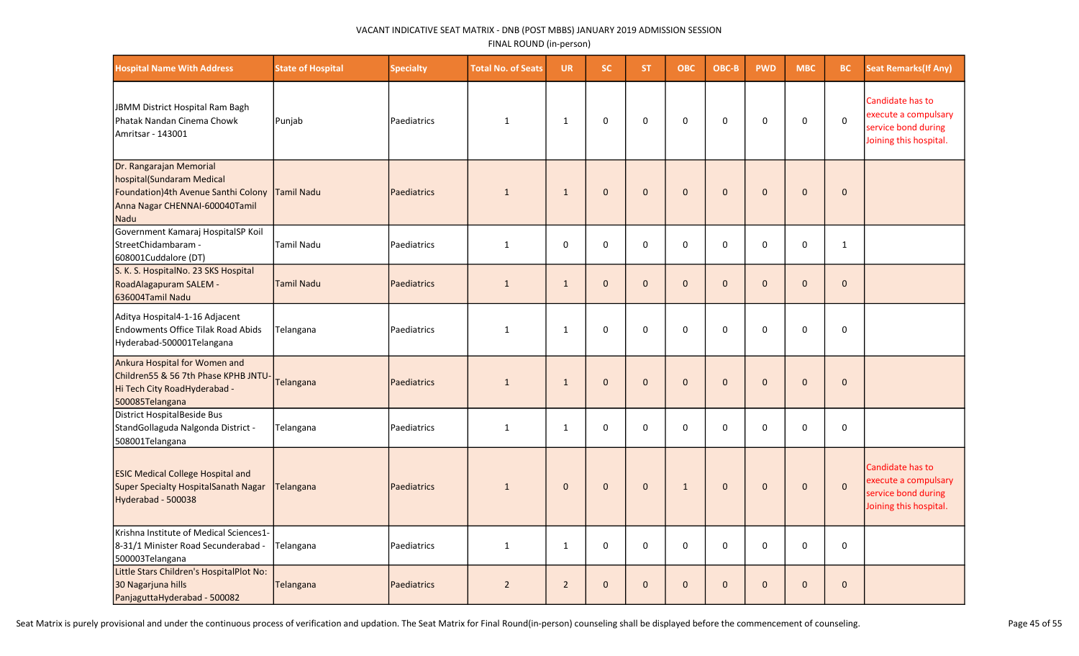| <b>Hospital Name With Address</b>                                                                                                                  | <b>State of Hospital</b> | <b>Specialty</b>   | <b>Total No. of Seats</b> | <b>UR</b>      | <b>SC</b>    | <b>ST</b>    | <b>OBC</b>   | OBC-B        | <b>PWD</b>   | <b>MBC</b>   | BC           | <b>Seat Remarks (If Any)</b>                                                              |
|----------------------------------------------------------------------------------------------------------------------------------------------------|--------------------------|--------------------|---------------------------|----------------|--------------|--------------|--------------|--------------|--------------|--------------|--------------|-------------------------------------------------------------------------------------------|
| JBMM District Hospital Ram Bagh<br>Phatak Nandan Cinema Chowk<br>Amritsar - 143001                                                                 | Punjab                   | Paediatrics        | 1                         | $\mathbf{1}$   | 0            | 0            | $\mathbf 0$  | $\mathbf 0$  | 0            | $\mathbf 0$  | $\mathsf 0$  | Candidate has to<br>execute a compulsary<br>service bond during<br>Joining this hospital. |
| Dr. Rangarajan Memorial<br>hospital(Sundaram Medical<br>Foundation)4th Avenue Santhi Colony   Tamil Nadu<br>Anna Nagar CHENNAI-600040Tamil<br>Nadu |                          | <b>Paediatrics</b> | $\mathbf{1}$              | $\mathbf{1}$   | $\Omega$     | $\Omega$     | $\pmb{0}$    | $\Omega$     | $\mathbf 0$  | $\mathbf 0$  | $\pmb{0}$    |                                                                                           |
| Government Kamaraj HospitalSP Koil<br>StreetChidambaram -<br>608001Cuddalore (DT)                                                                  | <b>Tamil Nadu</b>        | Paediatrics        | $\mathbf{1}$              | $\mathbf 0$    | $\mathbf 0$  | $\mathbf 0$  | 0            | $\mathbf 0$  | $\mathbf 0$  | 0            | $\mathbf{1}$ |                                                                                           |
| S. K. S. HospitalNo. 23 SKS Hospital<br>RoadAlagapuram SALEM -<br>636004Tamil Nadu                                                                 | <b>Tamil Nadu</b>        | <b>Paediatrics</b> | $\mathbf{1}$              | $\mathbf{1}$   | $\mathbf{0}$ | $\mathbf{0}$ | $\mathbf 0$  | $\mathbf{0}$ | $\mathbf{0}$ | $\mathbf{0}$ | $\mathbf 0$  |                                                                                           |
| Aditya Hospital4-1-16 Adjacent<br>Endowments Office Tilak Road Abids<br>Hyderabad-500001Telangana                                                  | Telangana                | Paediatrics        | 1                         | $\mathbf{1}$   | $\mathbf 0$  | $\mathbf 0$  | $\mathbf 0$  | $\mathbf 0$  | 0            | $\mathbf 0$  | 0            |                                                                                           |
| Ankura Hospital for Women and<br>Children55 & 56 7th Phase KPHB JNTU<br>Hi Tech City RoadHyderabad -<br>500085Telangana                            | Telangana                | <b>Paediatrics</b> | $\mathbf{1}$              | $\mathbf{1}$   | $\mathbf{0}$ | $\Omega$     | $\mathbf{0}$ | $\Omega$     | $\mathbf{0}$ | $\mathbf{0}$ | $\mathbf{0}$ |                                                                                           |
| District HospitalBeside Bus<br>StandGollaguda Nalgonda District -<br>508001Telangana                                                               | Telangana                | Paediatrics        | $\mathbf{1}$              | $\mathbf{1}$   | $\Omega$     | $\Omega$     | $\pmb{0}$    | 0            | 0            | $\Omega$     | 0            |                                                                                           |
| <b>ESIC Medical College Hospital and</b><br>Super Specialty HospitalSanath Nagar<br>Hyderabad - 500038                                             | Telangana                | Paediatrics        | $\mathbf{1}$              | $\mathbf{0}$   | $\mathbf{0}$ | $\mathbf{0}$ | $\mathbf{1}$ | $\mathbf{0}$ | $\mathbf{0}$ | $\mathbf{0}$ | $\mathbf 0$  | Candidate has to<br>execute a compulsary<br>service bond during<br>Joining this hospital. |
| Krishna Institute of Medical Sciences1-<br>8-31/1 Minister Road Secunderabad -<br>500003Telangana                                                  | Telangana                | Paediatrics        | $\mathbf{1}$              | $\mathbf{1}$   | 0            | 0            | $\mathbf 0$  | $\mathbf 0$  | 0            | $\mathbf 0$  | 0            |                                                                                           |
| Little Stars Children's HospitalPlot No:<br>30 Nagarjuna hills<br>PanjaguttaHyderabad - 500082                                                     | Telangana                | <b>Paediatrics</b> | $\overline{2}$            | $\overline{2}$ | $\mathbf{0}$ | $\mathbf{0}$ | $\mathbf{0}$ | $\Omega$     | $\mathbf{0}$ | $\mathbf{0}$ | $\mathbf 0$  |                                                                                           |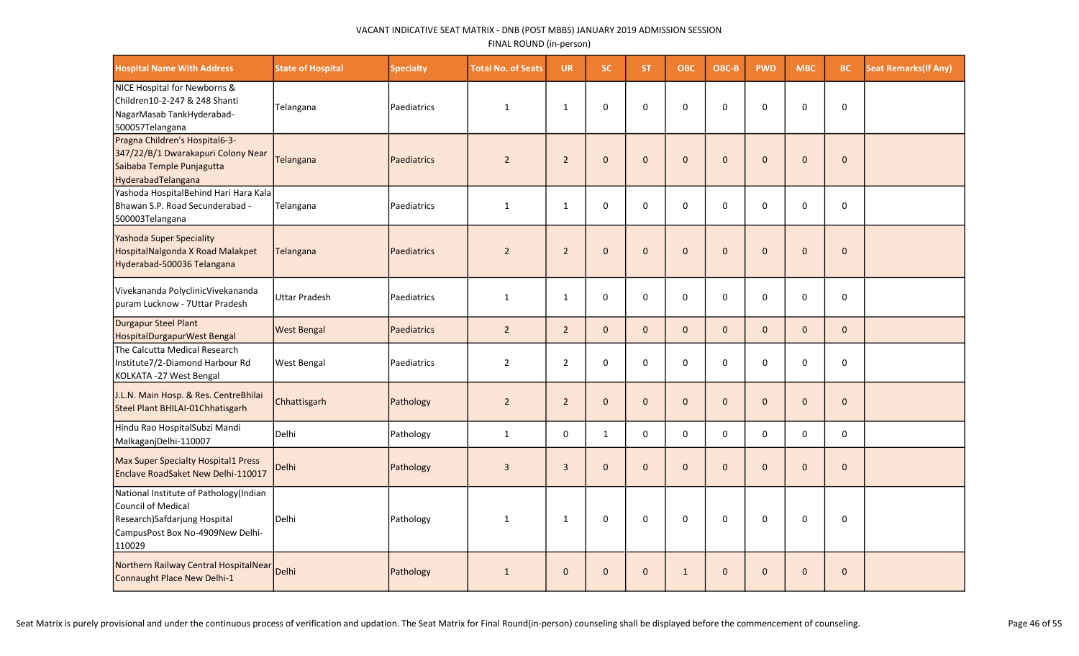| <b>Hospital Name With Address</b>                                                                                                          | <b>State of Hospital</b> | <b>Specialty</b> | <b>Total No. of Seats</b> | <b>UR</b>      | SC.          | ST.          | <b>OBC</b>   | OBC-B        | <b>PWD</b>   | <b>MBC</b>   | BC           | <b>Seat Remarks (If Any)</b> |
|--------------------------------------------------------------------------------------------------------------------------------------------|--------------------------|------------------|---------------------------|----------------|--------------|--------------|--------------|--------------|--------------|--------------|--------------|------------------------------|
| NICE Hospital for Newborns &<br>Children10-2-247 & 248 Shanti<br>NagarMasab TankHyderabad-<br>500057Telangana                              | Telangana                | Paediatrics      | $\mathbf{1}$              | $\mathbf{1}$   | $\mathbf 0$  | 0            | $\mathbf 0$  | $\Omega$     | 0            | $\mathbf 0$  | $\mathsf 0$  |                              |
| Pragna Children's Hospital6-3-<br>347/22/B/1 Dwarakapuri Colony Near<br>Saibaba Temple Punjagutta<br>HyderabadTelangana                    | Telangana                | Paediatrics      | $\overline{2}$            | $\overline{2}$ | $\pmb{0}$    | $\mathbf{0}$ | $\pmb{0}$    | $\mathbf{0}$ | $\mathbf{0}$ | $\mathbf 0$  | $\mathbf 0$  |                              |
| Yashoda HospitalBehind Hari Hara Kala<br>Bhawan S.P. Road Secunderabad -<br>500003Telangana                                                | Telangana                | Paediatrics      | $\mathbf{1}$              | $\mathbf{1}$   | $\mathbf 0$  | $\mathbf{0}$ | $\mathbf 0$  | $\Omega$     | $\Omega$     | $\Omega$     | $\mathbf 0$  |                              |
| Yashoda Super Speciality<br>HospitalNalgonda X Road Malakpet<br>Hyderabad-500036 Telangana                                                 | Telangana                | Paediatrics      | $\overline{2}$            | $\overline{2}$ | $\mathbf 0$  | $\mathbf{0}$ | $\pmb{0}$    | $\mathbf{0}$ | $\mathbf{0}$ | $\mathbf{0}$ | $\mathbf 0$  |                              |
| Vivekananda PolyclinicVivekananda<br>puram Lucknow - 7Uttar Pradesh                                                                        | <b>Uttar Pradesh</b>     | Paediatrics      | $\mathbf{1}$              | $\mathbf{1}$   | $\mathbf 0$  | $\mathbf 0$  | $\mathbf 0$  | $\mathbf 0$  | $\mathbf 0$  | 0            | $\mathbf 0$  |                              |
| Durgapur Steel Plant<br>HospitalDurgapurWest Bengal                                                                                        | <b>West Bengal</b>       | Paediatrics      | $\overline{2}$            | $2^{\circ}$    | $\mathbf{0}$ | $\mathbf{0}$ | $\mathbf{0}$ | $\mathbf{0}$ | $\mathbf{0}$ | $\mathbf{0}$ | $\mathbf{0}$ |                              |
| The Calcutta Medical Research<br>Institute7/2-Diamond Harbour Rd<br>KOLKATA - 27 West Bengal                                               | <b>West Bengal</b>       | Paediatrics      | $\overline{2}$            | $\overline{2}$ | $\mathbf 0$  | $\Omega$     | $\mathbf 0$  | $\Omega$     | $\Omega$     | $\Omega$     | $\mathbf 0$  |                              |
| J.L.N. Main Hosp. & Res. CentreBhilai<br>Steel Plant BHILAI-01Chhatisgarh                                                                  | Chhattisgarh             | Pathology        | $\overline{2}$            | $\overline{2}$ | $\mathbf{0}$ | $\mathbf{0}$ | $\mathbf 0$  | $\mathbf{0}$ | $\mathbf{0}$ | $\Omega$     | $\mathbf{0}$ |                              |
| Hindu Rao HospitalSubzi Mandi<br>MalkaganjDelhi-110007                                                                                     | l Delhi                  | Pathology        | $\mathbf{1}$              | $\mathbf 0$    | $\mathbf{1}$ | $\Omega$     | $\Omega$     | $\Omega$     | $\Omega$     | $\Omega$     | $\mathbf{0}$ |                              |
| Max Super Specialty Hospital1 Press<br>Enclave RoadSaket New Delhi-110017                                                                  | Delhi                    | Pathology        | $\overline{3}$            | $\mathbf{3}$   | $\mathbf 0$  | $\mathbf{0}$ | $\mathbf 0$  | $\mathbf{0}$ | $\mathbf 0$  | $\mathbf{0}$ | $\mathbf 0$  |                              |
| National Institute of Pathology(Indian<br>Council of Medical<br>Research)Safdarjung Hospital<br>CampusPost Box No-4909New Delhi-<br>110029 | Delhi                    | Pathology        | 1                         | $\mathbf{1}$   | $\mathbf 0$  | 0            | $\mathbf 0$  | 0            | 0            | 0            | $\mathbf 0$  |                              |
| Northern Railway Central HospitalNear<br>Connaught Place New Delhi-1                                                                       | Delhi                    | Pathology        | $\mathbf{1}$              | $\mathbf{0}$   | $\mathbf{0}$ | $\mathbf{0}$ | $\mathbf{1}$ | $\mathbf{0}$ | $\mathbf{0}$ | $\Omega$     | $\mathbf 0$  |                              |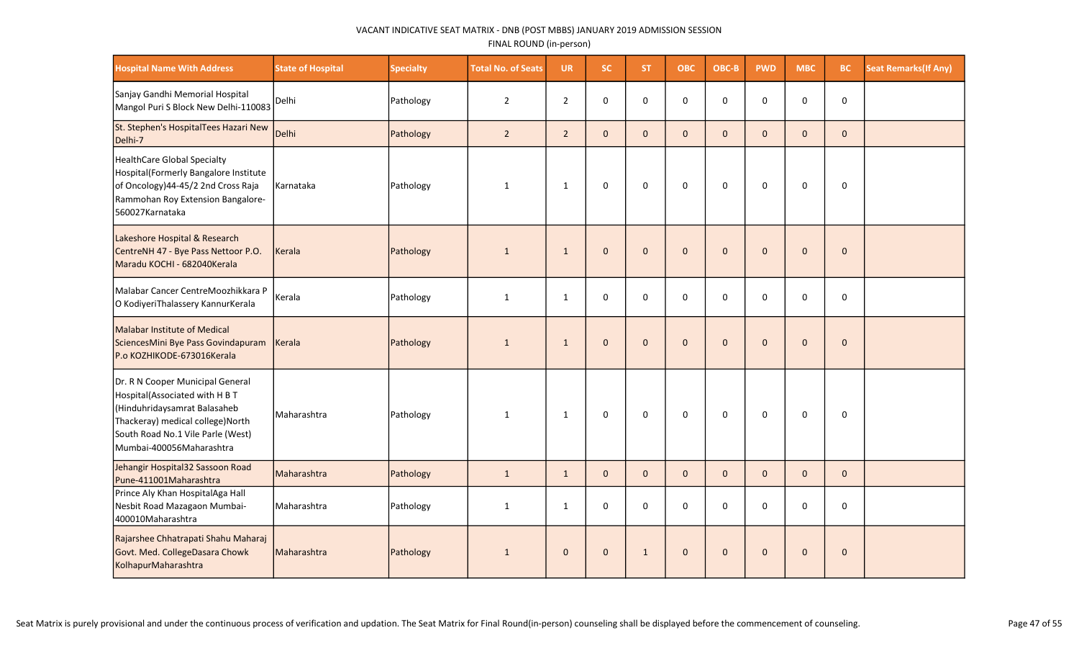| <b>Hospital Name With Address</b>                                                                                                                                                                        | <b>State of Hospital</b> | Specialty | <b>Total No. of Seats</b> | <b>UR</b>      | <b>SC</b>    | <b>ST</b>    | <b>OBC</b>   | OBC-B        | <b>PWD</b>   | <b>MBC</b>   | BC           | <b>Seat Remarks (If Any)</b> |
|----------------------------------------------------------------------------------------------------------------------------------------------------------------------------------------------------------|--------------------------|-----------|---------------------------|----------------|--------------|--------------|--------------|--------------|--------------|--------------|--------------|------------------------------|
| Sanjay Gandhi Memorial Hospital<br>Mangol Puri S Block New Delhi-110083                                                                                                                                  | Delhi                    | Pathology | $\overline{2}$            | $\overline{2}$ | $\mathbf 0$  | $\Omega$     | $\mathbf 0$  | $\Omega$     | $\mathbf 0$  | 0            | $\pmb{0}$    |                              |
| St. Stephen's HospitalTees Hazari New<br>Delhi-7                                                                                                                                                         | Delhi                    | Pathology | $\overline{2}$            | $\overline{2}$ | $\mathbf{0}$ | $\mathbf{0}$ | $\mathbf{0}$ | $\Omega$     | $\Omega$     | $\Omega$     | $\mathbf{0}$ |                              |
| HealthCare Global Specialty<br>Hospital (Formerly Bangalore Institute<br>of Oncology)44-45/2 2nd Cross Raja<br>Rammohan Roy Extension Bangalore-<br>560027Karnataka                                      | Karnataka                | Pathology | 1                         | $\mathbf{1}$   | $\mathbf 0$  | 0            | $\mathbf 0$  | $\mathbf 0$  | $\mathbf 0$  | $\mathbf 0$  | $\pmb{0}$    |                              |
| Lakeshore Hospital & Research<br>CentreNH 47 - Bye Pass Nettoor P.O.<br>Maradu KOCHI - 682040Kerala                                                                                                      | Kerala                   | Pathology | $\mathbf{1}$              | $\mathbf{1}$   | $\mathbf{0}$ | $\mathbf{0}$ | $\mathbf{0}$ | $\Omega$     | $\Omega$     | $\mathbf{0}$ | $\mathbf{0}$ |                              |
| Malabar Cancer CentreMoozhikkara P<br>O KodiyeriThalassery KannurKerala                                                                                                                                  | Kerala                   | Pathology | $\mathbf{1}$              | $\mathbf{1}$   | $\mathbf 0$  | $\Omega$     | 0            | $\Omega$     | $\Omega$     | $\Omega$     | 0            |                              |
| Malabar Institute of Medical<br>SciencesMini Bye Pass Govindapuram<br>P.o KOZHIKODE-673016Kerala                                                                                                         | Kerala                   | Pathology | $\mathbf{1}$              | $\mathbf{1}$   | $\mathbf{0}$ | $\Omega$     | $\mathbf 0$  | $\Omega$     | $\Omega$     | $\mathbf{0}$ | $\mathbf 0$  |                              |
| Dr. R N Cooper Municipal General<br>Hospital(Associated with H B T<br>(Hinduhridaysamrat Balasaheb<br>Thackeray) medical college) North<br>South Road No.1 Vile Parle (West)<br>Mumbai-400056Maharashtra | Maharashtra              | Pathology | $\mathbf{1}$              | $\mathbf{1}$   | $\mathbf 0$  | 0            | $\mathsf 0$  | $\mathbf 0$  | $\mathbf 0$  | $\mathbf 0$  | $\pmb{0}$    |                              |
| Jehangir Hospital32 Sassoon Road<br>Pune-411001Maharashtra                                                                                                                                               | Maharashtra              | Pathology | $\mathbf{1}$              | $\mathbf{1}$   | $\mathbf{0}$ | $\mathbf 0$  | $\mathbf 0$  | $\mathbf{0}$ | $\mathbf{0}$ | $\mathbf 0$  | $\mathbf 0$  |                              |
| Prince Aly Khan HospitalAga Hall<br>Nesbit Road Mazagaon Mumbai-<br>400010Maharashtra                                                                                                                    | Maharashtra              | Pathology | 1                         | $\mathbf{1}$   | 0            | $\Omega$     | $\mathsf 0$  | $\Omega$     | $\Omega$     | $\Omega$     | 0            |                              |
| Rajarshee Chhatrapati Shahu Maharaj<br>Govt. Med. CollegeDasara Chowk<br>KolhapurMaharashtra                                                                                                             | Maharashtra              | Pathology | $\mathbf{1}$              | $\mathbf{0}$   | $\mathbf{0}$ | $\mathbf{1}$ | $\mathbf{0}$ | $\mathbf{0}$ | $\mathbf{0}$ | $\mathbf{0}$ | $\mathbf 0$  |                              |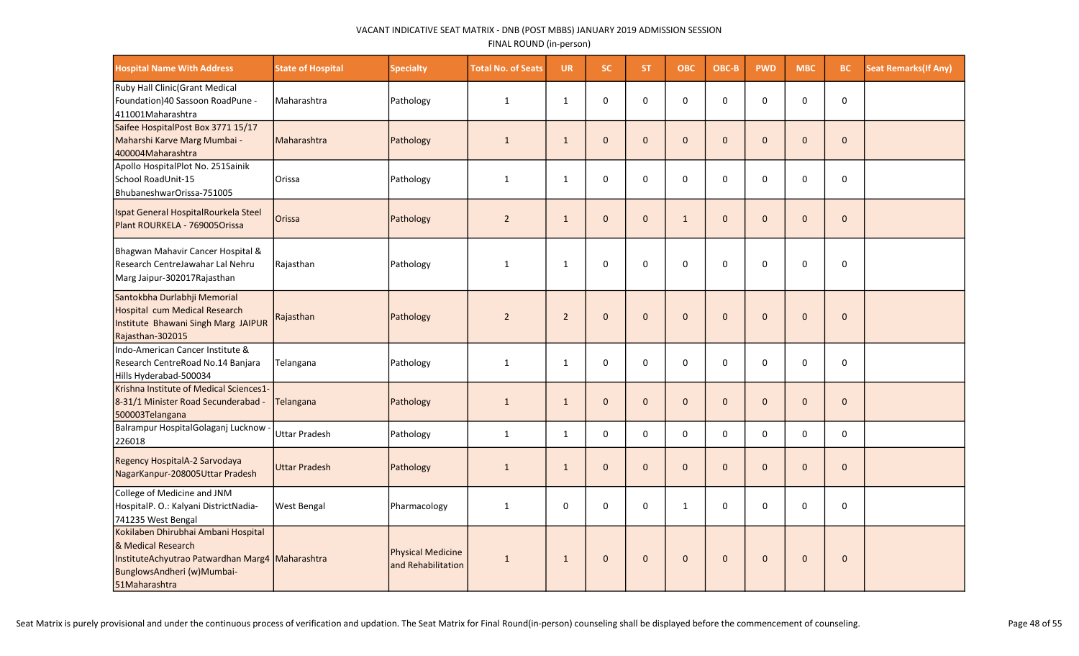| <b>Hospital Name With Address</b>                                                                                                                           | <b>State of Hospital</b> | <b>Specialty</b>                        | <b>Total No. of Seats</b> | <b>UR</b>      | SC.          | ST.          | <b>OBC</b>   | OBC-B        | <b>PWD</b>   | <b>MBC</b>   | <b>BC</b>    | <b>Seat Remarks (If Any)</b> |
|-------------------------------------------------------------------------------------------------------------------------------------------------------------|--------------------------|-----------------------------------------|---------------------------|----------------|--------------|--------------|--------------|--------------|--------------|--------------|--------------|------------------------------|
| Ruby Hall Clinic(Grant Medical<br>Foundation)40 Sassoon RoadPune -<br>411001Maharashtra                                                                     | Maharashtra              | Pathology                               | 1                         | $\mathbf{1}$   | $\mathbf 0$  | $\Omega$     | $\Omega$     | $\Omega$     | $\Omega$     | $\Omega$     | $\pmb{0}$    |                              |
| Saifee HospitalPost Box 3771 15/17<br>Maharshi Karve Marg Mumbai -<br>400004Maharashtra                                                                     | Maharashtra              | Pathology                               | $\mathbf{1}$              | $\mathbf{1}$   | $\mathbf{0}$ | $\mathbf{0}$ | $\mathbf{0}$ | $\Omega$     | $\mathbf 0$  | $\Omega$     | $\mathbf 0$  |                              |
| Apollo HospitalPlot No. 251Sainik<br>School RoadUnit-15<br>BhubaneshwarOrissa-751005                                                                        | Orissa                   | Pathology                               | $\mathbf{1}$              | $\mathbf{1}$   | $\mathbf 0$  | 0            | $\mathbf 0$  | $\Omega$     | 0            | $\Omega$     | 0            |                              |
| Ispat General HospitalRourkela Steel<br>Plant ROURKELA - 769005Orissa                                                                                       | Orissa                   | Pathology                               | $\overline{2}$            | $\mathbf{1}$   | $\mathbf{0}$ | $\mathbf{0}$ | $\mathbf{1}$ | $\mathbf{0}$ | $\mathbf{0}$ | $\mathbf{0}$ | $\mathbf{0}$ |                              |
| Bhagwan Mahavir Cancer Hospital &<br>Research CentreJawahar Lal Nehru<br>Marg Jaipur-302017 Rajasthan                                                       | Rajasthan                | Pathology                               | 1                         | 1              | 0            | 0            | $\mathbf 0$  | $\Omega$     | $\Omega$     | 0            | $\Omega$     |                              |
| Santokbha Durlabhji Memorial<br>Hospital cum Medical Research<br>Institute Bhawani Singh Marg JAIPUR<br>Rajasthan-302015                                    | Rajasthan                | Pathology                               | $\overline{2}$            | $\overline{2}$ | $\mathbf 0$  | $\mathbf{0}$ | $\pmb{0}$    | $\Omega$     | $\mathbf{0}$ | $\mathbf 0$  | $\mathbf 0$  |                              |
| Indo-American Cancer Institute &<br>Research CentreRoad No.14 Banjara<br>Hills Hyderabad-500034                                                             | Telangana                | Pathology                               | $\mathbf{1}$              | $\mathbf{1}$   | $\Omega$     | $\Omega$     | $\Omega$     | $\Omega$     | $\Omega$     | $\Omega$     | 0            |                              |
| Krishna Institute of Medical Sciences1-<br>8-31/1 Minister Road Secunderabad -<br>500003Telangana                                                           | Telangana                | Pathology                               | $\mathbf{1}$              | $\mathbf{1}$   | $\mathbf{0}$ | $\mathbf{0}$ | $\mathbf{0}$ | $\mathbf{0}$ | $\mathbf 0$  | $\mathbf 0$  | $\mathbf 0$  |                              |
| Balrampur HospitalGolaganj Lucknow<br>226018                                                                                                                | <b>Uttar Pradesh</b>     | Pathology                               | $\mathbf{1}$              | $\mathbf{1}$   | $\mathbf 0$  | $\mathbf 0$  | $\mathbf 0$  | $\mathbf 0$  | $\Omega$     | 0            | $\mathbf 0$  |                              |
| Regency HospitalA-2 Sarvodaya<br>NagarKanpur-208005Uttar Pradesh                                                                                            | <b>Uttar Pradesh</b>     | Pathology                               | $\mathbf{1}$              | $\mathbf{1}$   | $\mathbf 0$  | $\mathbf{0}$ | $\mathbf{0}$ | $\mathbf{0}$ | $\mathbf{0}$ | $\Omega$     | $\mathbf{0}$ |                              |
| College of Medicine and JNM<br>HospitalP. O.: Kalyani DistrictNadia-<br>741235 West Bengal                                                                  | <b>West Bengal</b>       | Pharmacology                            | $\mathbf{1}$              | $\mathbf 0$    | $\mathbf 0$  | $\Omega$     | $\mathbf{1}$ | $\Omega$     | $\Omega$     | $\Omega$     | $\pmb{0}$    |                              |
| Kokilaben Dhirubhai Ambani Hospital<br>& Medical Research<br>InstituteAchyutrao Patwardhan Marg4 Maharashtra<br>BunglowsAndheri (w)Mumbai-<br>51Maharashtra |                          | Physical Medicine<br>and Rehabilitation | $\mathbf{1}$              | $\mathbf{1}$   | $\mathbf{0}$ | $\mathbf{0}$ | $\mathbf 0$  | $\mathbf{0}$ | $\mathbf{0}$ | $\Omega$     | $\mathbf{0}$ |                              |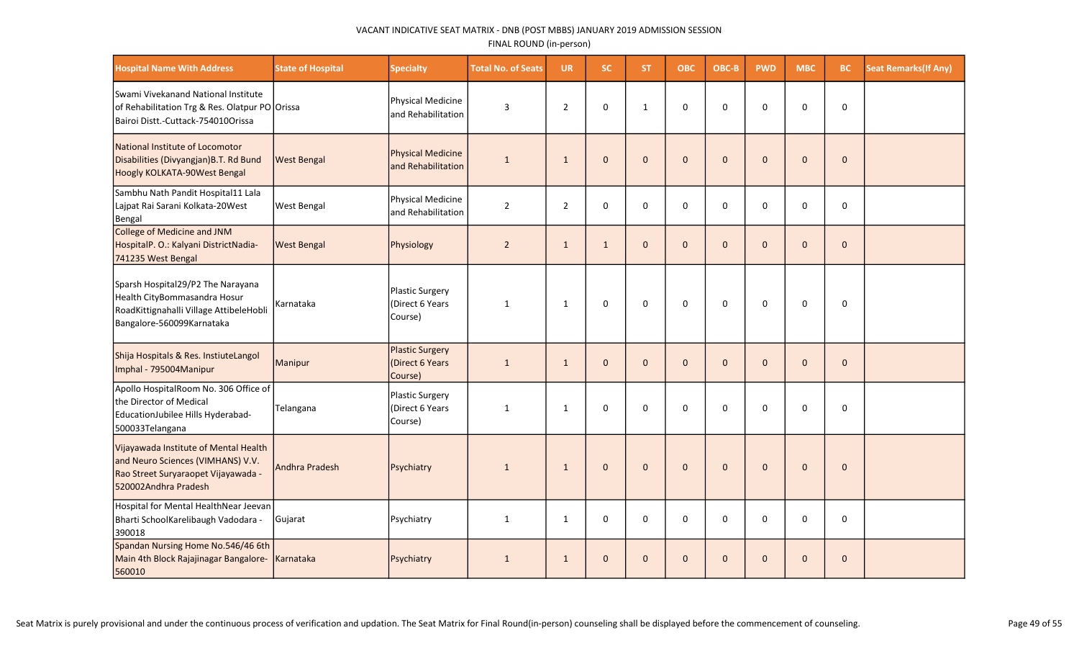| <b>Hospital Name With Address</b>                                                                                                         | <b>State of Hospital</b> | <b>Specialty</b>                                     | <b>Total No. of Seats</b> | <b>UR</b>      | <b>SC</b>    | <b>ST</b>    | ОВС                 | OBC-B        | <b>PWD</b>   | <b>MBC</b>   | <b>BC</b>    | <b>Seat Remarks(If Any)</b> |
|-------------------------------------------------------------------------------------------------------------------------------------------|--------------------------|------------------------------------------------------|---------------------------|----------------|--------------|--------------|---------------------|--------------|--------------|--------------|--------------|-----------------------------|
| Swami Vivekanand National Institute<br>of Rehabilitation Trg & Res. Olatpur PO Orissa<br>Bairoi Distt.-Cuttack-754010Orissa               |                          | Physical Medicine<br>and Rehabilitation              | $\mathsf{3}$              | $\overline{2}$ | $\mathbf 0$  | $\mathbf{1}$ | $\mathsf 0$         | $\mathbf 0$  | $\mathbf 0$  | $\Omega$     | $\mathbf 0$  |                             |
| National Institute of Locomotor<br>Disabilities (Divyangjan) B.T. Rd Bund<br>Hoogly KOLKATA-90West Bengal                                 | <b>West Bengal</b>       | Physical Medicine<br>and Rehabilitation              | $\mathbf{1}$              | $\mathbf{1}$   | $\mathbf{0}$ | $\mathbf{0}$ | $\mathbf 0$         | $\mathbf{0}$ | $\mathbf{0}$ | $\mathbf{0}$ | $\mathbf 0$  |                             |
| Sambhu Nath Pandit Hospital11 Lala<br>Lajpat Rai Sarani Kolkata-20West<br>Bengal                                                          | <b>West Bengal</b>       | Physical Medicine<br>and Rehabilitation              | $\overline{2}$            | $\overline{2}$ | $\mathbf 0$  | 0            | $\mathbf 0$         | $\mathbf 0$  | $\mathbf 0$  | $\Omega$     | 0            |                             |
| College of Medicine and JNM<br>HospitalP. O.: Kalyani DistrictNadia-<br>741235 West Bengal                                                | <b>West Bengal</b>       | Physiology                                           | $\overline{2}$            | $\mathbf{1}$   | $\mathbf{1}$ | $\mathbf{0}$ | $\mathbf{0}$        | $\mathbf{0}$ | $\mathbf{0}$ | $\Omega$     | $\mathbf{0}$ |                             |
| Sparsh Hospital29/P2 The Narayana<br>Health CityBommasandra Hosur<br>RoadKittignahalli Village AttibeleHobli<br>Bangalore-560099Karnataka | Karnataka                | Plastic Surgery<br>(Direct 6 Years<br>Course)        | $\mathbf{1}$              | 1              | $\mathbf 0$  | 0            | $\mathsf{O}\xspace$ | $\mathbf 0$  | $\mathbf 0$  | 0            | $\mathbf 0$  |                             |
| Shija Hospitals & Res. InstiuteLangol<br>Imphal - 795004Manipur                                                                           | Manipur                  | <b>Plastic Surgery</b><br>(Direct 6 Years<br>Course) | $\mathbf{1}$              | $\mathbf{1}$   | $\mathbf{0}$ | $\mathbf 0$  | $\mathbf{0}$        | $\mathbf{0}$ | $\mathbf 0$  | $\mathbf{0}$ | $\mathbf 0$  |                             |
| Apollo HospitalRoom No. 306 Office of<br>the Director of Medical<br>EducationJubilee Hills Hyderabad-<br>500033Telangana                  | Telangana                | Plastic Surgery<br>(Direct 6 Years<br>Course)        | $\mathbf{1}$              | 1              | $\mathbf 0$  | $\Omega$     | $\mathbf 0$         | $\mathbf{0}$ | $\mathbf 0$  | $\Omega$     | 0            |                             |
| Vijayawada Institute of Mental Health<br>and Neuro Sciences (VIMHANS) V.V.<br>Rao Street Suryaraopet Vijayawada -<br>520002Andhra Pradesh | Andhra Pradesh           | Psychiatry                                           | $\mathbf{1}$              | 1              | $\Omega$     | $\mathbf{0}$ | $\mathbf{0}$        | $\mathbf{0}$ | $\mathbf{0}$ | $\Omega$     | $\mathbf{0}$ |                             |
| Hospital for Mental HealthNear Jeevan<br>Bharti SchoolKarelibaugh Vadodara -<br>390018                                                    | Gujarat                  | Psychiatry                                           | $\mathbf{1}$              | $\mathbf{1}$   | $\mathbf 0$  | $\Omega$     | $\mathbf 0$         | $\mathbf{0}$ | $\mathbf 0$  | $\Omega$     | 0            |                             |
| Spandan Nursing Home No.546/46 6th<br>Main 4th Block Rajajinagar Bangalore-<br>560010                                                     | Karnataka                | Psychiatry                                           | $\mathbf{1}$              | $\mathbf{1}$   | $\mathbf 0$  | $\mathbf{0}$ | $\mathbf 0$         | $\mathbf{0}$ | $\mathbf 0$  | $\mathbf{0}$ | $\pmb{0}$    |                             |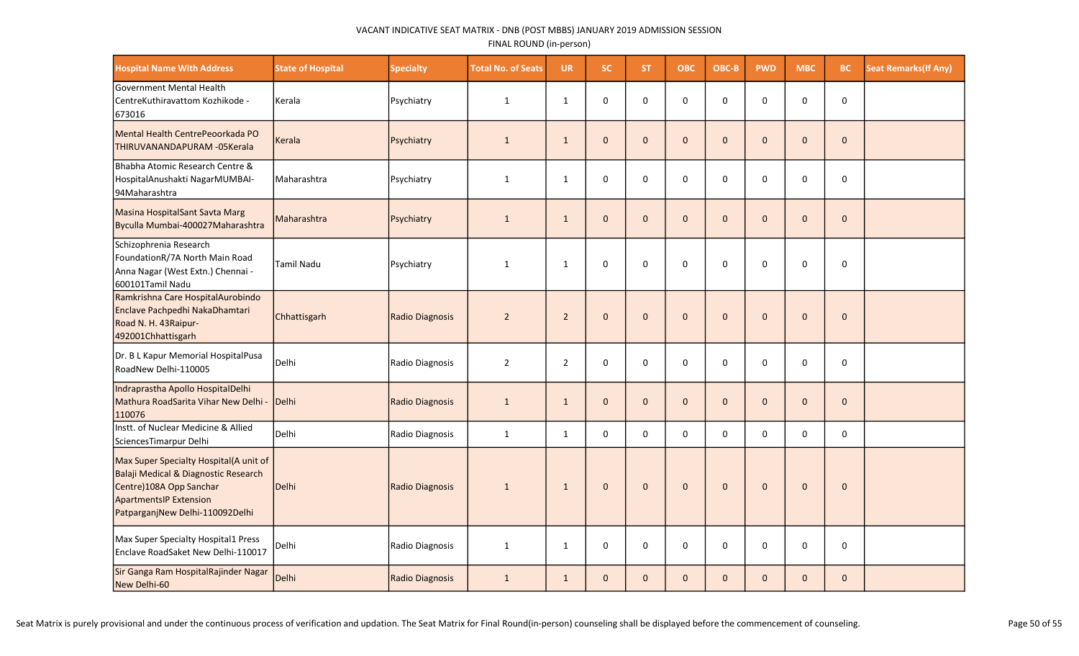| <b>Hospital Name With Address</b>                                                                                                                                             | <b>State of Hospital</b> | <b>Specialty</b> | <b>Total No. of Seats</b> | <b>UR</b>      | <b>SC</b>    | ST.          | <b>OBC</b>   | OBC-B        | <b>PWD</b>   | <b>MBC</b>     | <b>BC</b>    | <b>Seat Remarks (If Any)</b> |
|-------------------------------------------------------------------------------------------------------------------------------------------------------------------------------|--------------------------|------------------|---------------------------|----------------|--------------|--------------|--------------|--------------|--------------|----------------|--------------|------------------------------|
| Government Mental Health<br>CentreKuthiravattom Kozhikode -<br>673016                                                                                                         | Kerala                   | Psychiatry       | $\mathbf{1}$              | $\mathbf{1}$   | 0            | $\Omega$     | $\pmb{0}$    | $\Omega$     | $\Omega$     | $\Omega$       | $\mathsf 0$  |                              |
| Mental Health CentrePeoorkada PO<br>THIRUVANANDAPURAM - 05 Kerala                                                                                                             | Kerala                   | Psychiatry       | $\mathbf{1}$              | $\mathbf{1}$   | $\mathbf{0}$ | $\mathbf{0}$ | $\mathbf 0$  | $\mathbf{0}$ | $\mathbf 0$  | $\overline{0}$ | $\mathbf 0$  |                              |
| Bhabha Atomic Research Centre &<br>HospitalAnushakti NagarMUMBAI-<br>94Maharashtra                                                                                            | Maharashtra              | Psychiatry       | $\mathbf{1}$              | $\mathbf{1}$   | $\mathbf 0$  | $\Omega$     | 0            | $\mathbf 0$  | 0            | $\Omega$       | $\mathsf 0$  |                              |
| Masina HospitalSant Savta Marg<br>Byculla Mumbai-400027Maharashtra                                                                                                            | Maharashtra              | Psychiatry       | $\mathbf{1}$              | $\mathbf{1}$   | $\mathbf{0}$ | $\mathbf{0}$ | $\mathbf{0}$ | $\mathbf{0}$ | $\mathbf{0}$ | $\Omega$       | $\mathbf{0}$ |                              |
| Schizophrenia Research<br>FoundationR/7A North Main Road<br>Anna Nagar (West Extn.) Chennai -<br>600101Tamil Nadu                                                             | Tamil Nadu               | Psychiatry       | $\mathbf{1}$              | $\mathbf{1}$   | $\mathbf 0$  | 0            | $\mathbf 0$  | $\Omega$     | $\Omega$     | $\Omega$       | $\mathbf 0$  |                              |
| Ramkrishna Care HospitalAurobindo<br>Enclave Pachpedhi NakaDhamtari<br>Road N. H. 43Raipur-<br>492001Chhattisgarh                                                             | Chhattisgarh             | Radio Diagnosis  | $\overline{2}$            | $\overline{2}$ | $\mathbf{0}$ | $\mathbf{0}$ | $\mathbf 0$  | $\Omega$     | $\mathbf{0}$ | $\Omega$       | $\mathbf{0}$ |                              |
| Dr. B L Kapur Memorial HospitalPusa<br>RoadNew Delhi-110005                                                                                                                   | Delhi                    | Radio Diagnosis  | $\overline{2}$            | $\overline{2}$ | $\mathbf 0$  | 0            | $\mathbf 0$  | 0            | $\mathbf 0$  | 0              | $\mathbf 0$  |                              |
| Indraprastha Apollo HospitalDelhi<br>Mathura RoadSarita Vihar New Delhi -<br>110076                                                                                           | Delhi                    | Radio Diagnosis  | $\mathbf{1}$              | $\mathbf{1}$   | $\mathbf{0}$ | $\mathbf{0}$ | $\mathbf 0$  | $\Omega$     | $\mathbf{0}$ | $\Omega$       | $\mathbf 0$  |                              |
| Instt. of Nuclear Medicine & Allied<br>SciencesTimarpur Delhi                                                                                                                 | Delhi                    | Radio Diagnosis  | $\mathbf{1}$              | $\mathbf{1}$   | $\mathbf 0$  | 0            | $\mathbf 0$  | $\mathbf 0$  | $\mathbf 0$  | $\mathbf 0$    | $\mathbf 0$  |                              |
| Max Super Specialty Hospital(A unit of<br>Balaji Medical & Diagnostic Research<br>Centre)108A Opp Sanchar<br><b>ApartmentsIP Extension</b><br>PatparganjNew Delhi-110092Delhi | Delhi                    | Radio Diagnosis  | $\mathbf{1}$              | $\mathbf{1}$   | $\mathbf{0}$ | $\mathbf{0}$ | $\pmb{0}$    | $\mathbf{0}$ | $\Omega$     | $\Omega$       | $\mathbf{0}$ |                              |
| Max Super Specialty Hospital1 Press<br>Enclave RoadSaket New Delhi-110017                                                                                                     | Delhi                    | Radio Diagnosis  | $\mathbf{1}$              | $\mathbf{1}$   | $\mathbf 0$  | $\Omega$     | $\mathbf 0$  | $\Omega$     | $\Omega$     | $\Omega$       | $\mathbf 0$  |                              |
| Sir Ganga Ram HospitalRajinder Nagar<br>New Delhi-60                                                                                                                          | Delhi                    | Radio Diagnosis  | $\mathbf{1}$              | $\mathbf{1}$   | $\mathbf 0$  | $\mathbf{0}$ | $\mathbf 0$  | $\mathbf{0}$ | $\mathbf{0}$ | $\overline{0}$ | $\mathbf 0$  |                              |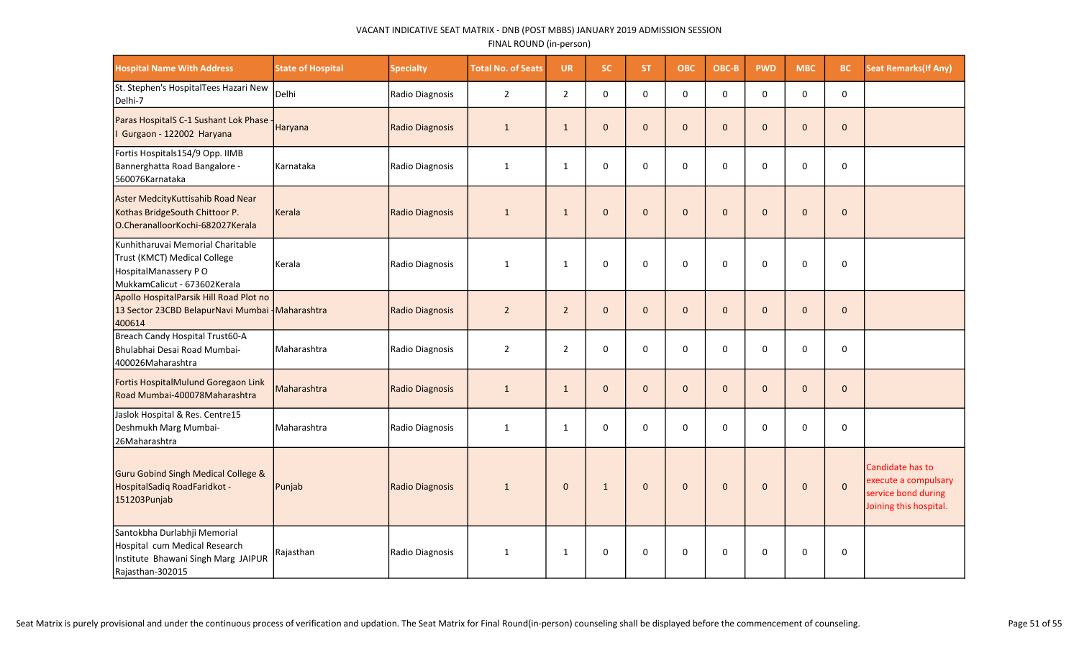| <b>Hospital Name With Address</b>                                                                                          | <b>State of Hospital</b> | <b>Specialty</b> | <b>Total No. of Seats</b> | <b>UR</b>      | <b>SC</b>      | <b>ST</b>      | ОВС          | OBC-B        | <b>PWD</b>   | <b>MBC</b>   | <b>BC</b>    | <b>Seat Remarks (If Any)</b>                                                              |
|----------------------------------------------------------------------------------------------------------------------------|--------------------------|------------------|---------------------------|----------------|----------------|----------------|--------------|--------------|--------------|--------------|--------------|-------------------------------------------------------------------------------------------|
| St. Stephen's HospitalTees Hazari New<br>Delhi-7                                                                           | Delhi                    | Radio Diagnosis  | $\overline{2}$            | $\overline{2}$ | $\mathbf{0}$   | $\Omega$       | $\Omega$     | $\Omega$     | $\Omega$     | $\Omega$     | $\mathbf 0$  |                                                                                           |
| Paras HospitalS C-1 Sushant Lok Phase -<br>Gurgaon - 122002 Haryana                                                        | Haryana                  | Radio Diagnosis  | $\mathbf{1}$              | 1              | $\mathbf{0}$   | $\mathbf{0}$   | $\mathbf{0}$ | $\mathbf{0}$ | $\mathbf{0}$ | $\Omega$     | $\mathbf{0}$ |                                                                                           |
| Fortis Hospitals154/9 Opp. IIMB<br>Bannerghatta Road Bangalore -<br>560076Karnataka                                        | Karnataka                | Radio Diagnosis  | $\mathbf{1}$              | 1              | $\mathbf 0$    | $\mathbf 0$    | 0            | $\Omega$     | $\mathbf 0$  | $\Omega$     | $\mathbf 0$  |                                                                                           |
| Aster MedcityKuttisahib Road Near<br>Kothas BridgeSouth Chittoor P.<br>O.CheranalloorKochi-682027Kerala                    | Kerala                   | Radio Diagnosis  | $\mathbf{1}$              | $\mathbf{1}$   | $\overline{0}$ | $\mathbf{0}$   | $\mathbf 0$  | $\mathbf{0}$ | $\mathbf 0$  | $\Omega$     | $\mathbf 0$  |                                                                                           |
| lKunhitharuvai Memorial Charitable<br>Trust (KMCT) Medical College<br>HospitalManassery PO<br>MukkamCalicut - 673602Kerala | Kerala                   | Radio Diagnosis  | $\mathbf{1}$              | 1              | $\mathbf 0$    | $\mathbf 0$    | $\mathbf 0$  | $\Omega$     | $\Omega$     | $\Omega$     | $\mathbf 0$  |                                                                                           |
| Apollo HospitalParsik Hill Road Plot no<br>13 Sector 23CBD BelapurNavi Mumbai - Maharashtra<br>400614                      |                          | Radio Diagnosis  | $\overline{2}$            | $\overline{2}$ | $\mathbf{0}$   | $\overline{0}$ | $\mathbf 0$  | $\Omega$     | $\mathbf 0$  | $\Omega$     | $\mathbf 0$  |                                                                                           |
| Breach Candy Hospital Trust60-A<br>Bhulabhai Desai Road Mumbai-<br>400026Maharashtra                                       | Maharashtra              | Radio Diagnosis  | $\overline{2}$            | $\overline{2}$ | $\mathsf 0$    | $\mathbf 0$    | $\pmb{0}$    | $\mathbf 0$  | $\pmb{0}$    | $\mathbf 0$  | $\mathbf 0$  |                                                                                           |
| Fortis HospitalMulund Goregaon Link<br>Road Mumbai-400078Maharashtra                                                       | Maharashtra              | Radio Diagnosis  | $\mathbf{1}$              | $\mathbf{1}$   | $\mathbf 0$    | $\mathbf{0}$   | $\mathbf 0$  | $\mathbf{0}$ | $\pmb{0}$    | $\mathbf{0}$ | $\mathbf{0}$ |                                                                                           |
| Jaslok Hospital & Res. Centre15<br>Deshmukh Marg Mumbai-<br>26Maharashtra                                                  | Maharashtra              | Radio Diagnosis  | $\mathbf{1}$              | $\mathbf{1}$   | $\mathbf 0$    | $\mathbf{0}$   | $\mathbf 0$  | $\Omega$     | $\mathbf 0$  | $\Omega$     | $\mathbf 0$  |                                                                                           |
| Guru Gobind Singh Medical College &<br>HospitalSadiq RoadFaridkot -<br>151203Punjab                                        | Punjab                   | Radio Diagnosis  | $\mathbf{1}$              | $\mathbf 0$    | $\mathbf{1}$   | $\mathbf{0}$   | $\mathbf{0}$ | $\mathbf{0}$ | $\mathbf{0}$ | $\mathbf{0}$ | $\mathbf 0$  | Candidate has to<br>execute a compulsary<br>service bond during<br>Joining this hospital. |
| Santokbha Durlabhji Memorial<br>Hospital cum Medical Research<br>Institute Bhawani Singh Marg JAIPUR<br>Rajasthan-302015   | Rajasthan                | Radio Diagnosis  | 1                         | 1              | $\Omega$       | $\Omega$       | $\mathbf 0$  | $\Omega$     | $\Omega$     | $\Omega$     | $\mathbf 0$  |                                                                                           |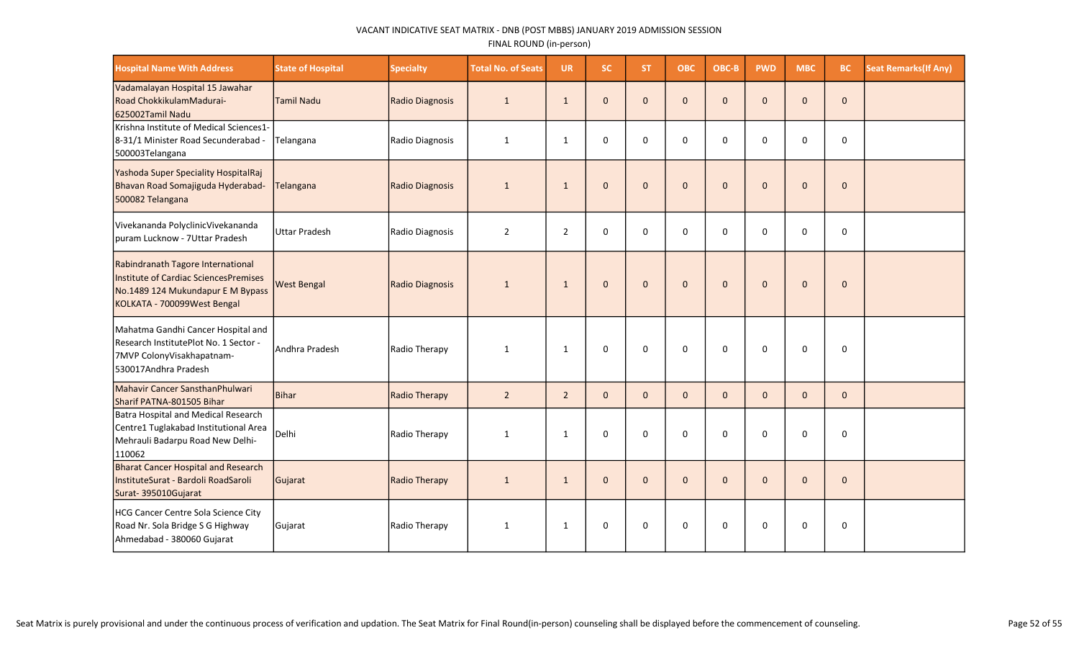| <b>Hospital Name With Address</b>                                                                                                              | <b>State of Hospital</b> | <b>Specialty</b> | <b>Total No. of Seats</b> | <b>UR</b>      | <b>SC</b>    | <b>ST</b>    | <b>OBC</b>   | OBC-B        | <b>PWD</b>   | <b>MBC</b>   | <b>BC</b>    | <b>Seat Remarks (If Any)</b> |
|------------------------------------------------------------------------------------------------------------------------------------------------|--------------------------|------------------|---------------------------|----------------|--------------|--------------|--------------|--------------|--------------|--------------|--------------|------------------------------|
| Vadamalayan Hospital 15 Jawahar<br>Road ChokkikulamMadurai-<br>625002Tamil Nadu                                                                | <b>Tamil Nadu</b>        | Radio Diagnosis  | $\mathbf{1}$              | $\mathbf{1}$   | $\mathbf{0}$ | $\mathbf{0}$ | $\mathbf 0$  | $\mathbf{0}$ | $\mathbf{0}$ | $\mathbf 0$  | $\mathbf 0$  |                              |
| Krishna Institute of Medical Sciences1-<br>8-31/1 Minister Road Secunderabad -<br>500003Telangana                                              | Telangana                | Radio Diagnosis  | $\mathbf{1}$              | $\mathbf{1}$   | $\mathbf 0$  | $\Omega$     | $\mathbf 0$  | $\Omega$     | $\Omega$     | $\Omega$     | $\mathbf 0$  |                              |
| Yashoda Super Speciality HospitalRaj<br>Bhavan Road Somajiguda Hyderabad-<br>500082 Telangana                                                  | Telangana                | Radio Diagnosis  | $\mathbf{1}$              | $\mathbf{1}$   | $\mathbf 0$  | $\mathbf{0}$ | $\mathbf{0}$ | $\Omega$     | $\mathbf{0}$ | $\mathbf 0$  | $\mathbf{0}$ |                              |
| Vivekananda PolyclinicVivekananda<br>puram Lucknow - 7Uttar Pradesh                                                                            | <b>Uttar Pradesh</b>     | Radio Diagnosis  | $\overline{2}$            | $\overline{2}$ | $\Omega$     | $\Omega$     | $\Omega$     | $\Omega$     | $\Omega$     | $\Omega$     | $\mathbf 0$  |                              |
| Rabindranath Tagore International<br>Institute of Cardiac SciencesPremises<br>No.1489 124 Mukundapur E M Bypass<br>KOLKATA - 700099West Bengal | <b>West Bengal</b>       | Radio Diagnosis  | $\mathbf{1}$              | $\mathbf{1}$   | $\mathbf 0$  | $\mathbf{0}$ | $\mathbf 0$  | $\mathbf{0}$ | $\mathbf{0}$ | $\mathbf{0}$ | $\mathbf 0$  |                              |
| Mahatma Gandhi Cancer Hospital and<br> Research InstitutePlot No. 1 Sector -<br>7MVP ColonyVisakhapatnam-<br>530017Andhra Pradesh              | Andhra Pradesh           | Radio Therapy    | $\mathbf{1}$              | $\mathbf{1}$   | $\mathbf 0$  | 0            | $\mathbf 0$  | $\Omega$     | $\Omega$     | $\Omega$     | $\mathbf 0$  |                              |
| Mahavir Cancer SansthanPhulwari<br>Sharif PATNA-801505 Bihar                                                                                   | Bihar                    | Radio Therapy    | $\overline{2}$            | $\overline{2}$ | $\mathbf{0}$ | $\mathbf{0}$ | $\mathbf{0}$ | $\mathbf{0}$ | $\mathbf{0}$ | $\mathbf{0}$ | $\mathbf{0}$ |                              |
| Batra Hospital and Medical Research<br>Centre1 Tuglakabad Institutional Area<br>Mehrauli Badarpu Road New Delhi-<br>110062                     | Delhi                    | Radio Therapy    | 1                         | $\mathbf{1}$   | $\Omega$     | $\Omega$     | $\Omega$     | $\Omega$     | $\Omega$     | $\Omega$     | $\Omega$     |                              |
| <b>Bharat Cancer Hospital and Research</b><br>InstituteSurat - Bardoli RoadSaroli<br>Surat-395010Gujarat                                       | Gujarat                  | Radio Therapy    | $\mathbf{1}$              | $\mathbf{1}$   | $\mathbf 0$  | $\mathbf{0}$ | $\mathbf 0$  | $\mathbf{0}$ | $\mathbf{0}$ | $\mathbf 0$  | $\mathbf 0$  |                              |
| HCG Cancer Centre Sola Science City<br>Road Nr. Sola Bridge S G Highway<br>Ahmedabad - 380060 Gujarat                                          | Gujarat                  | Radio Therapy    | 1                         | $\mathbf{1}$   | $\mathbf 0$  | 0            | $\mathbf 0$  | 0            | $\Omega$     | 0            | 0            |                              |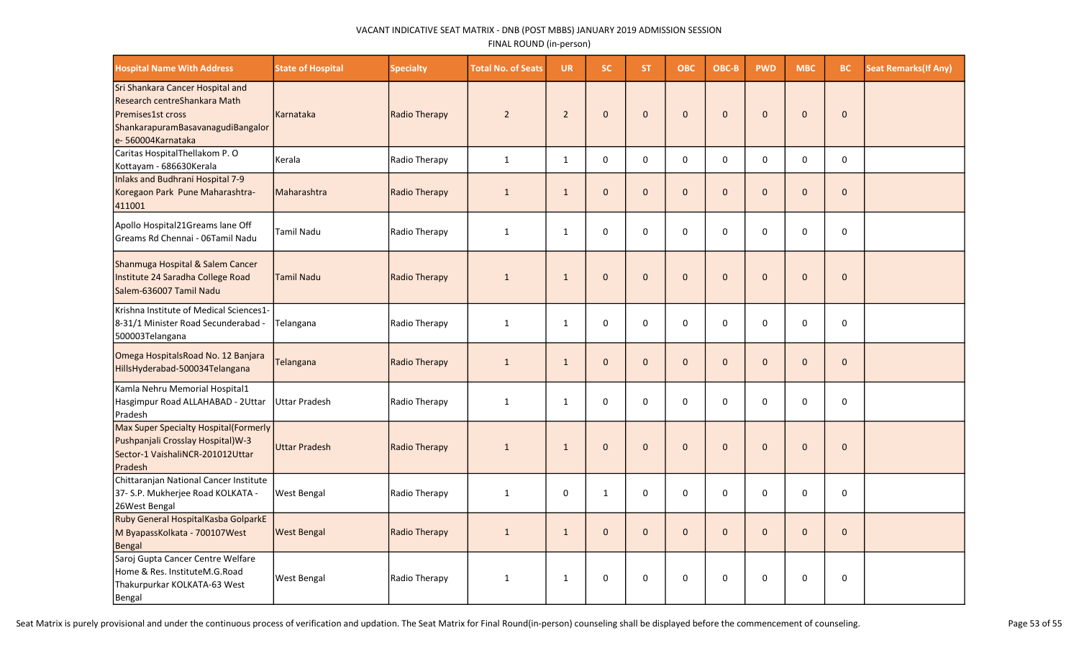| <b>Hospital Name With Address</b>                                                                                                               | <b>State of Hospital</b> | <b>Specialty</b>     | <b>Total No. of Seats</b> | <b>UR</b>      | <b>SC</b>    | ST.          | <b>OBC</b>   | OBC-B        | <b>PWD</b>     | <b>MBC</b>   | BC.          | <b>Seat Remarks (If Any)</b> |
|-------------------------------------------------------------------------------------------------------------------------------------------------|--------------------------|----------------------|---------------------------|----------------|--------------|--------------|--------------|--------------|----------------|--------------|--------------|------------------------------|
| Sri Shankara Cancer Hospital and<br>Research centreShankara Math<br>Premises1st cross<br>ShankarapuramBasavanagudiBangalor<br>e-560004Karnataka | Karnataka                | <b>Radio Therapy</b> | $\overline{2}$            | $\overline{2}$ | $\mathbf{0}$ | $\mathbf{0}$ | $\mathbf 0$  | $\mathbf{0}$ | $\mathbf{0}$   | $\mathbf{0}$ | $\mathbf{0}$ |                              |
| Caritas HospitalThellakom P. O<br>Kottayam - 686630Kerala                                                                                       | Kerala                   | Radio Therapy        | $\mathbf{1}$              | $\mathbf{1}$   | $\pmb{0}$    | $\Omega$     | 0            | $\Omega$     | 0              | 0            | $\pmb{0}$    |                              |
| Inlaks and Budhrani Hospital 7-9<br>Koregaon Park Pune Maharashtra-<br>411001                                                                   | Maharashtra              | <b>Radio Therapy</b> | $\mathbf{1}$              | $\mathbf{1}$   | $\mathbf 0$  | $\Omega$     | $\mathbf 0$  | $\Omega$     | $\mathbf 0$    | $\mathbf 0$  | $\pmb{0}$    |                              |
| Apollo Hospital21Greams lane Off<br>Greams Rd Chennai - 06Tamil Nadu                                                                            | <b>Tamil Nadu</b>        | Radio Therapy        | $\mathbf{1}$              | $\mathbf{1}$   | 0            | $\Omega$     | $\mathbf 0$  | $\Omega$     | $\Omega$       | $\Omega$     | $\mathbf 0$  |                              |
| Shanmuga Hospital & Salem Cancer<br>Institute 24 Saradha College Road<br>Salem-636007 Tamil Nadu                                                | <b>Tamil Nadu</b>        | <b>Radio Therapy</b> | $\mathbf{1}$              | $\mathbf{1}$   | $\mathbf{0}$ | $\Omega$     | $\mathbf 0$  | $\Omega$     | $\Omega$       | $\Omega$     | $\mathbf{0}$ |                              |
| <b>IKrishna Institute of Medical Sciences1-</b><br>8-31/1 Minister Road Secunderabad -<br>500003Telangana                                       | Telangana                | Radio Therapy        | $\mathbf{1}$              | $\mathbf{1}$   | 0            | 0            | $\mathbf 0$  | $\Omega$     | $\mathbf 0$    | $\mathbf 0$  | 0            |                              |
| Omega HospitalsRoad No. 12 Banjara<br>HillsHyderabad-500034Telangana                                                                            | Telangana                | <b>Radio Therapy</b> | $\mathbf{1}$              | $\mathbf{1}$   | $\pmb{0}$    | $\mathbf{0}$ | $\mathbf 0$  | $\mathbf{0}$ | $\overline{0}$ | $\mathbf{0}$ | $\pmb{0}$    |                              |
| Kamla Nehru Memorial Hospital1<br>Hasgimpur Road ALLAHABAD - 2Uttar<br>Pradesh                                                                  | Uttar Pradesh            | Radio Therapy        | $\mathbf{1}$              | $\mathbf{1}$   | 0            | $\Omega$     | 0            | $\Omega$     | 0              | $\Omega$     | 0            |                              |
| Max Super Specialty Hospital(Formerly<br>Pushpanjali Crosslay Hospital) W-3<br>Sector-1 VaishaliNCR-201012Uttar<br>Pradesh                      | Uttar Pradesh            | <b>Radio Therapy</b> | $\mathbf{1}$              | $\mathbf{1}$   | $\mathbf 0$  | $\mathbf{0}$ | $\mathbf{0}$ | $\Omega$     | $\mathbf{0}$   | $\mathbf{0}$ | $\mathbf{0}$ |                              |
| Chittaranjan National Cancer Institute<br>37- S.P. Mukherjee Road KOLKATA -<br>26West Bengal                                                    | <b>West Bengal</b>       | Radio Therapy        | $\mathbf{1}$              | 0              | $\mathbf{1}$ | 0            | 0            | $\mathbf 0$  | $\mathbf 0$    | 0            | 0            |                              |
| Ruby General HospitalKasba GolparkE<br>M ByapassKolkata - 700107West<br>Bengal                                                                  | <b>West Bengal</b>       | <b>Radio Therapy</b> | $\mathbf{1}$              | $\mathbf{1}$   | $\mathbf 0$  | $\mathbf{0}$ | $\mathbf 0$  | $\mathbf{0}$ | $\mathbf 0$    | $\mathbf{0}$ | $\mathbf 0$  |                              |
| Saroj Gupta Cancer Centre Welfare<br>Home & Res. InstituteM.G.Road<br>Thakurpurkar KOLKATA-63 West<br>Bengal                                    | <b>West Bengal</b>       | Radio Therapy        | $\mathbf{1}$              | 1              | $\pmb{0}$    | $\mathbf 0$  | $\pmb{0}$    | $\mathbf 0$  | 0              | 0            | $\pmb{0}$    |                              |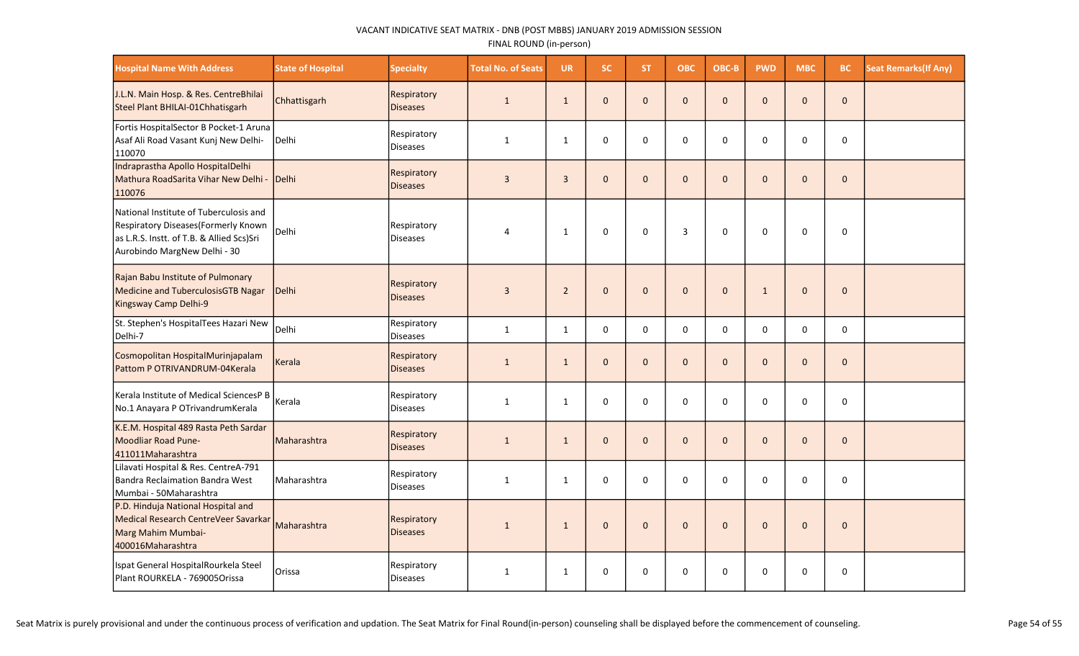| <b>Hospital Name With Address</b>                                                                                                                           | <b>State of Hospital</b> | <b>Specialty</b>                      | <b>Total No. of Seats</b> | <b>UR</b>      | SC.          | ST.          | <b>OBC</b>   | OBC-B        | <b>PWD</b>   | <b>MBC</b>   | <b>BC</b>    | <b>Seat Remarks (If Any)</b> |
|-------------------------------------------------------------------------------------------------------------------------------------------------------------|--------------------------|---------------------------------------|---------------------------|----------------|--------------|--------------|--------------|--------------|--------------|--------------|--------------|------------------------------|
| J.L.N. Main Hosp. & Res. CentreBhilai<br>Steel Plant BHILAI-01Chhatisgarh                                                                                   | Chhattisgarh             | Respiratory<br><b>Diseases</b>        | $\mathbf{1}$              | $\mathbf{1}$   | $\mathbf{0}$ | $\Omega$     | $\mathbf 0$  | $\Omega$     | $\mathbf{0}$ | $\Omega$     | $\mathbf 0$  |                              |
| Fortis HospitalSector B Pocket-1 Aruna<br>Asaf Ali Road Vasant Kunj New Delhi-<br>110070                                                                    | Delhi                    | Respiratory<br><b>Diseases</b>        | $\mathbf{1}$              | $\mathbf{1}$   | 0            | 0            | $\pmb{0}$    | $\Omega$     | 0            | $\Omega$     | 0            |                              |
| Indraprastha Apollo HospitalDelhi<br>Mathura RoadSarita Vihar New Delhi -<br>110076                                                                         | Delhi                    | Respiratory<br><b>Diseases</b>        | $\overline{3}$            | $\overline{3}$ | $\mathbf{0}$ | $\mathbf{0}$ | $\mathbf{0}$ | $\mathbf{0}$ | $\mathbf 0$  | $\Omega$     | $\mathbf 0$  |                              |
| National Institute of Tuberculosis and<br>Respiratory Diseases (Formerly Known<br>as L.R.S. Instt. of T.B. & Allied Scs)Sri<br>Aurobindo MargNew Delhi - 30 | Delhi                    | Respiratory<br><b>Diseases</b>        | 4                         | $\mathbf{1}$   | $\mathbf 0$  | $\mathbf 0$  | 3            | $\mathbf 0$  | $\mathbf 0$  | 0            | $\mathbf 0$  |                              |
| Rajan Babu Institute of Pulmonary<br>Medicine and TuberculosisGTB Nagar<br>Kingsway Camp Delhi-9                                                            | Delhi                    | Respiratory<br><b>Diseases</b>        | $\overline{3}$            | $\overline{2}$ | $\mathbf{0}$ | $\mathbf{0}$ | $\mathbf 0$  | $\mathbf{0}$ | $\mathbf{1}$ | $\Omega$     | $\mathbf{0}$ |                              |
| St. Stephen's HospitalTees Hazari New<br>Delhi-7                                                                                                            | Delhi                    | Respiratory<br><b>Diseases</b>        | $\mathbf{1}$              | $\mathbf{1}$   | $\mathbf 0$  | 0            | 0            | 0            | $\mathbf 0$  | 0            | $\pmb{0}$    |                              |
| Cosmopolitan HospitalMurinjapalam<br>Pattom P OTRIVANDRUM-04Kerala                                                                                          | Kerala                   | <b>Respiratory</b><br><b>Diseases</b> | $\mathbf{1}$              | $\mathbf{1}$   | $\mathbf{0}$ | $\mathbf{0}$ | $\mathbf{0}$ | $\mathbf{0}$ | $\mathbf 0$  | $\Omega$     | $\mathbf 0$  |                              |
| Kerala Institute of Medical SciencesP B<br>No.1 Anayara P OTrivandrumKerala                                                                                 | Kerala                   | Respiratory<br><b>Diseases</b>        | $\mathbf{1}$              | $\mathbf{1}$   | $\mathbf 0$  | 0            | $\pmb{0}$    | $\Omega$     | 0            | $\Omega$     | 0            |                              |
| K.E.M. Hospital 489 Rasta Peth Sardar<br>Moodliar Road Pune-<br>411011Maharashtra                                                                           | Maharashtra              | <b>Respiratory</b><br><b>Diseases</b> | $\mathbf{1}$              | $\mathbf{1}$   | $\mathbf{0}$ | $\mathbf{0}$ | $\mathbf 0$  | $\mathbf{0}$ | $\mathbf 0$  | $\mathbf{0}$ | $\mathbf 0$  |                              |
| Lilavati Hospital & Res. CentreA-791<br>Bandra Reclaimation Bandra West<br>Mumbai - 50Maharashtra                                                           | Maharashtra              | Respiratory<br><b>Diseases</b>        | $\mathbf{1}$              | $\mathbf{1}$   | 0            | 0            | 0            | $\mathbf 0$  | 0            | $\Omega$     | 0            |                              |
| P.D. Hinduja National Hospital and<br>Medical Research CentreVeer Savarkar<br>Marg Mahim Mumbai-<br>400016Maharashtra                                       | Maharashtra              | Respiratory<br><b>Diseases</b>        | $\mathbf{1}$              | $\mathbf{1}$   | $\mathbf 0$  | $\mathbf{0}$ | $\mathbf 0$  | $\mathbf 0$  | $\mathbf 0$  | $\Omega$     | $\mathbf 0$  |                              |
| Ispat General HospitalRourkela Steel<br>Plant ROURKELA - 769005Orissa                                                                                       | Orissa                   | Respiratory<br><b>Diseases</b>        | $\mathbf{1}$              | $\mathbf{1}$   | $\mathbf 0$  | $\Omega$     | $\mathbf 0$  | $\Omega$     | 0            | $\Omega$     | $\mathbf 0$  |                              |